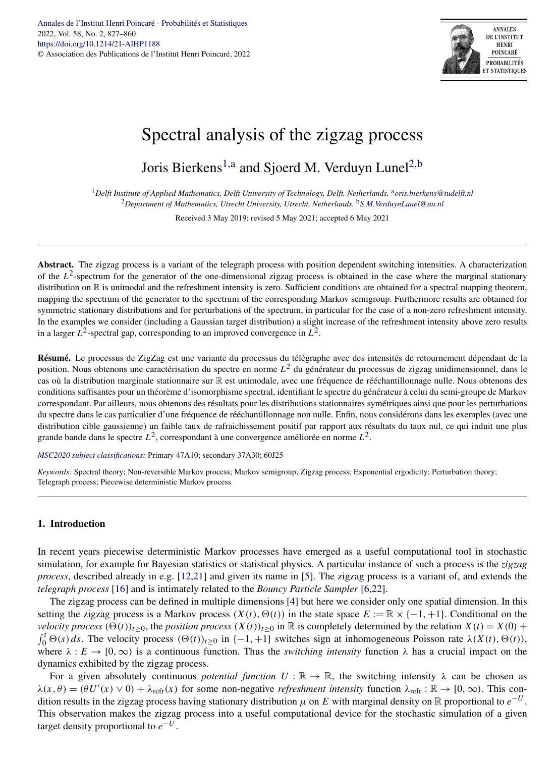

# Spectral analysis of the zigzag process

Joris Bierkens<sup>1,a</sup> and Sjoerd M. Verduyn Lunel<sup>2,b</sup>

<sup>1</sup>*Delft Institute of Applied Mathematics, Delft University of Technology, Delft, Netherlands.* <sup>a</sup>*[oris.bierkens@tudelft.nl](mailto:oris.bierkens@tudelft.nl)* <sup>2</sup>*Department of Mathematics, Utrecht University, Utrecht, Netherlands.* <sup>b</sup>*[S.M.VerduynLunel@uu.nl](mailto:S.M.VerduynLunel@uu.nl)*

Received 3 May 2019; revised 5 May 2021; accepted 6 May 2021

Abstract. The zigzag process is a variant of the telegraph process with position dependent switching intensities. A characterization of the  $L^2$ -spectrum for the generator of the one-dimensional zigzag process is obtained in the case where the marginal stationary distribution on R is unimodal and the refreshment intensity is zero. Sufficient conditions are obtained for a spectral mapping theorem, mapping the spectrum of the generator to the spectrum of the corresponding Markov semigroup. Furthermore results are obtained for symmetric stationary distributions and for perturbations of the spectrum, in particular for the case of a non-zero refreshment intensity. In the examples we consider (including a Gaussian target distribution) a slight increase of the refreshment intensity above zero results in a larger  $L^2$ -spectral gap, corresponding to an improved convergence in  $L^2$ .

**Résumé.** Le processus de ZigZag est une variante du processus du télégraphe avec des intensités de retournement dépendant de la position. Nous obtenons une caractérisation du spectre en norme *L*<sup>2</sup> du générateur du processus de zigzag unidimensionnel, dans le cas où la distribution marginale stationnaire sur R est unimodale, avec une fréquence de rééchantillonnage nulle. Nous obtenons des conditions suffisantes pour un théorème d'isomorphisme spectral, identifiant le spectre du générateur à celui du semi-groupe de Markov correspondant. Par ailleurs, nous obtenons des résultats pour les distributions stationnaires symétriques ainsi que pour les perturbations du spectre dans le cas particulier d'une fréquence de rééchantillonnage non nulle. Enfin, nous considérons dans les exemples (avec une distribution cible gaussienne) un faible taux de rafraichissement positif par rapport aux résultats du taux nul, ce qui induit une plus grande bande dans le spectre *L*2, correspondant à une convergence améliorée en norme *L*2.

*[MSC2020 subject classifications](https://mathscinet.ams.org/mathscinet/msc/msc2020.html):* Primary 47A10; secondary 37A30; 60J25

*Keywords:* Spectral theory; Non-reversible Markov process; Markov semigroup; Zigzag process; Exponential ergodicity; Perturbation theory; Telegraph process; Piecewise deterministic Markov process

## **1. Introduction**

In recent years piecewise deterministic Markov processes have emerged as a useful computational tool in stochastic simulation, for example for Bayesian statistics or statistical physics. A particular instance of such a process is the *zigzag process*, described already in e.g. [\[12,21\]](#page-33-0) and given its name in [\[5\]](#page-33-0). The zigzag process is a variant of, and extends the *telegraph process* [\[16\]](#page-33-0) and is intimately related to the *Bouncy Particle Sampler* [\[6,22\]](#page-33-0).

The zigzag process can be defined in multiple dimensions [\[4\]](#page-33-0) but here we consider only one spatial dimension. In this setting the zigzag process is a Markov process  $(X(t), \Theta(t))$  in the state space  $E := \mathbb{R} \times \{-1, +1\}$ . Conditional on the *velocity process*  $(\Theta(t))_{t\geq 0}$ , the *position process*  $(X(t))_{t\geq 0}$  in  $\mathbb R$  is completely determined by the relation  $X(t) = X(0) +$  $\int_0^t \Theta(s) ds$ . The velocity process  $(\Theta(t))_{t \geq 0}$  in  $\{-1, +1\}$  switches sign at inhomogeneous Poisson rate  $\lambda(X(t), \Theta(t))$ , where  $\lambda : E \to [0, \infty)$  is a continuous function. Thus the *switching intensity* function  $\lambda$  has a crucial impact on the dynamics exhibited by the zigzag process.

For a given absolutely continuous *potential function*  $U : \mathbb{R} \to \mathbb{R}$ , the switching intensity  $\lambda$  can be chosen as  $\lambda(x,\theta) = (\theta U'(x) \vee 0) + \lambda_{refr}(x)$  for some non-negative *refreshment intensity* function  $\lambda_{refr} : \mathbb{R} \to [0,\infty)$ . This condition results in the zigzag process having stationary distribution  $\mu$  on  $E$  with marginal density on  $\mathbb R$  proportional to  $e^{-U}$ . This observation makes the zigzag process into a useful computational device for the stochastic simulation of a given target density proportional to  $e^{-U}$ .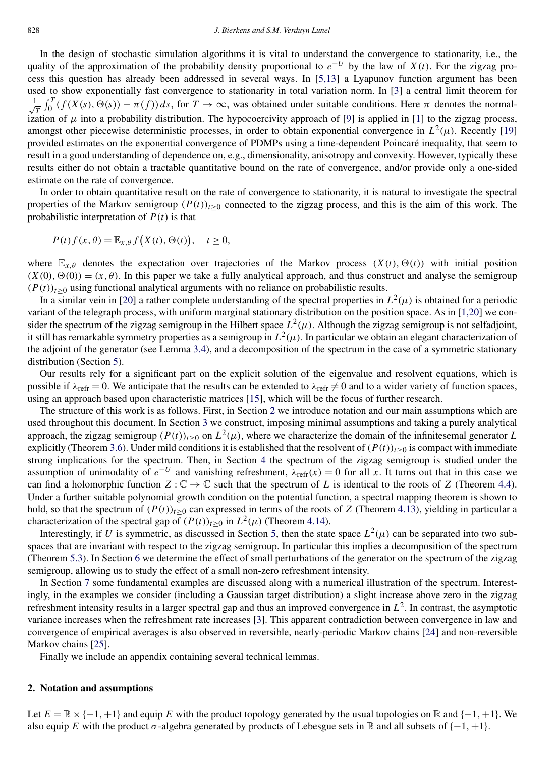In the design of stochastic simulation algorithms it is vital to understand the convergence to stationarity, i.e., the quality of the approximation of the probability density proportional to  $e^{-U}$  by the law of *X(t)*. For the zigzag process this question has already been addressed in several ways. In [\[5,13\]](#page-33-0) a Lyapunov function argument has been used to show exponentially fast convergence to stationarity in total variation norm. In [\[3\]](#page-33-0) a central limit theorem for √ 1  $\frac{1}{T} \int_0^T (f(X(s), \Theta(s)) - \pi(f)) ds$ , for  $T \to \infty$ , was obtained under suitable conditions. Here  $\pi$  denotes the normalization of  $\mu$  into a probability distribution. The hypocoercivity approach of [\[9\]](#page-33-0) is applied in [\[1\]](#page-33-0) to the zigzag process, amongst other piecewise deterministic processes, in order to obtain exponential convergence in  $L^2(\mu)$ . Recently [\[19\]](#page-33-0) provided estimates on the exponential convergence of PDMPs using a time-dependent Poincaré inequality, that seem to result in a good understanding of dependence on, e.g., dimensionality, anisotropy and convexity. However, typically these results either do not obtain a tractable quantitative bound on the rate of convergence, and/or provide only a one-sided estimate on the rate of convergence.

In order to obtain quantitative result on the rate of convergence to stationarity, it is natural to investigate the spectral properties of the Markov semigroup  $(P(t))_{t>0}$  connected to the zigzag process, and this is the aim of this work. The probabilistic interpretation of *P(t)* is that

$$
P(t)f(x,\theta) = \mathbb{E}_{x,\theta}f(X(t),\Theta(t)), \quad t \ge 0,
$$

where  $\mathbb{E}_{x,\theta}$  denotes the expectation over trajectories of the Markov process  $(X(t), \Theta(t))$  with initial position  $(X(0), \Theta(0)) = (x, \theta)$ . In this paper we take a fully analytical approach, and thus construct and analyse the semigroup  $(P(t))_{t>0}$  using functional analytical arguments with no reliance on probabilistic results.

In a similar vein in [\[20\]](#page-33-0) a rather complete understanding of the spectral properties in  $L^2(\mu)$  is obtained for a periodic variant of the telegraph process, with uniform marginal stationary distribution on the position space. As in [\[1,20\]](#page-33-0) we consider the spectrum of the zigzag semigroup in the Hilbert space  $L^2(\mu)$ . Although the zigzag semigroup is not selfadjoint, it still has remarkable symmetry properties as a semigroup in  $L^2(\mu)$ . In particular we obtain an elegant characterization of the adjoint of the generator (see Lemma [3.4\)](#page-5-0), and a decomposition of the spectrum in the case of a symmetric stationary distribution (Section [5\)](#page-18-0).

Our results rely for a significant part on the explicit solution of the eigenvalue and resolvent equations, which is possible if  $\lambda_{\text{refr}} = 0$ . We anticipate that the results can be extended to  $\lambda_{\text{refr}} \neq 0$  and to a wider variety of function spaces, using an approach based upon characteristic matrices [\[15\]](#page-33-0), which will be the focus of further research.

The structure of this work is as follows. First, in Section 2 we introduce notation and our main assumptions which are used throughout this document. In Section [3](#page-3-0) we construct, imposing minimal assumptions and taking a purely analytical approach, the zigzag semigroup  $(P(t))_{t>0}$  on  $L^2(\mu)$ , where we characterize the domain of the infinitesemal generator *L* explicitly (Theorem [3.6\)](#page-6-0). Under mild conditions it is established that the resolvent of  $(P(t))_{t\geq0}$  is compact with immediate strong implications for the spectrum. Then, in Section [4](#page-9-0) the spectrum of the zigzag semigroup is studied under the assumption of unimodality of  $e^{-U}$  and vanishing refreshment,  $\lambda_{refr}(x) = 0$  for all x. It turns out that in this case we can find a holomorphic function  $Z : \mathbb{C} \to \mathbb{C}$  such that the spectrum of L is identical to the roots of Z (Theorem [4.4\)](#page-11-0). Under a further suitable polynomial growth condition on the potential function, a spectral mapping theorem is shown to hold, so that the spectrum of  $(P(t))_{t>0}$  can expressed in terms of the roots of *Z* (Theorem [4.13\)](#page-17-0), yielding in particular a characterization of the spectral gap of  $(P(t))_{t>0}$  in  $L^2(\mu)$  (Theorem [4.14\)](#page-17-0).

Interestingly, if *U* is symmetric, as discussed in Section [5,](#page-18-0) then the state space  $L^2(\mu)$  can be separated into two subspaces that are invariant with respect to the zigzag semigroup. In particular this implies a decomposition of the spectrum (Theorem [5.3\)](#page-20-0). In Section [6](#page-22-0) we determine the effect of small perturbations of the generator on the spectrum of the zigzag semigroup, allowing us to study the effect of a small non-zero refreshment intensity.

In Section [7](#page-23-0) some fundamental examples are discussed along with a numerical illustration of the spectrum. Interestingly, in the examples we consider (including a Gaussian target distribution) a slight increase above zero in the zigzag refreshment intensity results in a larger spectral gap and thus an improved convergence in  $L^2$ . In contrast, the asymptotic variance increases when the refreshment rate increases [\[3\]](#page-33-0). This apparent contradiction between convergence in law and convergence of empirical averages is also observed in reversible, nearly-periodic Markov chains [\[24\]](#page-33-0) and non-reversible Markov chains [\[25\]](#page-33-0).

Finally we include an appendix containing several technical lemmas.

#### **2. Notation and assumptions**

Let  $E = \mathbb{R} \times \{-1, +1\}$  and equip *E* with the product topology generated by the usual topologies on  $\mathbb{R}$  and  $\{-1, +1\}$ . We also equip *E* with the product  $\sigma$ -algebra generated by products of Lebesgue sets in R and all subsets of  $\{-1, +1\}$ .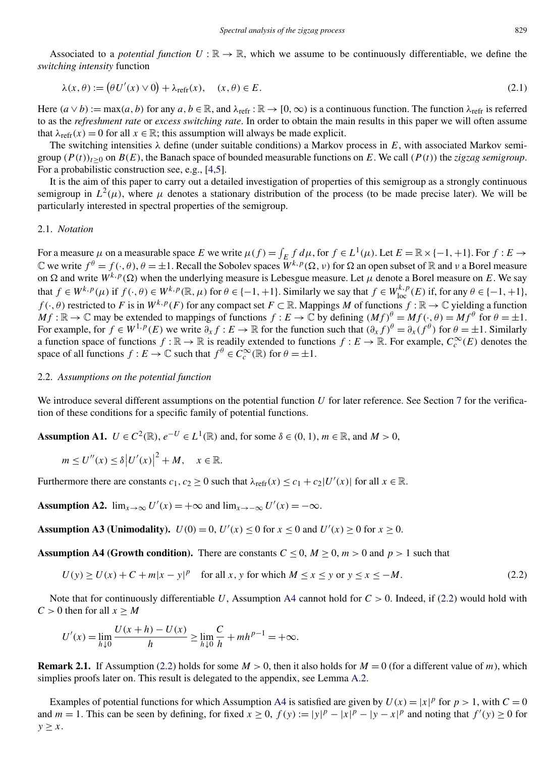<span id="page-2-0"></span>Associated to a *potential function*  $U : \mathbb{R} \to \mathbb{R}$ , which we assume to be continuously differentiable, we define the *switching intensity* function

$$
\lambda(x,\theta) := (\theta U'(x) \vee 0) + \lambda_{\text{refr}}(x), \quad (x,\theta) \in E. \tag{2.1}
$$

Here  $(a \lor b) := \max(a, b)$  for any  $a, b \in \mathbb{R}$ , and  $\lambda_{\text{refr}} : \mathbb{R} \to [0, \infty)$  is a continuous function. The function  $\lambda_{\text{refr}}$  is referred to as the *refreshment rate* or *excess switching rate*. In order to obtain the main results in this paper we will often assume that  $\lambda_{refr}(x) = 0$  for all  $x \in \mathbb{R}$ ; this assumption will always be made explicit.

The switching intensities  $\lambda$  define (under suitable conditions) a Markov process in E, with associated Markov semigroup  $(P(t))_{t>0}$  on  $B(E)$ , the Banach space of bounded measurable functions on E. We call  $(P(t))$  the *zigzag semigroup*. For a probabilistic construction see, e.g., [\[4,5\]](#page-33-0).

It is the aim of this paper to carry out a detailed investigation of properties of this semigroup as a strongly continuous semigroup in  $L^2(\mu)$ , where  $\mu$  denotes a stationary distribution of the process (to be made precise later). We will be particularly interested in spectral properties of the semigroup.

#### 2.1. *Notation*

For a measure  $\mu$  on a measurable space *E* we write  $\mu(f) = \int_E f d\mu$ , for  $f \in L^1(\mu)$ . Let  $E = \mathbb{R} \times \{-1, +1\}$ . For  $f : E \to$  $\mathbb C$  we write  $f^{\theta} = f(\cdot,\theta), \theta = \pm 1$ . Recall the Sobolev spaces  $W^{k,p}(\Omega,\nu)$  for  $\Omega$  an open subset of  $\mathbb R$  and  $\nu$  a Borel measure on  $\Omega$  and write  $W^{k,p}(\Omega)$  when the underlying measure is Lebesgue measure. Let  $\mu$  denote a Borel measure on *E*. We say that  $f \in W^{k,p}(\mu)$  if  $f(\cdot,\theta) \in W^{k,p}(\mathbb{R},\mu)$  for  $\theta \in \{-1,+1\}$ . Similarly we say that  $f \in W^{k,p}_{loc}(E)$  if, for any  $\theta \in \{-1,+1\}$ , *f* ( $\cdot$ *, θ*) restricted to *F* is in  $W^{k,p}(F)$  for any compact set  $F \subset \mathbb{R}$ . Mappings *M* of functions  $f : \mathbb{R} \to \mathbb{C}$  yielding a function  $Mf : \mathbb{R} \to \mathbb{C}$  may be extended to mappings of functions  $f : E \to \mathbb{C}$  by defining  $(Mf)^{\theta} = Mf(\cdot, \theta) = Mf^{\theta}$  for  $\theta = \pm 1$ . For example, for  $f \in W^{1,p}(E)$  we write  $\partial_x f : E \to \mathbb{R}$  for the function such that  $(\partial_x f)^{\theta} = \partial_x (f^{\theta})$  for  $\theta = \pm 1$ . Similarly a function space of functions  $f : \mathbb{R} \to \mathbb{R}$  is readily extended to functions  $f : E \to \mathbb{R}$ . For example,  $C_c^{\infty}(E)$  denotes the space of all functions  $f : E \to \mathbb{C}$  such that  $f^{\theta} \in C_c^{\infty}(\mathbb{R})$  for  $\theta = \pm 1$ .

#### 2.2. *Assumptions on the potential function*

We introduce several different assumptions on the potential function *U* for later reference. See Section [7](#page-23-0) for the verification of these conditions for a specific family of potential functions.

**Assumption A1.**  $U \in C^2(\mathbb{R})$ ,  $e^{-U} \in L^1(\mathbb{R})$  and, for some  $\delta \in (0, 1)$ ,  $m \in \mathbb{R}$ , and  $M > 0$ ,

$$
m \leq U''(x) \leq \delta |U'(x)|^2 + M, \quad x \in \mathbb{R}.
$$

Furthermore there are constants  $c_1, c_2 \ge 0$  such that  $\lambda_{refr}(x) \le c_1 + c_2|U'(x)|$  for all  $x \in \mathbb{R}$ .

Assumption A2.  $\lim_{x \to \infty} U'(x) = +\infty$  and  $\lim_{x \to -\infty} U'(x) = -\infty$ .

**Assumption A3 (Unimodality).**  $U(0) = 0$ ,  $U'(x) \le 0$  for  $x \le 0$  and  $U'(x) \ge 0$  for  $x \ge 0$ .

**Assumption A4 (Growth condition).** There are constants  $C \le 0$ ,  $M \ge 0$ ,  $m > 0$  and  $p > 1$  such that

$$
U(y) \ge U(x) + C + m|x - y|^p \quad \text{for all } x, y \text{ for which } M \le x \le y \text{ or } y \le x \le -M. \tag{2.2}
$$

Note that for continuously differentiable *U*, Assumption A4 cannot hold for *C >* 0. Indeed, if (2.2) would hold with  $C > 0$  then for all  $x \geq M$ 

$$
U'(x) = \lim_{h \downarrow 0} \frac{U(x+h) - U(x)}{h} \ge \lim_{h \downarrow 0} \frac{C}{h} + mh^{p-1} = +\infty.
$$

**Remark 2.1.** If Assumption (2.2) holds for some  $M > 0$ , then it also holds for  $M = 0$  (for a different value of *m*), which simplies proofs later on. This result is delegated to the appendix, see Lemma [A.2.](#page-29-0)

Examples of potential functions for which Assumption A4 is satisfied are given by  $U(x) = |x|^p$  for  $p > 1$ , with  $C = 0$ and  $m = 1$ . This can be seen by defining, for fixed  $x \ge 0$ ,  $f(y) := |y|^p - |x|^p - |y - x|^p$  and noting that  $f'(y) \ge 0$  for  $y \geq x$ .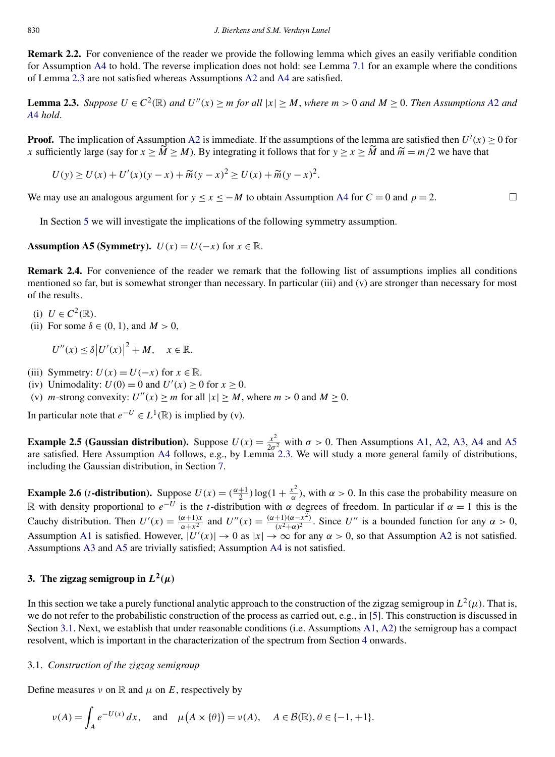<span id="page-3-0"></span>**Remark 2.2.** For convenience of the reader we provide the following lemma which gives an easily verifiable condition for Assumption [A4](#page-2-0) to hold. The reverse implication does not hold: see Lemma [7.1](#page-23-0) for an example where the conditions of Lemma 2.3 are not satisfied whereas Assumptions [A2](#page-2-0) and [A4](#page-2-0) are satisfied.

**Lemma 2.3.** Suppose  $U \in C^2(\mathbb{R})$  and  $U''(x) \ge m$  for all  $|x| \ge M$ , where  $m > 0$  and  $M \ge 0$ . Then [A](#page-2-0)ssumptions A2 and *[A](#page-2-0)*4 *hold*.

**Proof.** The implication of Assumption [A2](#page-2-0) is immediate. If the assumptions of the lemma are satisfied then  $U'(x) \ge 0$  for *x* sufficiently large (say for  $x \ge \widetilde{M} \ge M$ ). By integrating it follows that for  $y \ge x \ge \widetilde{M}$  and  $\widetilde{m} = m/2$  we have that

$$
U(y) \ge U(x) + U'(x)(y - x) + \widetilde{m}(y - x)^{2} \ge U(x) + \widetilde{m}(y - x)^{2}.
$$

We may use an analogous argument for  $y \le x \le -M$  to obtain Assumption [A4](#page-2-0) for  $C = 0$  and  $p = 2$ .

In Section [5](#page-18-0) we will investigate the implications of the following symmetry assumption.

**Assumption A5 (Symmetry).**  $U(x) = U(-x)$  for  $x \in \mathbb{R}$ .

**Remark 2.4.** For convenience of the reader we remark that the following list of assumptions implies all conditions mentioned so far, but is somewhat stronger than necessary. In particular (iii) and (v) are stronger than necessary for most of the results.

- (i)  $U \in C^2(\mathbb{R})$ .
- (ii) For some  $\delta \in (0, 1)$ , and  $M > 0$ ,

 $U''(x) \le \delta |U'(x)|^2 + M, \quad x \in \mathbb{R}.$ 

- (iii) Symmetry:  $U(x) = U(-x)$  for  $x \in \mathbb{R}$ .
- (iv) Unimodality:  $U(0) = 0$  and  $U'(x) \ge 0$  for  $x \ge 0$ .

(v) *m*-strong convexity:  $U''(x) \ge m$  for all  $|x| \ge M$ , where  $m > 0$  and  $M \ge 0$ .

In particular note that  $e^{-U}$  ∈  $L^1(\mathbb{R})$  is implied by (v).

**Example 2.5 (Gaussian distribution).** Suppose  $U(x) = \frac{x^2}{2\sigma^2}$  with  $\sigma > 0$ . Then Assumptions [A1,](#page-2-0) [A2,](#page-2-0) [A3,](#page-2-0) [A4](#page-2-0) and A5 are satisfied. Here Assumption [A4](#page-2-0) follows, e.g., by Lemma 2.3. We will study a more general family of distributions, including the Gaussian distribution, in Section [7.](#page-23-0)

**Example 2.6 (***t***-distribution).** Suppose  $U(x) = \left(\frac{\alpha+1}{2}\right) \log(1 + \frac{x^2}{\alpha})$ , with  $\alpha > 0$ . In this case the probability measure on R with density proportional to  $e^{-U}$  is the *t*-distribution with  $\alpha$  degrees of freedom. In particular if  $\alpha = 1$  this is the Cauchy distribution. Then  $U'(x) = \frac{(\alpha+1)x}{\alpha+x^2}$  and  $U''(x) = \frac{(\alpha+1)(\alpha-x^2)}{(x^2+\alpha)^2}$ . Since U'' is a bounded function for any  $\alpha > 0$ , Assumption [A1](#page-2-0) is satisfied. However,  $|U'(x)| \to 0$  as  $|x| \to \infty$  for any  $\alpha > 0$ , so that Assumption [A2](#page-2-0) is not satisfied. Assumptions [A3](#page-2-0) and A5 are trivially satisfied; Assumption [A4](#page-2-0) is not satisfied.

# **3.** The zigzag semigroup in  $L^2(\mu)$

In this section we take a purely functional analytic approach to the construction of the zigzag semigroup in  $L^2(\mu)$ . That is, we do not refer to the probabilistic construction of the process as carried out, e.g., in [\[5\]](#page-33-0). This construction is discussed in Section 3.1. Next, we establish that under reasonable conditions (i.e. Assumptions [A1,](#page-2-0) [A2\)](#page-2-0) the semigroup has a compact resolvent, which is important in the characterization of the spectrum from Section [4](#page-9-0) onwards.

## 3.1. *Construction of the zigzag semigroup*

Define measures  $\nu$  on  $\mathbb R$  and  $\mu$  on  $E$ , respectively by

$$
\nu(A) = \int_A e^{-U(x)} dx, \quad \text{and} \quad \mu(A \times \{\theta\}) = \nu(A), \quad A \in \mathcal{B}(\mathbb{R}), \theta \in \{-1, +1\}.
$$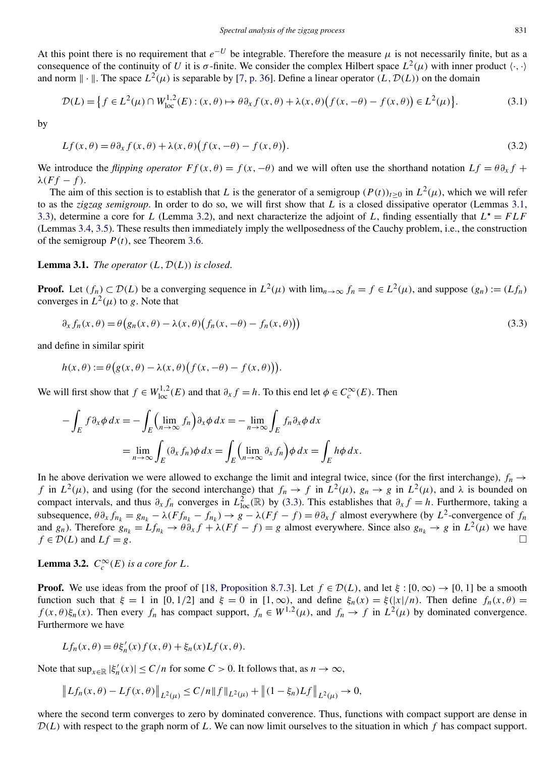<span id="page-4-0"></span>At this point there is no requirement that  $e^{-U}$  be integrable. Therefore the measure  $\mu$  is not necessarily finite, but as a consequence of the continuity of *U* it is *σ*-finite. We consider the complex Hilbert space  $L^2(\mu)$  with inner product  $\langle \cdot, \cdot \rangle$ and norm  $\|\cdot\|$ . The space  $L^2(\mu)$  is separable by [\[7, p. 36\]](#page-33-0). Define a linear operator  $(L, \mathcal{D}(L))$  on the domain

$$
\mathcal{D}(L) = \left\{ f \in L^2(\mu) \cap W_{\text{loc}}^{1,2}(E) : (x, \theta) \mapsto \theta \partial_x f(x, \theta) + \lambda(x, \theta) \big( f(x, -\theta) - f(x, \theta) \big) \in L^2(\mu) \right\}.
$$
\n(3.1)

by

$$
Lf(x,\theta) = \theta \partial_x f(x,\theta) + \lambda(x,\theta) \big( f(x,-\theta) - f(x,\theta) \big). \tag{3.2}
$$

We introduce the *flipping operator*  $F f(x, \theta) = f(x, -\theta)$  and we will often use the shorthand notation  $Lf = \theta \partial_x f + g$  $λ(Ff - f)$ .

The aim of this section is to establish that *L* is the generator of a semigroup  $(P(t))_{t>0}$  in  $L^2(\mu)$ , which we will refer to as the *zigzag semigroup*. In order to do so, we will first show that *L* is a closed dissipative operator (Lemmas 3.1, [3.3\)](#page-5-0), determine a core for *L* (Lemma 3.2), and next characterize the adjoint of *L*, finding essentially that  $L^* = FLF$ (Lemmas [3.4,](#page-5-0) [3.5\)](#page-6-0). These results then immediately imply the wellposedness of the Cauchy problem, i.e., the construction of the semigroup  $P(t)$ , see Theorem [3.6.](#page-6-0)

## **Lemma 3.1.** *The operator*  $(L, \mathcal{D}(L))$  *is closed.*

**Proof.** Let  $(f_n) \subset \mathcal{D}(L)$  be a converging sequence in  $L^2(\mu)$  with  $\lim_{n\to\infty} f_n = f \in L^2(\mu)$ , and suppose  $(g_n) := (Lf_n)$ converges in  $L^2(\mu)$  to *g*. Note that

$$
\partial_x f_n(x,\theta) = \theta \big(g_n(x,\theta) - \lambda(x,\theta) \big(f_n(x,-\theta) - f_n(x,\theta)\big)\big) \tag{3.3}
$$

and define in similar spirit

$$
h(x,\theta) := \theta(g(x,\theta) - \lambda(x,\theta)\big(f(x,-\theta) - f(x,\theta)\big)\big).
$$

We will first show that  $f \in W^{1,2}_{loc}(E)$  and that  $\partial_x f = h$ . To this end let  $\phi \in C_c^{\infty}(E)$ . Then

$$
-\int_{E} f \partial_{x} \phi \, dx = -\int_{E} \left( \lim_{n \to \infty} f_{n} \right) \partial_{x} \phi \, dx = -\lim_{n \to \infty} \int_{E} f_{n} \partial_{x} \phi \, dx
$$

$$
= \lim_{n \to \infty} \int_{E} (\partial_{x} f_{n}) \phi \, dx = \int_{E} \left( \lim_{n \to \infty} \partial_{x} f_{n} \right) \phi \, dx = \int_{E} h \phi \, dx.
$$

In he above derivation we were allowed to exchange the limit and integral twice, since (for the first interchange),  $f_n \rightarrow$ *f* in  $L^2(\mu)$ , and using (for the second interchange) that  $f_n \to f$  in  $L^2(\mu)$ ,  $g_n \to g$  in  $L^2(\mu)$ , and  $\lambda$  is bounded on compact intervals, and thus  $\partial_x f_n$  converges in  $L^2_{loc}(\mathbb{R})$  by (3.3). This establishes that  $\partial_x f = h$ . Furthermore, taking a subsequence,  $\theta \partial_x f_{n_k} = g_{n_k} - \lambda (Ff_{n_k} - f_{n_k}) \to g - \lambda (Ff - f) = \theta \partial_x f$  almost everywhere (by  $L^2$ -convergence of  $f_n$ and *g<sub>n</sub>*). Therefore  $g_{n_k} = Lf_{n_k} \to \theta \partial_x f + \lambda (Ff - f) = g$  almost everywhere. Since also  $g_{n_k} \to g$  in  $L^2(\mu)$  we have  $f \in \mathcal{D}(L)$  and  $Lf = g$ .  $\Box$ 

**Lemma 3.2.**  $C_c^{\infty}(E)$  *is a core for L*.

**Proof.** We use ideas from the proof of [\[18, Proposition 8.7.3\]](#page-33-0). Let  $f \in \mathcal{D}(L)$ , and let  $\xi : [0, \infty) \rightarrow [0, 1]$  be a smooth function such that  $\xi = 1$  in [0, 1/2] and  $\xi = 0$  in [1, ∞), and define  $\xi_n(x) = \xi(|x|/n)$ . Then define  $f_n(x, \theta) =$ *f*(*x, θ*) $\xi_n(x)$ . Then every  $f_n$  has compact support,  $f_n \in W^{1,2}(\mu)$ , and  $f_n \to f$  in  $L^2(\mu)$  by dominated convergence. Furthermore we have

$$
Lf_n(x,\theta) = \theta \xi'_n(x) f(x,\theta) + \xi_n(x) Lf(x,\theta).
$$

Note that  $\sup_{x \in \mathbb{R}} |\xi'_n(x)| \le C/n$  for some  $C > 0$ . It follows that, as  $n \to \infty$ ,

$$
\left\|Lf_n(x,\theta)-Lf(x,\theta)\right\|_{L^2(\mu)} \leq C/n\|f\|_{L^2(\mu)}+\left\|(1-\xi_n)Lf\right\|_{L^2(\mu)}\to 0,
$$

where the second term converges to zero by dominated converence. Thus, functions with compact support are dense in  $\mathcal{D}(L)$  with respect to the graph norm of L. We can now limit ourselves to the situation in which f has compact support.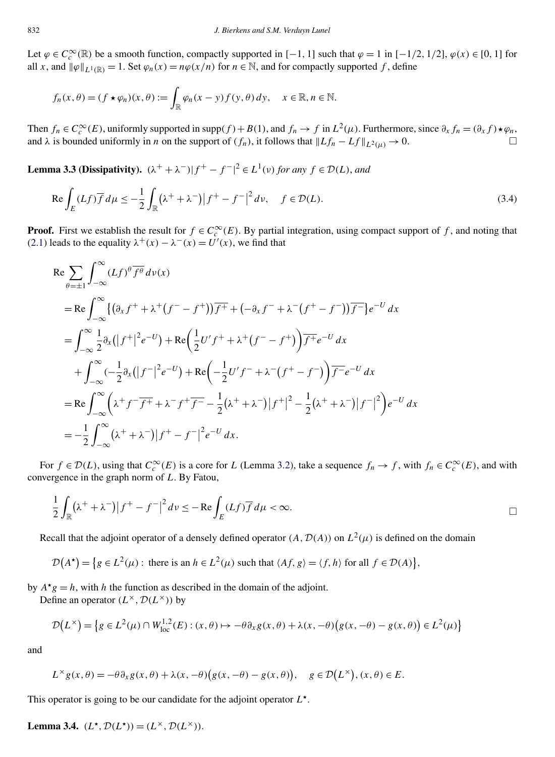<span id="page-5-0"></span>Let  $\varphi \in C_c^{\infty}(\mathbb{R})$  be a smooth function, compactly supported in [−1*,* 1] such that  $\varphi = 1$  in [−1/2*,* 1/2],  $\varphi(x) \in [0, 1]$  for all *x*, and  $\|\varphi\|_{L^1(\mathbb{R})} = 1$ . Set  $\varphi_n(x) = n\varphi(x/n)$  for  $n \in \mathbb{N}$ , and for compactly supported *f*, define

$$
f_n(x,\theta)=(f\star\varphi_n)(x,\theta):=\int_{\mathbb{R}}\varphi_n(x-y)f(y,\theta)\,dy,\quad x\in\mathbb{R},n\in\mathbb{N}.
$$

Then  $f_n \in C_c^{\infty}(E)$ , uniformly supported in supp $(f) + B(1)$ , and  $f_n \to f$  in  $L^2(\mu)$ . Furthermore, since  $\partial_x f_n = (\partial_x f) \star \varphi_n$ , and  $\lambda$  is bounded uniformly in *n* on the support of *(f<sub>n</sub>)*, it follows that  $\|Lf_n - Lf\|_{L^2(\mu)} \to 0$ .

**Lemma 3.3 (Dissipativity).**  $(\lambda^+ + \lambda^-)|f^+ - f^-|^2 \in L^1(\nu)$  *for any*  $f \in \mathcal{D}(L)$ *, and* 

$$
\operatorname{Re}\int_{E} (Lf)\overline{f}d\mu \leq -\frac{1}{2}\int_{\mathbb{R}} (\lambda^{+} + \lambda^{-})|f^{+} - f^{-}|^{2}dv, \quad f \in \mathcal{D}(L). \tag{3.4}
$$

**Proof.** First we establish the result for  $f \in C_c^{\infty}(E)$ . By partial integration, using compact support of *f*, and noting that [\(2.1\)](#page-2-0) leads to the equality  $\lambda^+(x) - \lambda^-(x) = U'(x)$ , we find that

$$
\begin{split}\n\text{Re} & \sum_{\theta=\pm1} \int_{-\infty}^{\infty} (Lf)^{\theta} \overline{f^{\theta}} \, d\nu(x) \\
&= \text{Re} \int_{-\infty}^{\infty} \{ \left( \partial_{x} f^{+} + \lambda^{+} (f^{-} - f^{+}) \right) \overline{f^{+}} + \left( -\partial_{x} f^{-} + \lambda^{-} (f^{+} - f^{-}) \right) \overline{f^{-}} \} e^{-U} \, dx \\
&= \int_{-\infty}^{\infty} \frac{1}{2} \partial_{x} \left( \left| f^{+} \right|^{2} e^{-U} \right) + \text{Re} \left( \frac{1}{2} U' f^{+} + \lambda^{+} (f^{-} - f^{+}) \right) \overline{f^{+}} e^{-U} \, dx \\
&+ \int_{-\infty}^{\infty} \left( -\frac{1}{2} \partial_{x} ( \left| f^{-} \right|^{2} e^{-U} \right) + \text{Re} \left( -\frac{1}{2} U' f^{-} + \lambda^{-} (f^{+} - f^{-}) \right) \overline{f^{-}} e^{-U} \, dx \\
&= \text{Re} \int_{-\infty}^{\infty} \left( \lambda^{+} f^{-} \overline{f^{+}} + \lambda^{-} f^{+} \overline{f^{-}} - \frac{1}{2} (\lambda^{+} + \lambda^{-}) \left| f^{+} \right|^{2} - \frac{1}{2} (\lambda^{+} + \lambda^{-}) \left| f^{-} \right|^{2} \right) e^{-U} \, dx \\
&= -\frac{1}{2} \int_{-\infty}^{\infty} \left( \lambda^{+} + \lambda^{-} \right) \left| f^{+} - f^{-} \right|^{2} e^{-U} \, dx.\n\end{split}
$$

For  $f \in \mathcal{D}(L)$ , using that  $C_c^{\infty}(E)$  is a core for *L* (Lemma [3.2\)](#page-4-0), take a sequence  $f_n \to f$ , with  $f_n \in C_c^{\infty}(E)$ , and with convergence in the graph norm of *L*. By Fatou,

$$
\frac{1}{2}\int_{\mathbb{R}} (\lambda^+ + \lambda^-) |f^+ - f^-|^2 d\nu \le -\operatorname{Re} \int_E (Lf) \overline{f} d\mu < \infty.
$$

Recall that the adjoint operator of a densely defined operator  $(A, \mathcal{D}(A))$  on  $L^2(\mu)$  is defined on the domain

$$
\mathcal{D}(A^{\star}) = \{ g \in L^{2}(\mu) : \text{ there is an } h \in L^{2}(\mu) \text{ such that } \langle Af, g \rangle = \langle f, h \rangle \text{ for all } f \in \mathcal{D}(A) \},
$$

by  $A^{\star}g = h$ , with *h* the function as described in the domain of the adjoint.

Define an operator  $(L^{\times}, \mathcal{D}(L^{\times}))$  by

$$
\mathcal{D}(L^{\times}) = \left\{ g \in L^{2}(\mu) \cap W_{\text{loc}}^{1,2}(E) : (x, \theta) \mapsto -\theta \partial_{x} g(x, \theta) + \lambda(x, -\theta) \big( g(x, -\theta) - g(x, \theta) \big) \in L^{2}(\mu) \right\}
$$

and

$$
L^{\times} g(x, \theta) = -\theta \partial_x g(x, \theta) + \lambda(x, -\theta) \big(g(x, -\theta) - g(x, \theta)\big), \quad g \in \mathcal{D}\big(L^{\times}\big), (x, \theta) \in E.
$$

This operator is going to be our candidate for the adjoint operator *L*.

**Lemma 3.4.**  $(L^{\star}, \mathcal{D}(L^{\star})) = (L^{\times}, \mathcal{D}(L^{\times}))$ .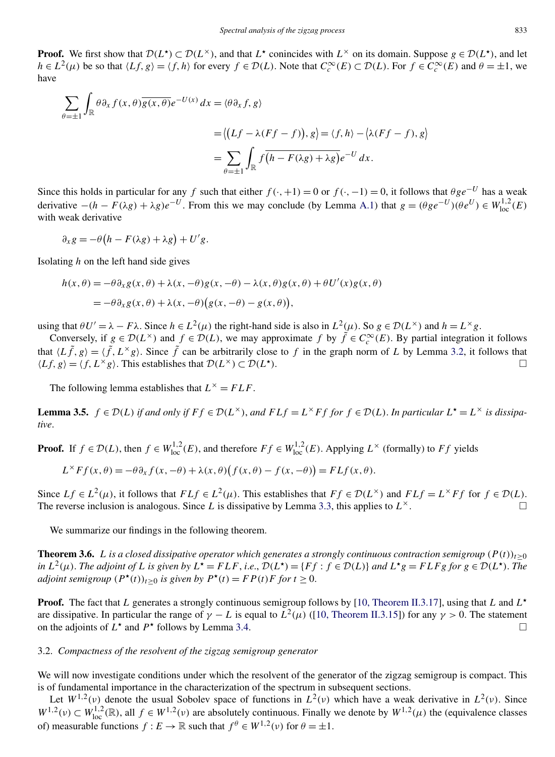<span id="page-6-0"></span>**Proof.** We first show that  $\mathcal{D}(L^*) \subset \mathcal{D}(L^*)$ , and that  $L^*$  conincides with  $L^{\times}$  on its domain. Suppose  $g \in \mathcal{D}(L^*)$ , and let  $h \in L^2(\mu)$  be so that  $\langle Lf, g \rangle = \langle f, h \rangle$  for every  $f \in \mathcal{D}(L)$ . Note that  $C_c^\infty(E) \subset \mathcal{D}(L)$ . For  $f \in C_c^\infty(E)$  and  $\theta = \pm 1$ , we have

$$
\sum_{\theta=\pm 1} \int_{\mathbb{R}} \theta \partial_x f(x, \theta) \overline{g(x, \theta)} e^{-U(x)} dx = \langle \theta \partial_x f, g \rangle
$$
  
=  $\langle (Lf - \lambda (Ff - f)), g \rangle = \langle f, h \rangle - \langle \lambda (Ff - f), g \rangle$   
=  $\sum_{\theta=\pm 1} \int_{\mathbb{R}} f \overline{(h - F(\lambda g) + \lambda g)} e^{-U} dx.$ 

Since this holds in particular for any *f* such that either  $f(\cdot, +1) = 0$  or  $f(\cdot, -1) = 0$ , it follows that  $\theta g e^{-U}$  has a weak derivative  $-(h - F(\lambda g) + \lambda g)e^{-U}$ . From this we may conclude (by Lemma [A.1\)](#page-28-0) that  $g = (\theta g e^{-U})(\theta e^{U}) \in W_{loc}^{1,2}(E)$ with weak derivative

$$
\partial_x g = -\theta \big( h - F(\lambda g) + \lambda g \big) + U' g.
$$

Isolating *h* on the left hand side gives

$$
h(x,\theta) = -\theta \partial_x g(x,\theta) + \lambda(x,-\theta)g(x,-\theta) - \lambda(x,\theta)g(x,\theta) + \theta U'(x)g(x,\theta)
$$
  
=  $-\theta \partial_x g(x,\theta) + \lambda(x,-\theta) (g(x,-\theta) - g(x,\theta)),$ 

using that  $\theta U' = \lambda - F\lambda$ . Since  $h \in L^2(\mu)$  the right-hand side is also in  $L^2(\mu)$ . So  $g \in \mathcal{D}(L^\times)$  and  $h = L^\times g$ .

Conversely, if  $g \in \mathcal{D}(L^{\times})$  and  $f \in \mathcal{D}(L)$ , we may approximate  $f$  by  $\tilde{f} \in C_c^{\infty}(E)$ . By partial integration it follows that  $\langle L \tilde{f}, g \rangle = \langle \tilde{f}, L^{\times} g \rangle$ . Since  $\tilde{f}$  can be arbitrarily close to  $f$  in the graph norm of *L* by Lemma [3.2,](#page-4-0) it follows that  $\langle Lf, g \rangle = \langle f, L^{\times}g \rangle$ . This establishes that  $\mathcal{D}(L^{\times}) \subset \mathcal{D}(L^{\star})$ .  $\Box$ 

The following lemma establishes that  $L^{\times} = FLF$ .

**Lemma 3.5.**  $f \in \mathcal{D}(L)$  if and only if  $Ff \in \mathcal{D}(L^{\times})$ , and  $FLf = L^{\times}Ff$  for  $f \in \mathcal{D}(L)$ . In particular  $L^{\star} = L^{\times}$  is dissipa*tive*.

**Proof.** If  $f \in \mathcal{D}(L)$ , then  $f \in W_{loc}^{1,2}(E)$ , and therefore  $Ff \in W_{loc}^{1,2}(E)$ . Applying  $L^{\times}$  (formally) to  $Ff$  yields

$$
L^{\times}Ff(x,\theta) = -\theta \partial_x f(x,-\theta) + \lambda(x,\theta)\big(f(x,\theta) - f(x,-\theta)\big) = FLf(x,\theta).
$$

Since  $Lf \in L^2(\mu)$ , it follows that  $FLf \in L^2(\mu)$ . This establishes that  $Ff \in \mathcal{D}(L^\times)$  and  $FLf = L^\times Ff$  for  $f \in \mathcal{D}(L)$ .<br>The reverse inclusion is analogous Since *L* is dissinative by Lemma 3.3, this applies to  $L^\times$ The reverse inclusion is analogous. Since  $L$  is dissipative by Lemma [3.3,](#page-5-0) this applies to  $L^{\times}$ .

We summarize our findings in the following theorem.

**Theorem 3.6.** *L* is a closed dissipative operator which generates a strongly continuous contraction semigroup  $(P(t))_{t>0}$ in  $L^2(\mu)$ . The adjoint of L is given by  $L^* = FLF$ , i.e.,  $\mathcal{D}(L^*) = \{Ff : f \in \mathcal{D}(L)\}\$ and  $L^*g = FLFg$  for  $g \in \mathcal{D}(L^*)$ . The *adjoint semigroup*  $(P^*(t))_{t\geq 0}$  *is given by*  $P^*(t) = FP(t)F$  *for*  $t \geq 0$ .

**Proof.** The fact that *L* generates a strongly continuous semigroup follows by [\[10, Theorem II.3.17\]](#page-33-0), using that *L* and *L*  are dissipative. In particular the range of  $\gamma - L$  is equal to  $L^2(\mu)$  ([\[10, Theorem II.3.15\]](#page-33-0)) for any  $\gamma > 0$ . The statement on the adjoints of  $L^*$  and  $P^*$  follows by Lemma [3.4.](#page-5-0)

#### 3.2. *Compactness of the resolvent of the zigzag semigroup generator*

We will now investigate conditions under which the resolvent of the generator of the zigzag semigroup is compact. This is of fundamental importance in the characterization of the spectrum in subsequent sections.

Let  $W^{1,2}(v)$  denote the usual Sobolev space of functions in  $L^2(v)$  which have a weak derivative in  $L^2(v)$ . Since  $W^{1,2}(\nu) \subset W^{1,2}_{loc}(\mathbb{R})$ , all  $f \in W^{1,2}(\nu)$  are absolutely continuous. Finally we denote by  $W^{1,2}(\mu)$  the (equivalence classes of) measurable functions  $f : E \to \mathbb{R}$  such that  $f^{\theta} \in W^{1,2}(\nu)$  for  $\theta = \pm 1$ .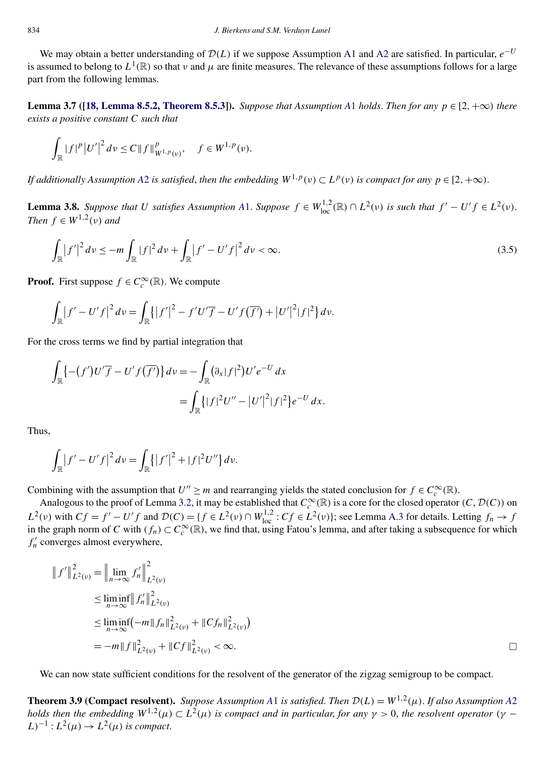<span id="page-7-0"></span>We may obtain a better understanding of  $D(L)$  if we suppose Assumption [A1](#page-2-0) and [A2](#page-2-0) are satisfied. In particular,  $e^{-U}$ is assumed to belong to  $L^1(\mathbb{R})$  so that *v* and  $\mu$  are finite measures. The relevance of these assumptions follows for a large part from the following lemmas.

**Lemma 3.7 ([\[18, Lemma 8.5.2, Theorem 8.5.3\]](#page-33-0)).** *Suppose that [A](#page-2-0)ssumption A1 holds. Then for any*  $p \in [2, +\infty)$  *there exists a positive constant C such that*

$$
\int_{\mathbb{R}} |f|^{p} |U'|^{2} dv \leq C \|f\|_{W^{1,p}(v)}^{p}, \quad f \in W^{1,p}(v).
$$

*If additionally [A](#page-2-0)ssumption A2 is satisfied, then the embedding*  $W^{1,p}(v) \subset L^p(v)$  *is compact for any*  $p \in [2, +\infty)$ *.* 

**Lemma 3.8.** Suppose that U satisfies [A](#page-2-0)ssumption A1. Suppose  $f \in W^{1,2}_{loc}(\mathbb{R}) \cap L^2(\nu)$  is such that  $f' - U'f \in L^2(\nu)$ . *Then*  $f \in W^{1,2}(v)$  *and* 

$$
\int_{\mathbb{R}} |f'|^2 dv \leq -m \int_{\mathbb{R}} |f|^2 dv + \int_{\mathbb{R}} |f' - U'f|^2 dv < \infty.
$$
\n(3.5)

**Proof.** First suppose  $f \in C_c^{\infty}(\mathbb{R})$ . We compute

$$
\int_{\mathbb{R}} |f' - U' f|^2 dv = \int_{\mathbb{R}} \{ |f'|^2 - f' U' \overline{f} - U' f(\overline{f'}) + |U'|^2 |f|^2 \} dv.
$$

For the cross terms we find by partial integration that

$$
\int_{\mathbb{R}} \left\{ -(f')U'\overline{f} - U'f(\overline{f'}) \right\} dv = -\int_{\mathbb{R}} (\partial_x |f|^2)U'e^{-U} dx
$$
  
= 
$$
\int_{\mathbb{R}} \left\{ |f|^2U'' - |U'|^2|f|^2 \right\} e^{-U} dx.
$$

Thus,

$$
\int_{\mathbb{R}} |f' - U' f|^2 dv = \int_{\mathbb{R}} \{|f'|^2 + |f|^2 U''\} dv.
$$

Combining with the assumption that  $U'' \ge m$  and rearranging yields the stated conclusion for  $f \in C_c^{\infty}(\mathbb{R})$ .

Analogous to the proof of Lemma [3.2,](#page-4-0) it may be established that  $C_c^{\infty}(\mathbb{R})$  is a core for the closed operator  $(C, \mathcal{D}(C))$  on  $L^2(\nu)$  with  $Cf = f' - U'f$  and  $\mathcal{D}(C) = \{f \in L^2(\nu) \cap W_{loc}^{1,2} : Cf \in L^2(\nu)\};$  see Lemma [A.3](#page-29-0) for details. Letting  $f_n \to f$ in the graph norm of *C* with  $(f_n) \subset C_c^{\infty}(\mathbb{R})$ , we find that, using Fatou's lemma, and after taking a subsequence for which  $f'_{n}$  converges almost everywhere,

$$
|| f' ||_{L^{2}(v)}^{2} = || \lim_{n \to \infty} f'_{n} ||_{L^{2}(v)}^{2}
$$
  
\n
$$
\leq \liminf_{n \to \infty} || f'_{n} ||_{L^{2}(v)}^{2}
$$
  
\n
$$
\leq \liminf_{n \to \infty} (-m || f_{n} ||_{L^{2}(v)}^{2} + ||C f_{n} ||_{L^{2}(v)}^{2})
$$
  
\n
$$
= -m || f ||_{L^{2}(v)}^{2} + ||C f ||_{L^{2}(v)}^{2} < \infty.
$$

We can now state sufficient conditions for the resolvent of the generator of the zigzag semigroup to be compact.

**Theorem 3.9 (Compact resolvent).** *Suppose [A](#page-2-0)ssumption A1 is satisfied. Then*  $\mathcal{D}(L) = W^{1,2}(\mu)$ . *If also Assumption A2 holds then the embedding*  $W^{1,2}(\mu) \subset L^2(\mu)$  *is compact and in particular, for any*  $\gamma > 0$ *, the resolvent operator*  $(\gamma (L)^{-1}: L^2(\mu) \to L^2(\mu)$  *is compact.*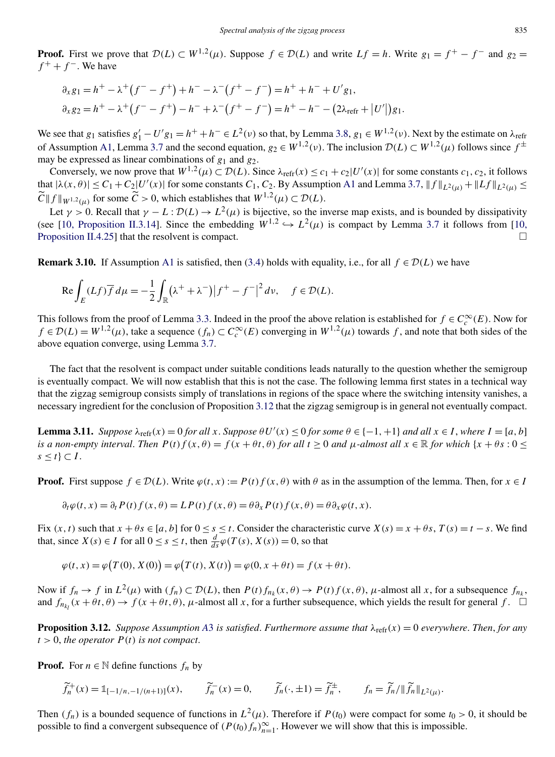<span id="page-8-0"></span>**Proof.** First we prove that  $D(L) \subset W^{1,2}(\mu)$ . Suppose  $f \in D(L)$  and write  $Lf = h$ . Write  $g_1 = f^+ - f^-$  and  $g_2 = f$  $f^+ + f^-$ . We have

$$
\partial_x g_1 = h^+ - \lambda^+ (f^- - f^+) + h^- - \lambda^- (f^+ - f^-) = h^+ + h^- + U' g_1,
$$
  

$$
\partial_x g_2 = h^+ - \lambda^+ (f^- - f^+) - h^- + \lambda^- (f^+ - f^-) = h^+ - h^- - (2\lambda_{\text{refr}} + |U'|) g_1.
$$

We see that  $g_1$  satisfies  $g'_1 - U'g_1 = h^+ + h^- \in L^2(\nu)$  so that, by Lemma [3.8,](#page-7-0)  $g_1 \in W^{1,2}(\nu)$ . Next by the estimate on  $\lambda_{ref}$ of Assumption [A1,](#page-2-0) Lemma [3.7](#page-7-0) and the second equation,  $g_2 \in W^{1,2}(\nu)$ . The inclusion  $\mathcal{D}(L) \subset W^{1,2}(\mu)$  follows since  $f^{\pm}$ may be expressed as linear combinations of *g*<sup>1</sup> and *g*2.

Conversely, we now prove that  $W^{1,2}(\mu) \subset \mathcal{D}(L)$ . Since  $\lambda_{refr}(x) \le c_1 + c_2 |U'(x)|$  for some constants  $c_1, c_2$ , it follows that  $|\lambda(x, \theta)| \le C_1 + C_2|U'(x)|$  for some constants  $C_1$ ,  $C_2$ . By Assumption [A1](#page-2-0) and Lemma [3.7,](#page-7-0)  $||f||_{L^2(\mu)} + ||Lf||_{L^2(\mu)} \le$  $\widetilde{C}$  ||  $f$  ||  $_W$ <sup>1,2</sup>( $\mu$ ) for some  $\widetilde{C} > 0$ , which establishes that  $W^{1,2}(\mu) \subset \mathcal{D}(L)$ .

Let  $\gamma > 0$ . Recall that  $\gamma - L : \mathcal{D}(L) \to L^2(\mu)$  is bijective, so the inverse map exists, and is bounded by dissipativity (see [\[10, Proposition II.3.14\]](#page-33-0). Since the embedding  $W^{1,2} \hookrightarrow L^2(\mu)$  is compact by Lemma [3.7](#page-7-0) it follows from [\[10,](#page-33-0) [Proposition II.4.25\]](#page-33-0) that the resolvent is compact.  $\Box$ 

**Remark 3.10.** If Assumption [A1](#page-2-0) is satisfied, then [\(3.4\)](#page-5-0) holds with equality, i.e., for all  $f \in \mathcal{D}(L)$  we have

$$
\operatorname{Re}\int_{E}(Lf)\overline{f}d\mu=-\frac{1}{2}\int_{\mathbb{R}}(\lambda^{+}+\lambda^{-})|f^{+}-f^{-}|^{2}d\nu, \quad f\in\mathcal{D}(L).
$$

This follows from the proof of Lemma [3.3.](#page-5-0) Indeed in the proof the above relation is established for  $f \in C_c^{\infty}(E)$ . Now for  $f \in \mathcal{D}(L) = W^{1,2}(\mu)$ , take a sequence  $(f_n) \subset C_c^{\infty}(E)$  converging in  $W^{1,2}(\mu)$  towards  $f$ , and note that both sides of the above equation converge, using Lemma [3.7.](#page-7-0)

The fact that the resolvent is compact under suitable conditions leads naturally to the question whether the semigroup is eventually compact. We will now establish that this is not the case. The following lemma first states in a technical way that the zigzag semigroup consists simply of translations in regions of the space where the switching intensity vanishes, a necessary ingredient for the conclusion of Proposition 3.12 that the zigzag semigroup is in general not eventually compact.

**Lemma 3.11.** Suppose  $\lambda_{refr}(x) = 0$  for all x. Suppose  $\theta U'(x) \le 0$  for some  $\theta \in \{-1, +1\}$  and all  $x \in I$ , where  $I = [a, b]$ *is a non-empty interval. Then*  $P(t)f(x, \theta) = f(x + \theta t, \theta)$  *for all*  $t \ge 0$  *and*  $\mu$ *-almost all*  $x \in \mathbb{R}$  *for which*  $\{x + \theta s : 0 \le s \le 0\}$  $s \leq t$   $\subset I$ .

**Proof.** First suppose  $f \in \mathcal{D}(L)$ . Write  $\varphi(t, x) := P(t) f(x, \theta)$  with  $\theta$  as in the assumption of the lemma. Then, for  $x \in I$ 

$$
\partial_t \varphi(t, x) = \partial_t P(t) f(x, \theta) = L P(t) f(x, \theta) = \theta \partial_x P(t) f(x, \theta) = \theta \partial_x \varphi(t, x).
$$

Fix  $(x, t)$  such that  $x + \theta s \in [a, b]$  for  $0 \le s \le t$ . Consider the characteristic curve  $X(s) = x + \theta s$ ,  $T(s) = t - s$ . We find that, since  $X(s) \in I$  for all  $0 \le s \le t$ , then  $\frac{d}{ds} \varphi(T(s), X(s)) = 0$ , so that

$$
\varphi(t, x) = \varphi(T(0), X(0)) = \varphi(T(t), X(t)) = \varphi(0, x + \theta t) = f(x + \theta t).
$$

Now if  $f_n \to f$  in  $L^2(\mu)$  with  $(f_n) \subset \mathcal{D}(L)$ , then  $P(t)f_{n_k}(x,\theta) \to P(t)f(x,\theta)$ ,  $\mu$ -almost all *x*, for a subsequence  $f_{n_k}$ , and  $f_{n_{k_l}}(x + \theta t, \theta) \to f(x + \theta t, \theta)$ , *μ*-almost all *x*, for a further subsequence, which yields the result for general  $f$ .  $\Box$ 

**Proposition 3.12.** Suppose [A](#page-2-0)ssumption A3 is satisfied. Furthermore assume that  $\lambda_{refr}(x) = 0$  everywhere. Then, for any  $t > 0$ , the operator  $P(t)$  is not compact.

**Proof.** For  $n \in \mathbb{N}$  define functions  $f_n$  by

 $\widetilde{f}_n^+(x) = \mathbb{1}_{[-1/n, -1/(n+1)]}(x), \qquad \widetilde{f}_n^-(x) = 0, \qquad \widetilde{f}_n(\cdot, \pm 1) = \widetilde{f}_n^{\pm}, \qquad f_n = \widetilde{f}_n / \|\widetilde{f}_n\|_{L^2(\mu)}.$ 

Then  $(f_n)$  is a bounded sequence of functions in  $L^2(\mu)$ . Therefore if  $P(t_0)$  were compact for some  $t_0 > 0$ , it should be possible to find a convergent subsequence of  $(P(t_0) f_n)_{n=1}^{\infty}$ . However we will show that this is impossible.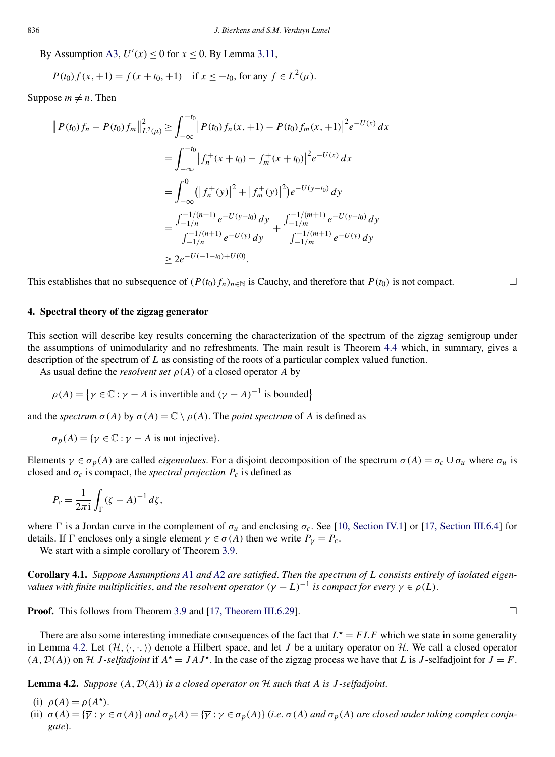<span id="page-9-0"></span>By Assumption [A3,](#page-2-0)  $U'(x) \le 0$  for  $x \le 0$ . By Lemma [3.11,](#page-8-0)

$$
P(t_0) f(x, +1) = f(x + t_0, +1) \quad \text{if } x \le -t_0 \text{, for any } f \in L^2(\mu).
$$

Suppose  $m \neq n$ . Then

$$
\|P(t_0)f_n - P(t_0)f_m\|_{L^2(\mu)}^2 \ge \int_{-\infty}^{-t_0} |P(t_0)f_n(x, +1) - P(t_0)f_m(x, +1)|^2 e^{-U(x)} dx
$$
  
\n
$$
= \int_{-\infty}^{-t_0} |f_n^+(x + t_0) - f_m^+(x + t_0)|^2 e^{-U(x)} dx
$$
  
\n
$$
= \int_{-\infty}^0 (|f_n^+(y)|^2 + |f_m^+(y)|^2) e^{-U(y - t_0)} dy
$$
  
\n
$$
= \frac{\int_{-1/n}^{-1/(n+1)} e^{-U(y - t_0)} dy}{\int_{-1/n}^{-1/(n+1)} e^{-U(y)} dy} + \frac{\int_{-1/m}^{-1/(m+1)} e^{-U(y - t_0)} dy}{\int_{-1/m}^{-1/(m+1)} e^{-U(y)} dy}
$$
  
\n
$$
\ge 2e^{-U(-1 - t_0) + U(0)}.
$$

This establishes that no subsequence of  $(P(t_0) f_n)_{n \in \mathbb{N}}$  is Cauchy, and therefore that  $P(t_0)$  is not compact.  $\Box$ 

#### **4. Spectral theory of the zigzag generator**

This section will describe key results concerning the characterization of the spectrum of the zigzag semigroup under the assumptions of unimodularity and no refreshments. The main result is Theorem [4.4](#page-11-0) which, in summary, gives a description of the spectrum of *L* as consisting of the roots of a particular complex valued function.

As usual define the *resolvent set*  $\rho(A)$  of a closed operator A by

$$
\rho(A) = \{ \gamma \in \mathbb{C} : \gamma - A \text{ is invertible and } (\gamma - A)^{-1} \text{ is bounded} \}
$$

and the *spectrum*  $\sigma(A)$  by  $\sigma(A) = \mathbb{C} \setminus \rho(A)$ . The *point spectrum* of A is defined as

 $\sigma_p(A) = \{ \gamma \in \mathbb{C} : \gamma - A \text{ is not injective} \}.$ 

Elements  $\gamma \in \sigma_p(A)$  are called *eigenvalues*. For a disjoint decomposition of the spectrum  $\sigma(A) = \sigma_c \cup \sigma_u$  where  $\sigma_u$  is closed and  $\sigma_c$  is compact, the *spectral projection*  $P_c$  is defined as

$$
P_c = \frac{1}{2\pi i} \int_{\Gamma} (\zeta - A)^{-1} d\zeta,
$$

where  $\Gamma$  is a Jordan curve in the complement of  $\sigma_u$  and enclosing  $\sigma_c$ . See [\[10, Section IV.1\]](#page-33-0) or [\[17, Section III.6.4\]](#page-33-0) for details. If  $\Gamma$  encloses only a single element  $\gamma \in \sigma(A)$  then we write  $P_{\gamma} = P_c$ .

We start with a simple corollary of Theorem [3.9.](#page-7-0)

**Corollary 4.1.** *Suppose Assumptions [A](#page-2-0)*1 *and [A](#page-2-0)*2 *are satisfied*. *Then the spectrum of L consists entirely of isolated eigenvalues with finite multiplicities, and the resolvent operator*  $(\gamma - L)^{-1}$  *is compact for every*  $\gamma \in \rho(L)$ .

**Proof.** This follows from Theorem [3.9](#page-7-0) and [\[17, Theorem III.6.29\]](#page-33-0).  $\Box$ 

There are also some interesting immediate consequences of the fact that  $L^* = FLF$  which we state in some generality in Lemma 4.2. Let  $(H, \langle \cdot, \cdot \rangle)$  denote a Hilbert space, and let *J* be a unitary operator on H. We call a closed operator  $(A, \mathcal{D}(A))$  on  $\mathcal{H}$  *J*-*selfadjoint* if  $A^* = J A J^*$ . In the case of the zigzag process we have that *L* is *J*-selfadjoint for  $J = F$ .

**Lemma 4.2.** *Suppose*  $(A, \mathcal{D}(A))$  *is a closed operator on*  $H$  *such that*  $A$  *is*  $J$ -*selfadjoint*.

- (i)  $\rho(A) = \rho(A^{\star}).$
- (ii)  $\sigma(A) = {\overline{\gamma} : \gamma \in \sigma(A)}$  and  $\sigma_p(A) = {\overline{\gamma} : \gamma \in \sigma_p(A)}$  (*i.e.*  $\sigma(A)$  *and*  $\sigma_p(A)$  *are closed under taking complex conjugate*).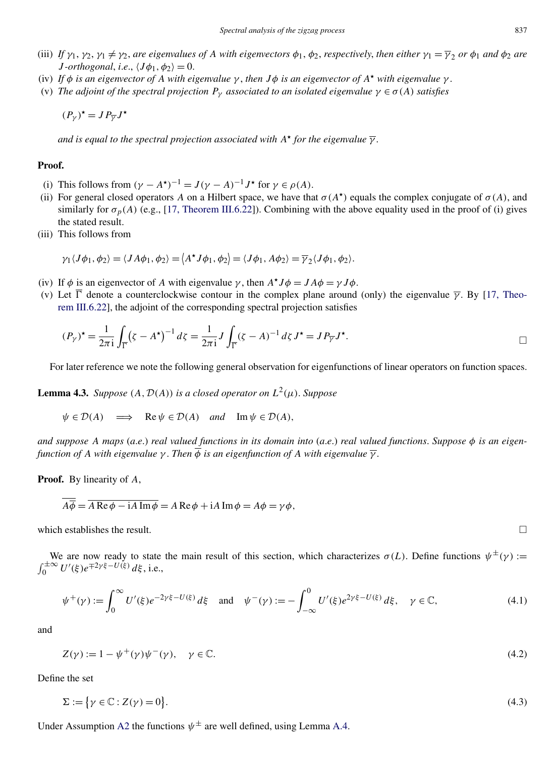- <span id="page-10-0"></span>(iii) If  $\gamma_1, \gamma_2, \gamma_1 \neq \gamma_2$ , are eigenvalues of A with eigenvectors  $\phi_1, \phi_2$ , respectively, then either  $\gamma_1 = \overline{\gamma}_2$  or  $\phi_1$  and  $\phi_2$  are *J -orthogonal*, *i.e.*,  $\langle J\phi_1, \phi_2 \rangle = 0$ .
- (iv) If  $\phi$  *is an eigenvector of A with eigenvalue*  $\gamma$ , *then*  $J\phi$  *is an eigenvector of*  $A^*$  *with eigenvalue*  $\gamma$ .
- (v) *The adjoint of the spectral projection*  $P_\gamma$  *associated to an isolated eigenvalue*  $\gamma \in \sigma(A)$  *satisfies*

$$
(P_{\gamma})^{\star} = J P_{\overline{\gamma}} J^{\star}
$$

*and is equal to the spectral projection associated with*  $A^*$  *for the eigenvalue*  $\overline{\gamma}$ *.* 

#### **Proof.**

- (i) This follows from  $(\gamma A^*)^{-1} = J(\gamma A)^{-1}J^*$  for  $\gamma \in \rho(A)$ .
- (ii) For general closed operators *A* on a Hilbert space, we have that  $\sigma(A^*)$  equals the complex conjugate of  $\sigma(A)$ , and similarly for  $\sigma_p(A)$  (e.g., [\[17, Theorem III.6.22\]](#page-33-0)). Combining with the above equality used in the proof of (i) gives the stated result.
- (iii) This follows from

$$
\gamma_1 \langle J\phi_1, \phi_2 \rangle = \langle J A\phi_1, \phi_2 \rangle = \langle A^{\star} J \phi_1, \phi_2 \rangle = \langle J\phi_1, A\phi_2 \rangle = \overline{\gamma_2} \langle J\phi_1, \phi_2 \rangle.
$$

- (iv) If  $\phi$  is an eigenvector of *A* with eigenvalue  $\gamma$ , then  $A^{\star}J\phi = JA\phi = \gamma J\phi$ .
- (v) Let  $\overline{\Gamma}$  denote a counterclockwise contour in the complex plane around (only) the eigenvalue  $\overline{\gamma}$ . By [\[17, Theo](#page-33-0)[rem III.6.22\]](#page-33-0), the adjoint of the corresponding spectral projection satisfies

$$
(P_Y)^{\star} = \frac{1}{2\pi i} \int_{\overline{\Gamma}} (\zeta - A^{\star})^{-1} d\zeta = \frac{1}{2\pi i} J \int_{\overline{\Gamma}} (\zeta - A)^{-1} d\zeta J^{\star} = J P_{\overline{Y}} J^{\star}.
$$

For later reference we note the following general observation for eigenfunctions of linear operators on function spaces.

**Lemma 4.3.** *Suppose*  $(A, \mathcal{D}(A))$  *is a closed operator on*  $L^2(\mu)$ *. Suppose* 

$$
\psi \in \mathcal{D}(A) \implies \text{Re } \psi \in \mathcal{D}(A) \text{ and } \text{Im } \psi \in \mathcal{D}(A),
$$

*and suppose A maps* (*a*.*e*.) *real valued functions in its domain into* (*a*.*e*.) *real valued functions*. *Suppose φ is an eigenfunction of A with eigenvalue*  $\gamma$ . *Then*  $\overline{\phi}$  *is an eigenfunction of A with eigenvalue*  $\overline{\gamma}$ .

**Proof.** By linearity of *A*,

$$
A\overline{\phi} = \overline{A\operatorname{Re}\phi - iA\operatorname{Im}\phi} = A\operatorname{Re}\phi + iA\operatorname{Im}\phi = A\phi = \gamma\phi,
$$

which establishes the result.  $\Box$ 

We are now ready to state the main result of this section, which characterizes  $\sigma(L)$ . Define functions  $\psi^{\pm}(\gamma)$  :=  $\int_0^{\pm \infty} U'(\xi) e^{\mp 2\gamma \xi - U(\xi)} d\xi$ , i.e.,

$$
\psi^+(\gamma) := \int_0^\infty U'(\xi) e^{-2\gamma \xi - U(\xi)} d\xi \quad \text{and} \quad \psi^-(\gamma) := -\int_{-\infty}^0 U'(\xi) e^{2\gamma \xi - U(\xi)} d\xi, \quad \gamma \in \mathbb{C}, \tag{4.1}
$$

and

$$
Z(\gamma) := 1 - \psi^+(\gamma)\psi^-(\gamma), \quad \gamma \in \mathbb{C}.\tag{4.2}
$$

Define the set

$$
\Sigma := \{ \gamma \in \mathbb{C} : Z(\gamma) = 0 \}. \tag{4.3}
$$

Under Assumption [A2](#page-2-0) the functions  $\psi^{\pm}$  are well defined, using Lemma [A.4.](#page-30-0)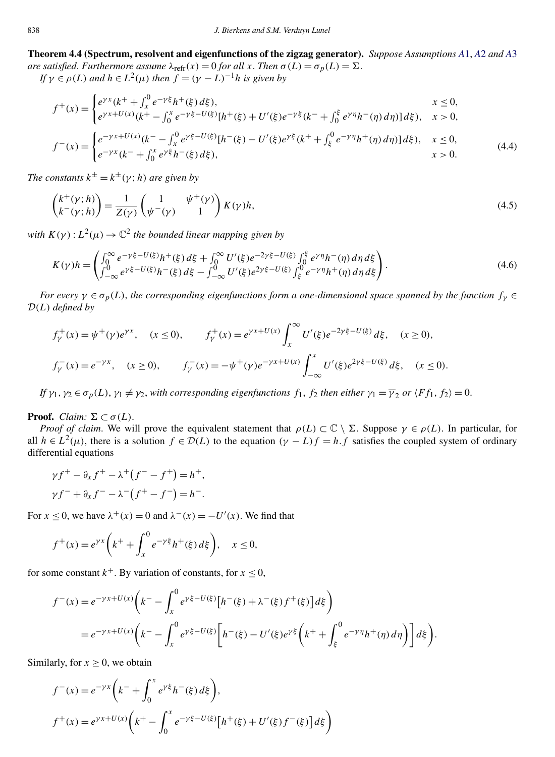<span id="page-11-0"></span>**Theorem 4.4 (Spectrum, resolvent and eigenfunctions of the zigzag generator).** *Suppose Assumptions [A](#page-2-0)*1, *[A](#page-2-0)*2 *and [A](#page-2-0)*3 *are satisfied. Furthermore assume*  $\lambda_{refr}(x) = 0$  *for all x*. *Then*  $\sigma(L) = \sigma_p(L) = \Sigma$ .

*If*  $\gamma \in \rho(L)$  *and*  $h \in L^2(\mu)$  *then*  $f = (\gamma - L)^{-1}h$  *is given by* 

$$
f^{+}(x) = \begin{cases} e^{\gamma x} (k^{+} + \int_{x}^{0} e^{-\gamma \xi} h^{+}(\xi) d\xi), & x \le 0, \\ e^{\gamma x + U(x)} (k^{+} - \int_{0}^{x} e^{-\gamma \xi - U(\xi)} [h^{+}(\xi) + U'(\xi) e^{-\gamma \xi} (k^{-} + \int_{0}^{\xi} e^{\gamma \eta} h^{-}(\eta) d\eta)] d\xi), & x > 0, \end{cases}
$$

$$
f^{-}(x) = \begin{cases} e^{-\gamma x + U(x)}(k^{-} - \int_{x}^{0} e^{\gamma \xi - U(\xi)} [h^{-}(\xi) - U'(\xi)e^{\gamma \xi} (k^{+} + \int_{\xi}^{0} e^{-\gamma \eta} h^{+}(\eta) d\eta)] d\xi), & x \le 0, \\ e^{-\gamma x} (k^{-} + \int_{0}^{x} e^{\gamma \xi} h^{-}(\xi) d\xi), & x > 0. \end{cases}
$$
(4.4)

*The constants*  $k^{\pm} = k^{\pm}(\gamma; h)$  *are given by* 

$$
\begin{pmatrix} k^+(\gamma;h) \\ k^-(\gamma;h) \end{pmatrix} = \frac{1}{Z(\gamma)} \begin{pmatrix} 1 & \psi^+(\gamma) \\ \psi^-(\gamma) & 1 \end{pmatrix} K(\gamma)h,
$$
\n(4.5)

*with*  $K(\gamma): L^2(\mu) \to \mathbb{C}^2$  *the bounded linear mapping given by* 

$$
K(\gamma)h = \begin{pmatrix} \int_0^\infty e^{-\gamma\xi - U(\xi)} h^+(\xi) d\xi + \int_0^\infty U'(\xi) e^{-2\gamma\xi - U(\xi)} \int_0^\xi e^{\gamma\eta} h^-(\eta) d\eta d\xi \\ \int_{-\infty}^0 e^{\gamma\xi - U(\xi)} h^-(\xi) d\xi - \int_{-\infty}^0 U'(\xi) e^{2\gamma\xi - U(\xi)} \int_\xi^0 e^{-\gamma\eta} h^+(\eta) d\eta d\xi \end{pmatrix}.
$$
 (4.6)

*For every*  $\gamma \in \sigma_p(L)$ , *the corresponding eigenfunctions form a one-dimensional space spanned by the function*  $f_\gamma \in$ D*(L) defined by*

$$
f_{\gamma}^{+}(x) = \psi^{+}(\gamma)e^{\gamma x}, \quad (x \le 0), \qquad f_{\gamma}^{+}(x) = e^{\gamma x + U(x)} \int_{x}^{\infty} U'(\xi)e^{-2\gamma\xi - U(\xi)} d\xi, \quad (x \ge 0),
$$
  

$$
f_{\gamma}^{-}(x) = e^{-\gamma x}, \quad (x \ge 0), \qquad f_{\gamma}^{-}(x) = -\psi^{+}(\gamma)e^{-\gamma x + U(x)} \int_{-\infty}^{x} U'(\xi)e^{2\gamma\xi - U(\xi)} d\xi, \quad (x \le 0).
$$

*If*  $\gamma_1, \gamma_2 \in \sigma_p(L), \gamma_1 \neq \gamma_2$ , with corresponding eigenfunctions  $f_1, f_2$  then either  $\gamma_1 = \overline{\gamma}_2$  or  $\langle F f_1, f_2 \rangle = 0$ .

## **Proof.** *Claim:*  $\Sigma \subset \sigma(L)$ .

*Proof of claim.* We will prove the equivalent statement that  $\rho(L) \subset \mathbb{C} \setminus \Sigma$ . Suppose  $\gamma \in \rho(L)$ . In particular, for all  $h \in L^2(\mu)$ , there is a solution  $f \in \mathcal{D}(L)$  to the equation  $(\gamma - L)f = h.f$  satisfies the coupled system of ordinary differential equations

$$
\gamma f^{+} - \partial_{x} f^{+} - \lambda^{+} (f^{-} - f^{+}) = h^{+},
$$
  

$$
\gamma f^{-} + \partial_{x} f^{-} - \lambda^{-} (f^{+} - f^{-}) = h^{-}.
$$

For  $x \le 0$ , we have  $\lambda^+(x) = 0$  and  $\lambda^-(x) = -U'(x)$ . We find that

$$
f^+(x) = e^{\gamma x} \left( k^+ + \int_x^0 e^{-\gamma \xi} h^+(\xi) d\xi \right), \quad x \le 0,
$$

for some constant  $k^+$ . By variation of constants, for  $x \le 0$ ,

$$
f^{-}(x) = e^{-\gamma x + U(x)} \left( k^{-} - \int_{x}^{0} e^{\gamma \xi - U(\xi)} \left[ h^{-}(\xi) + \lambda^{-}(\xi) f^{+}(\xi) \right] d\xi \right)
$$
  
=  $e^{-\gamma x + U(x)} \left( k^{-} - \int_{x}^{0} e^{\gamma \xi - U(\xi)} \left[ h^{-}(\xi) - U'(\xi) e^{\gamma \xi} \left( k^{+} + \int_{\xi}^{0} e^{-\gamma \eta} h^{+}(\eta) d\eta \right) \right] d\xi \right).$ 

Similarly, for  $x > 0$ , we obtain

$$
f^-(x) = e^{-\gamma x} \left( k^- + \int_0^x e^{\gamma \xi} h^-(\xi) d\xi \right),
$$
  

$$
f^+(x) = e^{\gamma x + U(x)} \left( k^+ - \int_0^x e^{-\gamma \xi - U(\xi)} \left[ h^+(\xi) + U'(\xi) f^-(\xi) \right] d\xi \right)
$$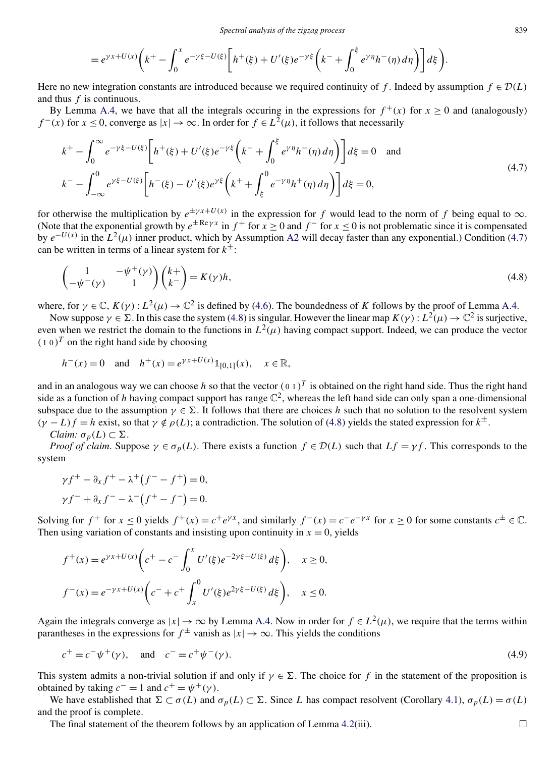$$
=e^{\gamma x+U(x)}\bigg(k^+-\int_0^x e^{-\gamma\xi-U(\xi)}\bigg[h^+(\xi)+U'(\xi)e^{-\gamma\xi}\bigg(k^-+\int_0^{\xi} e^{\gamma\eta}h^-(\eta)\,d\eta\bigg)\bigg]d\xi\bigg).
$$

<span id="page-12-0"></span>Here no new integration constants are introduced because we required continuity of *f*. Indeed by assumption  $f \in \mathcal{D}(L)$ and thus *f* is continuous.

By Lemma [A.4,](#page-30-0) we have that all the integrals occuring in the expressions for  $f^+(x)$  for  $x \ge 0$  and (analogously) *f* <sup>−</sup>(*x*) for *x* < 0, converge as  $|x|$  → ∞. In order for *f* ∈  $L^2(u)$ , it follows that necessarily

$$
k^{+} - \int_{0}^{\infty} e^{-\gamma \xi - U(\xi)} \left[ h^{+}(\xi) + U'(\xi) e^{-\gamma \xi} \left( k^{-} + \int_{0}^{\xi} e^{\gamma \eta} h^{-}(\eta) d\eta \right) \right] d\xi = 0 \text{ and}
$$
  
\n
$$
k^{-} - \int_{-\infty}^{0} e^{\gamma \xi - U(\xi)} \left[ h^{-}(\xi) - U'(\xi) e^{\gamma \xi} \left( k^{+} + \int_{\xi}^{0} e^{-\gamma \eta} h^{+}(\eta) d\eta \right) \right] d\xi = 0,
$$
\n(4.7)

for otherwise the multiplication by  $e^{\pm \gamma x + U(x)}$  in the expression for *f* would lead to the norm of *f* being equal to  $\infty$ . (Note that the exponential growth by  $e^{\pm \text{Re}\gamma x}$  in  $f^+$  for  $x \ge 0$  and  $f^-$  for  $x \le 0$  is not problematic since it is compensated by  $e^{-U(x)}$  in the  $L^2(\mu)$  inner product, which by Assumption [A2](#page-2-0) will decay faster than any exponential.) Condition (4.7) can be written in terms of a linear system for  $k^{\pm}$ :

$$
\begin{pmatrix} 1 & -\psi^+(\gamma) \\ -\psi^-(\gamma) & 1 \end{pmatrix} \begin{pmatrix} k+ \\ k \end{pmatrix} = K(\gamma)h,
$$
\n(4.8)

where, for  $\gamma \in \mathbb{C}$ ,  $K(\gamma) : L^2(\mu) \to \mathbb{C}^2$  is defined by [\(4.6\)](#page-11-0). The boundedness of *K* follows by the proof of Lemma [A.4.](#page-30-0)

Now suppose  $\gamma \in \Sigma$ . In this case the system (4.8) is singular. However the linear map  $K(\gamma): L^2(\mu) \to \mathbb{C}^2$  is surjective, even when we restrict the domain to the functions in  $L^2(\mu)$  having compact support. Indeed, we can produce the vector  $(10)^T$  on the right hand side by choosing

$$
h^-(x) = 0
$$
 and  $h^+(x) = e^{\gamma x + U(x)} \mathbb{1}_{[0,1]}(x), \quad x \in \mathbb{R},$ 

and in an analogous way we can choose *h* so that the vector  $(0\ 1)^T$  is obtained on the right hand side. Thus the right hand side as a function of *h* having compact support has range  $\mathbb{C}^2$ , whereas the left hand side can only span a one-dimensional subspace due to the assumption  $\gamma \in \Sigma$ . It follows that there are choices *h* such that no solution to the resolvent system  $(\gamma - L)f = h$  exist, so that  $\gamma \notin \rho(L)$ ; a contradiction. The solution of (4.8) yields the stated expression for  $k^{\pm}$ .

$$
Claim: \sigma_p(L) \subset \Sigma.
$$

*Proof of claim.* Suppose  $\gamma \in \sigma_p(L)$ . There exists a function  $f \in \mathcal{D}(L)$  such that  $Lf = \gamma f$ . This corresponds to the system

$$
\gamma f^{+} - \partial_{x} f^{+} - \lambda^{+} (f^{-} - f^{+}) = 0,
$$
  

$$
\gamma f^{-} + \partial_{x} f^{-} - \lambda^{-} (f^{+} - f^{-}) = 0.
$$

Solving for  $f^+$  for  $x \le 0$  yields  $f^+(x) = c^+e^{\gamma x}$ , and similarly  $f^-(x) = c^-e^{-\gamma x}$  for  $x \ge 0$  for some constants  $c^{\pm} \in \mathbb{C}$ . Then using variation of constants and insisting upon continuity in  $x = 0$ , yields

$$
f^+(x) = e^{\gamma x + U(x)} \left( c^+ - c^- \int_0^x U'(\xi) e^{-2\gamma \xi - U(\xi)} d\xi \right), \quad x \ge 0,
$$
  

$$
f^-(x) = e^{-\gamma x + U(x)} \left( c^- + c^+ \int_x^0 U'(\xi) e^{2\gamma \xi - U(\xi)} d\xi \right), \quad x \le 0.
$$

Again the integrals converge as  $|x| \to \infty$  by Lemma [A.4.](#page-30-0) Now in order for  $f \in L^2(\mu)$ , we require that the terms within parantheses in the expressions for  $f^{\pm}$  vanish as  $|x| \to \infty$ . This yields the conditions

$$
c^+ = c^- \psi^+(\gamma)
$$
, and  $c^- = c^+ \psi^-(\gamma)$ . (4.9)

This system admits a non-trivial solution if and only if  $\gamma \in \Sigma$ . The choice for *f* in the statement of the proposition is obtained by taking  $c^- = 1$  and  $c^+ = \psi^+(\gamma)$ .

We have established that  $\Sigma \subset \sigma(L)$  and  $\sigma_p(L) \subset \Sigma$ . Since *L* has compact resolvent (Corollary [4.1\)](#page-9-0),  $\sigma_p(L) = \sigma(L)$ and the proof is complete.

The final statement of the theorem follows by an application of Lemma [4.2\(](#page-9-0)iii).  $\Box$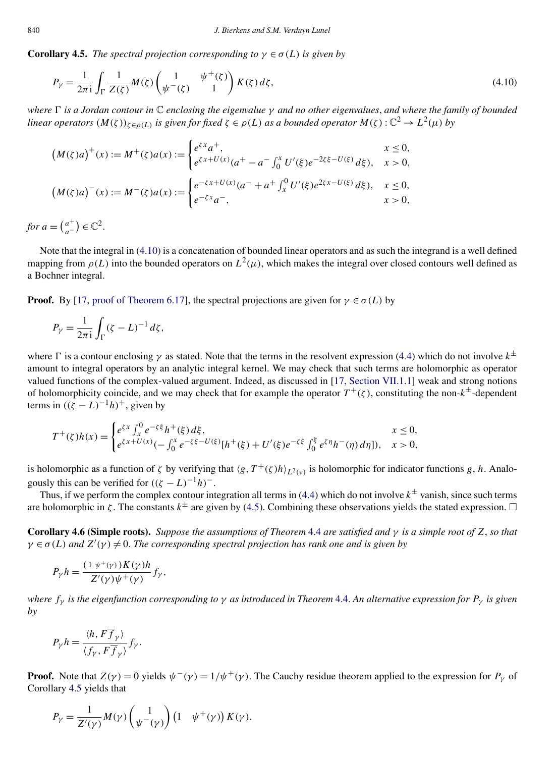<span id="page-13-0"></span>**Corollary 4.5.** *The spectral projection corresponding to*  $\gamma \in \sigma(L)$  *is given by* 

$$
P_{\gamma} = \frac{1}{2\pi i} \int_{\Gamma} \frac{1}{Z(\zeta)} M(\zeta) \begin{pmatrix} 1 & \psi^+(\zeta) \\ \psi^-(\zeta) & 1 \end{pmatrix} K(\zeta) d\zeta,
$$
\n(4.10)

*where is a Jordan contour in* C *enclosing the eigenvalue γ and no other eigenvalues*, *and where the family of bounded linear operators*  $(M(\zeta))_{\zeta \in \rho(L)}$  *is given for fixed*  $\zeta \in \rho(L)$  *as a bounded operator*  $M(\zeta): \mathbb{C}^2 \to L^2(\mu)$  *by* 

$$
(M(\zeta)a)^+(x) := M^+(\zeta)a(x) := \begin{cases} e^{\zeta x}a^+, & x \le 0, \\ e^{\zeta x + U(x)}(a^+ - a^- \int_0^x U'(\xi)e^{-2\zeta \xi - U(\xi)} d\xi), & x > 0, \end{cases}
$$
  

$$
(M(\zeta)a)^-(x) := M^-(\zeta)a(x) := \begin{cases} e^{-\zeta x + U(x)}(a^- + a^+ \int_x^0 U'(\xi)e^{2\zeta x - U(\xi)} d\xi), & x \le 0, \\ e^{-\zeta x}a^-, & x > 0, \end{cases}
$$

*for*  $a = \binom{a^+}{a^-} \in \mathbb{C}^2$ .

Note that the integral in (4.10) is a concatenation of bounded linear operators and as such the integrand is a well defined mapping from  $\rho(L)$  into the bounded operators on  $L^2(\mu)$ , which makes the integral over closed contours well defined as a Bochner integral.

**Proof.** By [\[17, proof of Theorem 6.17\]](#page-33-0), the spectral projections are given for  $\gamma \in \sigma(L)$  by

$$
P_{\gamma} = \frac{1}{2\pi i} \int_{\Gamma} (\zeta - L)^{-1} d\zeta,
$$

where  $\Gamma$  is a contour enclosing  $\gamma$  as stated. Note that the terms in the resolvent expression [\(4.4\)](#page-11-0) which do not involve  $k^{\pm}$ amount to integral operators by an analytic integral kernel. We may check that such terms are holomorphic as operator valued functions of the complex-valued argument. Indeed, as discussed in [\[17, Section VII.1.1\]](#page-33-0) weak and strong notions of holomorphicity coincide, and we may check that for example the operator  $T^+(\zeta)$ , constituting the non- $k^{\pm}$ -dependent terms in  $((\zeta - L)^{-1}h)^+$ , given by

$$
T^{+}(\zeta)h(x) = \begin{cases} e^{\zeta x} \int_{x}^{0} e^{-\zeta \xi} h^{+}(\xi) d\xi, & x \le 0, \\ e^{\zeta x + U(x)} (-\int_{0}^{x} e^{-\zeta \xi - U(\xi)} [h^{+}(\xi) + U'(\xi) e^{-\zeta \xi}] \int_{0}^{\xi} e^{\zeta \eta} h^{-}(\eta) d\eta], & x > 0, \end{cases}
$$

is holomorphic as a function of  $\zeta$  by verifying that  $\langle g, T^+(\zeta)h \rangle_{L^2(\nu)}$  is holomorphic for indicator functions  $g, h$ . Analogously this can be verified for  $((\zeta - L)^{-1}h)^{-}$ .

Thus, if we perform the complex contour integration all terms in [\(4.4\)](#page-11-0) which do not involve  $k^{\pm}$  vanish, since such terms are holomorphic in  $\zeta$ . The constants  $k^{\pm}$  are given by [\(4.5\)](#page-11-0). Combining these observations yields the stated expression.  $\Box$ 

**Corollary 4.6 (Simple roots).** *Suppose the assumptions of Theorem* [4.4](#page-11-0) *are satisfied and γ is a simple root of Z*, *so that*  $\gamma \in \sigma(L)$  *and*  $Z'(\gamma) \neq 0$ . The corresponding spectral projection has rank one and is given by

$$
P_{\gamma}h = \frac{(1 \psi^+(\gamma))K(\gamma)h}{Z'(\gamma)\psi^+(\gamma)}f_{\gamma},
$$

*where fγ is the eigenfunction corresponding to γ as introduced in Theorem* [4.4.](#page-11-0) *An alternative expression for Pγ is given by*

$$
P_{\gamma}h = \frac{\langle h, F\overline{f}_{\gamma} \rangle}{\langle f_{\gamma}, F\overline{f}_{\gamma} \rangle} f_{\gamma}.
$$

**Proof.** Note that  $Z(\gamma) = 0$  yields  $\psi^{-}(\gamma) = 1/\psi^{+}(\gamma)$ . The Cauchy residue theorem applied to the expression for  $P_{\gamma}$  of Corollary 4.5 yields that

$$
P_{\gamma} = \frac{1}{Z'(\gamma)} M(\gamma) \begin{pmatrix} 1 \\ \psi^{-}(\gamma) \end{pmatrix} \begin{pmatrix} 1 & \psi^{+}(\gamma) \end{pmatrix} K(\gamma).
$$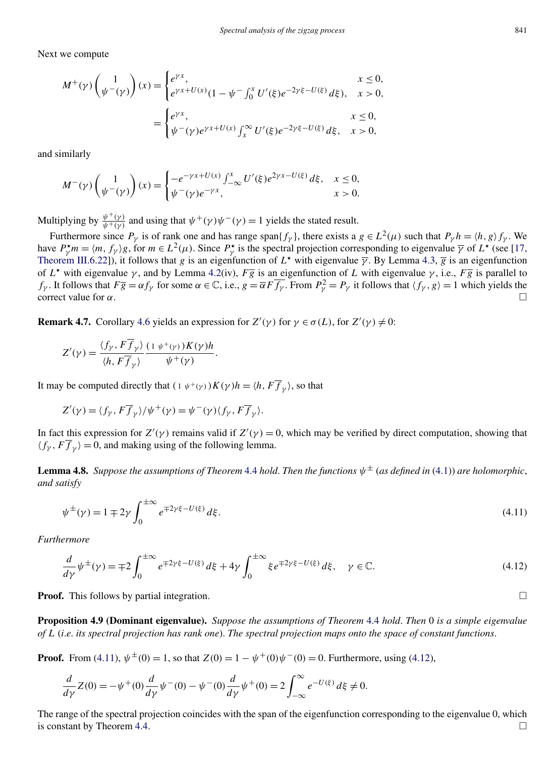<span id="page-14-0"></span>Next we compute

$$
M^{+}(\gamma) \begin{pmatrix} 1 \\ \psi^{-}(\gamma) \end{pmatrix} (x) = \begin{cases} e^{\gamma x}, & x \le 0, \\ e^{\gamma x + U(x)} (1 - \psi^{-} \int_{0}^{x} U'(\xi) e^{-2\gamma \xi - U(\xi)} d\xi), & x > 0, \\ e^{\gamma x}, & x \le 0, \\ \psi^{-}(\gamma) e^{\gamma x + U(x)} \int_{x}^{\infty} U'(\xi) e^{-2\gamma \xi - U(\xi)} d\xi, & x > 0, \end{cases}
$$

and similarly

$$
M^-(\gamma)\begin{pmatrix}1\\\psi^-(\gamma)\end{pmatrix}(x) = \begin{cases} -e^{-\gamma x + U(x)} \int_{-\infty}^x U'(\xi) e^{2\gamma x - U(\xi)} d\xi, & x \le 0, \\ \psi^-(\gamma)e^{-\gamma x}, & x > 0. \end{cases}
$$

Multiplying by  $\frac{\psi^+(y)}{\psi^+(y)}$  and using that  $\psi^+(\gamma)\psi^-(\gamma) = 1$  yields the stated result.

Furthermore since  $P_\gamma$  is of rank one and has range span $\{f_\gamma\}$ , there exists a  $g \in L^2(\mu)$  such that  $P_\gamma h = \langle h, g \rangle f_\gamma$ . We have  $P^{\star}_{\gamma} m = \langle m, f_{\gamma} \rangle g$ , for  $m \in L^2(\mu)$ . Since  $P^{\star}_{\gamma}$  is the spectral projection corresponding to eigenvalue  $\overline{\gamma}$  of  $L^{\star}$  (see [\[17,](#page-33-0) [Theorem III.6.22\]](#page-33-0)), it follows that *g* is an eigenfunction of  $L^*$  with eigenvalue  $\overline{\gamma}$ . By Lemma [4.3,](#page-10-0)  $\overline{g}$  is an eigenfunction of  $L^*$  with eigenvalue  $\gamma$ , and by Lemma [4.2\(](#page-9-0)iv),  $F\overline{g}$  is an eigenfunction of  $L$  with eigenvalue  $\gamma$ , i.e.,  $F\overline{g}$  is parallel to *fγ*. It follows that  $F\overline{g} = \alpha f_\gamma$  for some  $\alpha \in \mathbb{C}$ , i.e.,  $g = \overline{\alpha} F \overline{f_\gamma}$ . From  $P_\gamma^2 = P_\gamma$  it follows that  $\langle f_\gamma, g \rangle = 1$  which yields the correct value for  $\alpha$ .  $\Box$ 

**Remark 4.7.** Corollary [4.6](#page-13-0) yields an expression for  $Z'(\gamma)$  for  $\gamma \in \sigma(L)$ , for  $Z'(\gamma) \neq 0$ :

$$
Z'(\gamma) = \frac{\langle f_{\gamma}, F \overline{f}_{\gamma} \rangle}{\langle h, F \overline{f}_{\gamma} \rangle} \frac{(1 \psi^{+}(\gamma)) K(\gamma) h}{\psi^{+}(\gamma)}.
$$

It may be computed directly that  $(1 \psi^+(\gamma))K(\gamma)h = \langle h, F\overline{f}_\gamma \rangle$ , so that

$$
Z'(\gamma) = \langle f_{\gamma}, F \overline{f}_{\gamma} \rangle / \psi^{+}(\gamma) = \psi^{-}(\gamma) \langle f_{\gamma}, F \overline{f}_{\gamma} \rangle.
$$

In fact this expression for  $Z'(\gamma)$  remains valid if  $Z'(\gamma) = 0$ , which may be verified by direct computation, showing that  $\langle f_{\gamma}, F f_{\gamma} \rangle = 0$ , and making using of the following lemma.

**Lemma 4.8.** *Suppose the assumptions of Theorem* [4.4](#page-11-0) *hold. Then the functions*  $\psi^{\pm}$  (*as defined in* [\(4.1\)](#page-10-0)) *are holomorphic*, *and satisfy*

$$
\psi^{\pm}(\gamma) = 1 \mp 2\gamma \int_0^{\pm \infty} e^{\mp 2\gamma \xi - U(\xi)} d\xi.
$$
\n(4.11)

*Furthermore*

$$
\frac{d}{d\gamma}\psi^{\pm}(\gamma) = \mp 2\int_0^{\pm\infty} e^{\mp2\gamma\xi - U(\xi)} d\xi + 4\gamma \int_0^{\pm\infty} \xi e^{\mp2\gamma\xi - U(\xi)} d\xi, \quad \gamma \in \mathbb{C}.\tag{4.12}
$$

**Proof.** This follows by partial integration.

**Proposition 4.9 (Dominant eigenvalue).** *Suppose the assumptions of Theorem* [4.4](#page-11-0) *hold*. *Then* 0 *is a simple eigenvalue of L* (*i*.*e*. *its spectral projection has rank one*). *The spectral projection maps onto the space of constant functions*.

**Proof.** From (4.11),  $\psi^{\pm}(0) = 1$ , so that  $Z(0) = 1 - \psi^+(0)\psi^-(0) = 0$ . Furthermore, using (4.12),

$$
\frac{d}{d\gamma}Z(0) = -\psi^+(0)\frac{d}{d\gamma}\psi^-(0) - \psi^-(0)\frac{d}{d\gamma}\psi^+(0) = 2\int_{-\infty}^{\infty}e^{-U(\xi)}d\xi \neq 0.
$$

The range of the spectral projection coincides with the span of the eigenfunction corresponding to the eigenvalue 0, which is constant by Theorem [4.4.](#page-11-0)  $\Box$ 

$$
\Box
$$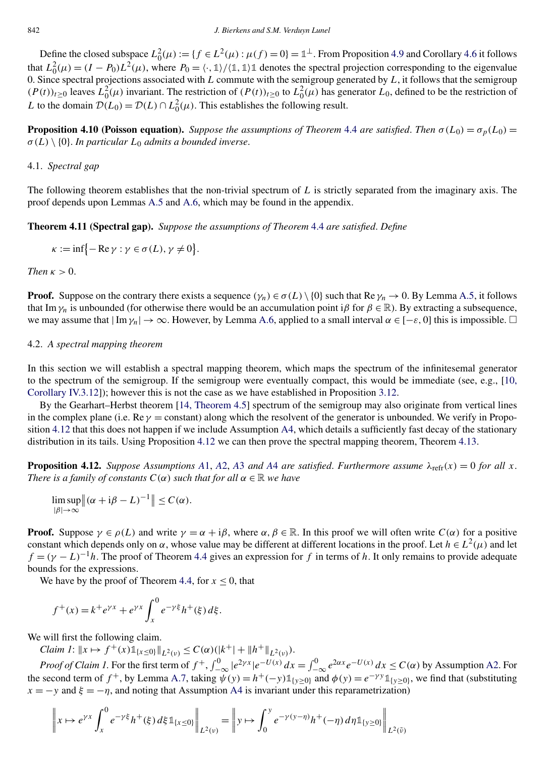<span id="page-15-0"></span>Define the closed subspace  $L_0^2(\mu) := \{f \in L^2(\mu) : \mu(f) = 0\} = \mathbb{1}^{\perp}$ . From Proposition [4.9](#page-14-0) and Corollary [4.6](#page-13-0) it follows that  $L_0^2(\mu) = (I - P_0)L^2(\mu)$ , where  $P_0 = \langle \cdot, \mathbb{1} \rangle / \langle \mathbb{1}, \mathbb{1} \rangle \mathbb{1}$  denotes the spectral projection corresponding to the eigenvalue 0. Since spectral projections associated with *L* commute with the semigroup generated by *L*, it follows that the semigroup  $(P(t))_{t\geq0}$  leaves  $L_0^2(\mu)$  invariant. The restriction of  $(P(t))_{t\geq0}$  to  $L_0^2(\mu)$  has generator  $L_0$ , defined to be the restriction of *L* to the domain  $\mathcal{D}(L_0) = \mathcal{D}(L) \cap L_0^2(\mu)$ . This establishes the following result.

**Proposition 4.10 (Poisson equation).** *Suppose the assumptions of Theorem* [4.4](#page-11-0) *are satisfied. Then*  $\sigma(L_0) = \sigma_p(L_0)$ *σ(L)* \ {0}. *In particular L*<sup>0</sup> *admits a bounded inverse*.

#### 4.1. *Spectral gap*

The following theorem establishes that the non-trivial spectrum of *L* is strictly separated from the imaginary axis. The proof depends upon Lemmas [A.5](#page-31-0) and [A.6,](#page-31-0) which may be found in the appendix.

**Theorem 4.11 (Spectral gap).** *Suppose the assumptions of Theorem* [4.4](#page-11-0) *are satisfied*. *Define*

$$
\kappa := \inf \{-\operatorname{Re}\gamma : \gamma \in \sigma(L), \gamma \neq 0\}.
$$

*Then*  $\kappa > 0$ .

**Proof.** Suppose on the contrary there exists a sequence  $(\gamma_n) \in \sigma(L) \setminus \{0\}$  such that Re  $\gamma_n \to 0$ . By Lemma [A.5,](#page-31-0) it follows that Im  $\gamma_n$  is unbounded (for otherwise there would be an accumulation point i $\beta$  for  $\beta \in \mathbb{R}$ ). By extracting a subsequence, we may assume that  $|\text{Im }\gamma_n|\to\infty$ . However, by Lemma [A.6,](#page-31-0) applied to a small interval  $\alpha \in [-\varepsilon, 0]$  this is impossible.  $\Box$ 

## 4.2. *A spectral mapping theorem*

In this section we will establish a spectral mapping theorem, which maps the spectrum of the infinitesemal generator to the spectrum of the semigroup. If the semigroup were eventually compact, this would be immediate (see, e.g., [\[10,](#page-33-0) [Corollary IV.3.12\]](#page-33-0)); however this is not the case as we have established in Proposition [3.12.](#page-8-0)

By the Gearhart–Herbst theorem [\[14, Theorem 4.5\]](#page-33-0) spectrum of the semigroup may also originate from vertical lines in the complex plane (i.e.  $\text{Re } \gamma = \text{constant}$ ) along which the resolvent of the generator is unbounded. We verify in Proposition 4.12 that this does not happen if we include Assumption [A4,](#page-2-0) which details a sufficiently fast decay of the stationary distribution in its tails. Using Proposition 4.12 we can then prove the spectral mapping theorem, Theorem [4.13.](#page-17-0)

**Proposition 4.12.** *Suppose [A](#page-2-0)ssumptions A*1, *A*2, *A*3 *and A*4 *are satisfied. Furthermore assume*  $\lambda_{\text{refr}}(x) = 0$  *for all x*. *There is a family of constants*  $C(\alpha)$  *such that for all*  $\alpha \in \mathbb{R}$  *we have* 

$$
\limsup_{|\beta| \to \infty} ||(\alpha + i\beta - L)^{-1}|| \leq C(\alpha).
$$

**Proof.** Suppose  $\gamma \in \rho(L)$  and write  $\gamma = \alpha + i\beta$ , where  $\alpha, \beta \in \mathbb{R}$ . In this proof we will often write  $C(\alpha)$  for a positive constant which depends only on  $\alpha$ , whose value may be different at different locations in the proof. Let  $h \in L^2(\mu)$  and let  $f = (\gamma - L)^{-1}h$ . The proof of Theorem [4.4](#page-11-0) gives an expression for *f* in terms of *h*. It only remains to provide adequate bounds for the expressions.

We have by the proof of Theorem [4.4,](#page-11-0) for  $x \le 0$ , that

$$
f^+(x) = k^+ e^{\gamma x} + e^{\gamma x} \int_x^0 e^{-\gamma \xi} h^+(\xi) d\xi.
$$

We will first the following claim.

*Claim 1*:  $||x \mapsto f^+(x)1||_{x \leq 0} ||_{L^2(\nu)} \leq C(\alpha)(|k^+|+||h^+||_{L^2(\nu)})$ .

*Proof of Claim 1*. For the first term of  $f^+$ ,  $\int_{-\infty}^0 |e^{2\gamma x}| e^{-U(x)} dx = \int_{-\infty}^0 e^{2\alpha x} e^{-U(x)} dx \le C(\alpha)$  by Assumption [A2.](#page-2-0) For the second term of  $f^+$ , by Lemma [A.7,](#page-32-0) taking  $\psi(y) = h^+(-y) \mathbb{1}_{\{y>0\}}$  and  $\phi(y) = e^{-\gamma y} \mathbb{1}_{\{y>0\}}$ , we find that (substituting  $x = -y$  and  $\xi = -\eta$ , and noting that Assumption [A4](#page-2-0) is invariant under this reparametrization)

$$
\left\| x \mapsto e^{\gamma x} \int_x^0 e^{-\gamma \xi} h^+(\xi) d\xi \mathbb{1}_{\{x \le 0\}} \right\|_{L^2(\nu)} = \left\| y \mapsto \int_0^y e^{-\gamma (y - \eta)} h^+(-\eta) d\eta \mathbb{1}_{\{y \ge 0\}} \right\|_{L^2(\tilde{\nu})}
$$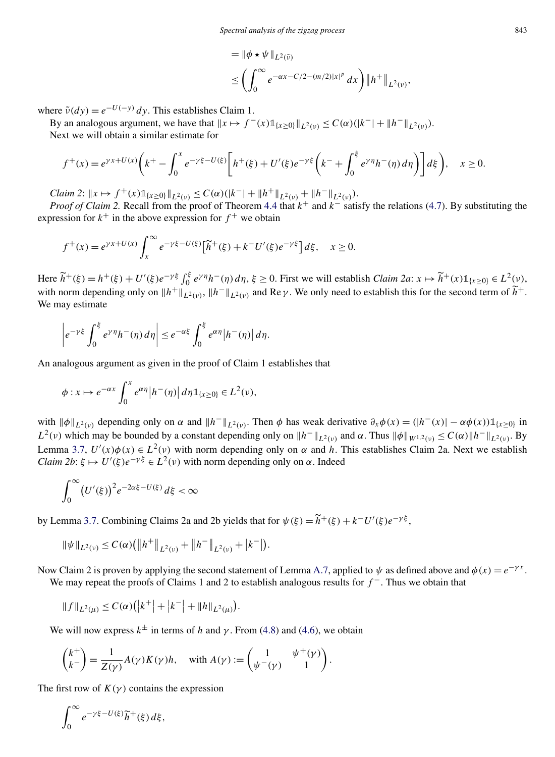$$
= \|\phi \star \psi\|_{L^2(\tilde{\nu})}
$$
  
\$\leq \left(\int\_0^\infty e^{-\alpha x - C/2 - (m/2)|x|^p} dx\right) \|h^+\|\_{L^2(\nu)},\$

where  $\tilde{v}(dy) = e^{-U(-y)} dy$ . This establishes Claim 1.

By an analogous argument, we have that  $||x \mapsto f^{-}(x) \mathbb{1}_{\{x > 0\}} ||_{L^{2}(v)} \leq C(\alpha)(|k^{-}| + ||h^{-}||_{L^{2}(v)}).$ Next we will obtain a similar estimate for

$$
f^+(x) = e^{\gamma x + U(x)} \left( k^+ - \int_0^x e^{-\gamma \xi - U(\xi)} \left[ h^+(\xi) + U'(\xi) e^{-\gamma \xi} \left( k^- + \int_0^{\xi} e^{\gamma \eta} h^-(\eta) d\eta \right) \right] d\xi \right), \quad x \ge 0.
$$

*Claim 2*:  $\|x \mapsto f^+(x)\mathbb{1}_{\{x \geq 0\}}\|_{L^2(\nu)} \leq C(\alpha)(|k^-| + \|h^+\|_{L^2(\nu)} + \|h^-\|_{L^2(\nu)}).$ 

*Proof of Claim 2.* Recall from the proof of Theorem [4.4](#page-11-0) that  $k^+$  and  $k^-$  satisfy the relations [\(4.7\)](#page-12-0). By substituting the expression for  $k^+$  in the above expression for  $f^+$  we obtain

$$
f^+(x) = e^{\gamma x + U(x)} \int_x^{\infty} e^{-\gamma \xi - U(\xi)} \left[\widetilde{h}^+(\xi) + k^- U'(\xi) e^{-\gamma \xi}\right] d\xi, \quad x \ge 0.
$$

Here  $\widetilde{h}^+(\xi) = h^+(\xi) + U'(\xi)e^{-\gamma\xi} \int_0^{\xi} e^{\gamma\eta} h^-(\eta) d\eta$ ,  $\xi \ge 0$ . First we will establish *Claim 2a*:  $x \mapsto \widetilde{h}^+(x) \mathbb{1}_{\{x \ge 0\}} \in L^2(\mathcal{V})$ . with norm depending only on  $||h^+||_{L^2(\nu)}$ ,  $||h^-||_{L^2(\nu)}$  and Re  $\gamma$ . We only need to establish this for the second term of  $\widetilde{h}^+$ . We may estimate

$$
\left|e^{-\gamma\xi}\int_0^{\xi}e^{\gamma\eta}h^{-}(\eta)\,d\eta\right|\leq e^{-\alpha\xi}\int_0^{\xi}e^{\alpha\eta}\left|h^{-}(\eta)\right|d\eta.
$$

An analogous argument as given in the proof of Claim 1 establishes that

$$
\phi: x \mapsto e^{-\alpha x} \int_0^x e^{\alpha \eta} |h^-(\eta)| d\eta \mathbb{1}_{\{x \ge 0\}} \in L^2(\nu),
$$

with  $\|\phi\|_{L^2(\nu)}$  depending only on  $\alpha$  and  $\|h^-\|_{L^2(\nu)}$ . Then  $\phi$  has weak derivative  $\partial_x \phi(x) = (|h^-(x)| - \alpha \phi(x)) \mathbb{1}_{\{x \geq 0\}}$  in *L*<sup>2</sup>*(ν)* which may be bounded by a constant depending only on  $|h^-|_{L^2(v)}$  and *α*. Thus  $|\phi|_{W^{1,2}(v)} \leq C(\alpha) ||h^-|_{L^2(v)}$ . By Lemma [3.7,](#page-7-0)  $U'(x)\phi(x) \in L^2(v)$  with norm depending only on  $\alpha$  and  $h$ . This establishes Claim 2a. Next we establish *Claim 2b*:  $\xi \mapsto U'(\xi)e^{-\gamma\xi} \in L^2(\nu)$  with norm depending only on  $\alpha$ . Indeed

$$
\int_0^\infty \bigl(U'(\xi)\bigr)^2 e^{-2\alpha\xi - U(\xi)} d\xi < \infty
$$

by Lemma [3.7.](#page-7-0) Combining Claims 2a and 2b yields that for  $\psi(\xi) = \widetilde{h}^+(\xi) + k^-U'(\xi)e^{-\gamma\xi}$ ,

$$
\|\psi\|_{L^2(\nu)} \leq C(\alpha) \big( \big\|h^+\big\|_{L^2(\nu)} + \big\|h^-\big\|_{L^2(\nu)} + |k^-|\big).
$$

Now Claim 2 is proven by applying the second statement of Lemma [A.7,](#page-32-0) applied to  $\psi$  as defined above and  $\phi(x) = e^{-\gamma x}$ . We may repeat the proofs of Claims 1 and 2 to establish analogous results for *f* <sup>−</sup>. Thus we obtain that

$$
||f||_{L^2(\mu)} \leq C(\alpha) (|k^+| + |k^-| + ||h||_{L^2(\mu)}).
$$

We will now express  $k^{\pm}$  in terms of *h* and *γ*. From [\(4.8\)](#page-12-0) and [\(4.6\)](#page-11-0), we obtain

$$
\begin{pmatrix} k^+ \\ k^- \end{pmatrix} = \frac{1}{Z(\gamma)} A(\gamma) K(\gamma) h, \quad \text{with } A(\gamma) := \begin{pmatrix} 1 & \psi^+(\gamma) \\ \psi^-(\gamma) & 1 \end{pmatrix}.
$$

The first row of  $K(y)$  contains the expression

$$
\int_0^\infty e^{-\gamma\xi-U(\xi)}\widetilde{h}^+(\xi)\,d\xi,
$$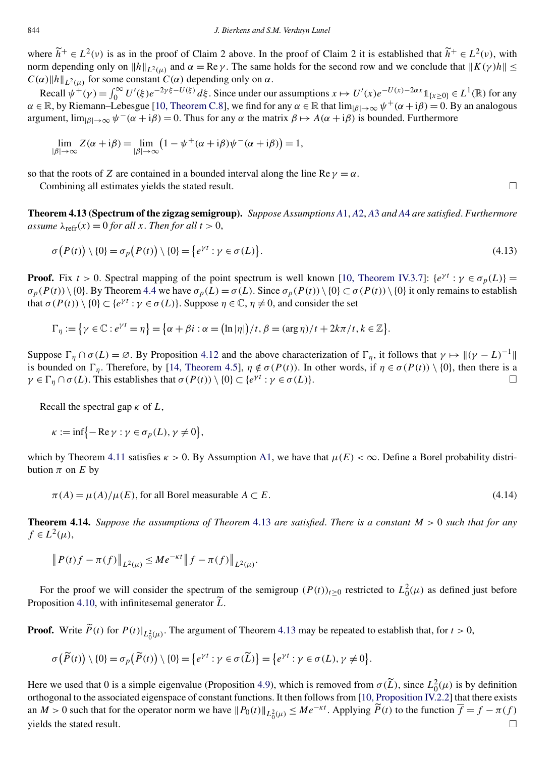<span id="page-17-0"></span>where  $\tilde{h}^+ \in L^2(\nu)$  is as in the proof of Claim 2 above. In the proof of Claim 2 it is established that  $\tilde{h}^+ \in L^2(\nu)$ , with norm depending only on  $||h||_{L^2(\mu)}$  and  $\alpha = \text{Re }\gamma$ . The same holds for the second row and we conclude that  $||K(\gamma)h|| \leq$  $C(\alpha)$ *h*<sup>*l*</sup><sub>*L*<sup>2</sup>(*μ*)</sub> for some constant  $C(\alpha)$  depending only on  $\alpha$ .

Recall  $\psi^+(\gamma) = \int_0^\infty U'(\xi) e^{-2\gamma \xi - U(\xi)} d\xi$ . Since under our assumptions  $x \mapsto U'(x) e^{-U(x) - 2\alpha x} \mathbb{1}_{\{x \ge 0\}} \in L^1(\mathbb{R})$  for any  $\alpha \in \mathbb{R}$ , by Riemann–Lebesgue [\[10, Theorem C.8\]](#page-33-0), we find for any  $\alpha \in \mathbb{R}$  that  $\lim_{|\beta| \to \infty} \psi^+(\alpha + i\beta) = 0$ . By an analogous argument,  $\lim_{\beta \to \infty} \psi^-(\alpha + i\beta) = 0$ . Thus for any  $\alpha$  the matrix  $\beta \mapsto A(\alpha + i\beta)$  is bounded. Furthermore

$$
\lim_{|\beta| \to \infty} Z(\alpha + i\beta) = \lim_{|\beta| \to \infty} (1 - \psi^+(\alpha + i\beta)\psi^-(\alpha + i\beta)) = 1,
$$

so that the roots of *Z* are contained in a bounded interval along the line Re  $\gamma = \alpha$ .

Combining all estimates yields the stated result.  $\Box$ 

**Theorem 4.13 (Spectrum of the zigzag semigroup).** *Suppose Assumptions A*[1,](#page-2-0) *[A](#page-2-0)*2, *[A](#page-2-0)*3 *and [A](#page-2-0)*4 *are satisfied*. *Furthermore <i>for all*  $x$ *. Then for all*  $t > 0$ ,

$$
\sigma\big(P(t)\big) \setminus \{0\} = \sigma_p\big(P(t)\big) \setminus \{0\} = \big\{e^{\gamma t} : \gamma \in \sigma(L)\big\}.
$$
\n(4.13)

**Proof.** Fix  $t > 0$ . Spectral mapping of the point spectrum is well known [\[10, Theorem IV.3.7\]](#page-33-0):  $\{e^{\gamma t} : \gamma \in \sigma_n(L)\}$  =  $\sigma_p(P(t)) \setminus \{0\}$ . By Theorem [4.4](#page-11-0) we have  $\sigma_p(L) = \sigma(L)$ . Since  $\sigma_p(P(t)) \setminus \{0\} \subset \sigma(P(t)) \setminus \{0\}$  it only remains to establish that  $\sigma(P(t)) \setminus \{0\} \subset \{e^{\gamma t} : \gamma \in \sigma(L)\}\$ . Suppose  $\eta \in \mathbb{C}$ ,  $\eta \neq 0$ , and consider the set

$$
\Gamma_{\eta} := \{ \gamma \in \mathbb{C} : e^{\gamma t} = \eta \} = \{ \alpha + \beta i : \alpha = (\ln |\eta|)/t, \beta = (\arg \eta)/t + 2k\pi/t, k \in \mathbb{Z} \}.
$$

Suppose  $\Gamma_{\eta} \cap \sigma(L) = \emptyset$ . By Proposition [4.12](#page-15-0) and the above characterization of  $\Gamma_{\eta}$ , it follows that  $\gamma \mapsto ||(\gamma - L)^{-1}||$ is bounded on  $\Gamma_{\eta}$ . Therefore, by [\[14, Theorem 4.5\]](#page-33-0),  $\eta \notin \sigma(P(t))$ . In other words, if  $\eta \in \sigma(P(t)) \setminus \{0\}$ , then there is a  $\gamma \in \Gamma_n \cap \sigma(L)$ . This establishes that  $\sigma(P(t)) \setminus \{0\} \subset \{e^{\gamma t} : \gamma \in \sigma(L)\}$ .

Recall the spectral gap *κ* of *L*,

$$
\kappa := \inf\{-\operatorname{Re}\gamma : \gamma \in \sigma_p(L), \gamma \neq 0\},\
$$

which by Theorem [4.11](#page-15-0) satisfies  $\kappa > 0$ . By Assumption [A1,](#page-2-0) we have that  $\mu(E) < \infty$ . Define a Borel probability distribution  $\pi$  on  $E$  by

 $\pi(A) = \mu(A)/\mu(E)$ , for all Borel measurable  $A \subset E$ . (4.14)

**Theorem 4.14.** *Suppose the assumptions of Theorem* 4.13 *are satisfied*. *There is a constant M >* 0 *such that for any*  $f \in L^2(\mu)$ ,

$$
||P(t)f - \pi(f)||_{L^2(\mu)} \le Me^{-\kappa t}||f - \pi(f)||_{L^2(\mu)}.
$$

For the proof we will consider the spectrum of the semigroup  $(P(t))_{t\geq 0}$  restricted to  $L_0^2(\mu)$  as defined just before Proposition [4.10,](#page-15-0) with infinitesemal generator *L* .

**Proof.** Write  $\tilde{P}(t)$  for  $P(t)|_{L_0^2(\mu)}$ . The argument of Theorem 4.13 may be repeated to establish that, for  $t > 0$ ,

$$
\sigma\big(\widetilde{P}(t)\big)\setminus\{0\}=\sigma_p\big(\widetilde{P}(t)\big)\setminus\{0\}=\big\{e^{\gamma t}:\gamma\in\sigma(\widetilde{L})\big\}=\big\{e^{\gamma t}:\gamma\in\sigma(L),\gamma\neq 0\big\}.
$$

Here we used that 0 is a simple eigenvalue (Proposition [4.9\)](#page-14-0), which is removed from  $\sigma(\tilde{L})$ , since  $L_0^2(\mu)$  is by definition orthogonal to the associated eigenspace of constant functions. It then follows from [\[10, Proposition IV.2.2\]](#page-33-0) that there exists an  $M > 0$  such that for the operator norm we have  $||P_0(t)||_{L_0^2(\mu)} \le Me^{-\kappa t}$ . Applying  $\widetilde{P}(t)$  to the function  $\overline{f} = f - \pi(f)$  $\Box$  yields the stated result.  $\Box$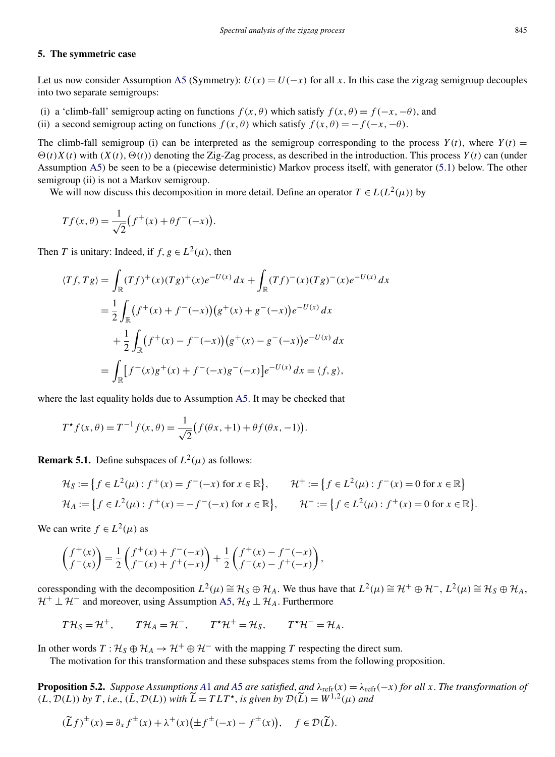#### <span id="page-18-0"></span>**5. The symmetric case**

Let us now consider Assumption [A5](#page-3-0) (Symmetry):  $U(x) = U(-x)$  for all x. In this case the zigzag semigroup decouples into two separate semigroups:

(i) a 'climb-fall' semigroup acting on functions  $f(x, \theta)$  which satisfy  $f(x, \theta) = f(-x, -\theta)$ , and

(ii) a second semigroup acting on functions  $f(x, \theta)$  which satisfy  $f(x, \theta) = -f(-x, -\theta)$ .

The climb-fall semigroup (i) can be interpreted as the semigroup corresponding to the process  $Y(t)$ , where  $Y(t)$  =  $\Theta(t)X(t)$  with  $(X(t), \Theta(t))$  denoting the Zig-Zag process, as described in the introduction. This process  $Y(t)$  can (under Assumption [A5\)](#page-3-0) be seen to be a (piecewise deterministic) Markov process itself, with generator [\(5.1\)](#page-19-0) below. The other semigroup (ii) is not a Markov semigroup.

We will now discuss this decomposition in more detail. Define an operator  $T \in L(L^2(\mu))$  by

$$
Tf(x, \theta) = \frac{1}{\sqrt{2}} (f^+(x) + \theta f^-(-x)).
$$

Then *T* is unitary: Indeed, if  $f, g \in L^2(\mu)$ , then

$$
\langle Tf, Tg \rangle = \int_{\mathbb{R}} (Tf)^{+}(x)(Tg)^{+}(x)e^{-U(x)} dx + \int_{\mathbb{R}} (Tf)^{-}(x)(Tg)^{-}(x)e^{-U(x)} dx
$$
  

$$
= \frac{1}{2} \int_{\mathbb{R}} (f^{+}(x) + f^{-}(-x))(g^{+}(x) + g^{-}(-x))e^{-U(x)} dx
$$
  

$$
+ \frac{1}{2} \int_{\mathbb{R}} (f^{+}(x) - f^{-}(-x))(g^{+}(x) - g^{-}(-x))e^{-U(x)} dx
$$
  

$$
= \int_{\mathbb{R}} [f^{+}(x)g^{+}(x) + f^{-}(-x)g^{-}(-x)]e^{-U(x)} dx = \langle f, g \rangle,
$$

where the last equality holds due to Assumption [A5.](#page-3-0) It may be checked that

$$
T^* f(x, \theta) = T^{-1} f(x, \theta) = \frac{1}{\sqrt{2}} (f(\theta x, +1) + \theta f(\theta x, -1)).
$$

**Remark 5.1.** Define subspaces of  $L^2(\mu)$  as follows:

$$
\mathcal{H}_S := \left\{ f \in L^2(\mu) : f^+(x) = f^-(-x) \text{ for } x \in \mathbb{R} \right\}, \qquad \mathcal{H}^+ := \left\{ f \in L^2(\mu) : f^-(x) = 0 \text{ for } x \in \mathbb{R} \right\}
$$
\n
$$
\mathcal{H}_A := \left\{ f \in L^2(\mu) : f^+(x) = -f^-(-x) \text{ for } x \in \mathbb{R} \right\}, \qquad \mathcal{H}^- := \left\{ f \in L^2(\mu) : f^+(x) = 0 \text{ for } x \in \mathbb{R} \right\}.
$$

We can write  $f \in L^2(\mu)$  as

$$
\begin{pmatrix} f^+(x) \\ f^-(x) \end{pmatrix} = \frac{1}{2} \begin{pmatrix} f^+(x) + f^-(-x) \\ f^-(x) + f^+( -x) \end{pmatrix} + \frac{1}{2} \begin{pmatrix} f^+(x) - f^-(-x) \\ f^-(x) - f^+(-x) \end{pmatrix},
$$

coressponding with the decomposition  $L^2(\mu) \cong H_S \oplus H_A$ . We thus have that  $L^2(\mu) \cong H^+ \oplus H^-$ ,  $L^2(\mu) \cong H_S \oplus H_A$ ,  $\mathcal{H}^+ \perp \mathcal{H}^-$  and moreover, using Assumption [A5,](#page-3-0)  $\mathcal{H}_S \perp \mathcal{H}_A$ . Furthermore

$$
T\mathcal{H}_S = \mathcal{H}^+, \qquad T\mathcal{H}_A = \mathcal{H}^-, \qquad T^{\star}\mathcal{H}^+ = \mathcal{H}_S, \qquad T^{\star}\mathcal{H}^- = \mathcal{H}_A.
$$

In other words  $T : \mathcal{H}_S \oplus \mathcal{H}_A \to \mathcal{H}^+ \oplus \mathcal{H}^-$  with the mapping *T* respecting the direct sum.

The motivation for this transformation and these subspaces stems from the following proposition.

**Proposition 5.2.** *Suppose [A](#page-3-0)ssumptions A*1 *and A5 are satisfied, and*  $\lambda_{refr}(x) = \lambda_{refr}(-x)$  *for all x. The transformation of*  $(L, \mathcal{D}(L))$  *by T*, *i.e.*,  $(\tilde{L}, \mathcal{D}(L))$  *with*  $\tilde{L} = T L T^{\star}$ , *is given by*  $\mathcal{D}(\tilde{L}) = W^{1,2}(\mu)$  *and* 

$$
(\widetilde{L}f)^{\pm}(x) = \partial_x f^{\pm}(x) + \lambda^{+}(x) \left( \pm f^{\pm}(-x) - f^{\pm}(x) \right), \quad f \in \mathcal{D}(\widetilde{L}).
$$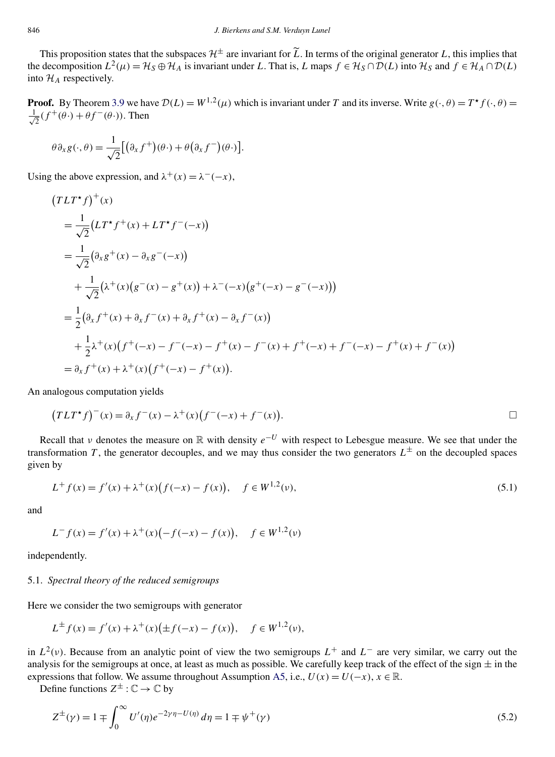<span id="page-19-0"></span>This proposition states that the subspaces  $\mathcal{H}^{\pm}$  are invariant for  $\tilde{L}$ . In terms of the original generator *L*, this implies that the decomposition  $L^2(\mu) = H_S \oplus H_A$  is invariant under *L*. That is, *L* maps  $f \in H_S \cap D(L)$  into  $H_S$  and  $f \in H_A \cap D(L)$ into  $\mathcal{H}_A$  respectively.

**Proof.** By Theorem [3.9](#page-7-0) we have  $\mathcal{D}(L) = W^{1,2}(\mu)$  which is invariant under *T* and its inverse. Write  $g(\cdot,\theta) = T^*f(\cdot,\theta)$ √ 1  $\frac{1}{2}(f^+(\theta \cdot) + \theta f^-(\theta \cdot))$ . Then

$$
\theta \partial_x g(\cdot, \theta) = \frac{1}{\sqrt{2}} \big[ \big( \partial_x f^+ \big) (\theta \cdot) + \theta \big( \partial_x f^- \big) (\theta \cdot) \big].
$$

Using the above expression, and  $\lambda^+(x) = \lambda^-(-x)$ ,

$$
(TLT^*f)^+(x)
$$
  
=  $\frac{1}{\sqrt{2}}(LT^*f^+(x) + LT^*f^-(-x))$   
=  $\frac{1}{\sqrt{2}}(\partial_x g^+(x) - \partial_x g^-(-x))$   
+  $\frac{1}{\sqrt{2}}(\lambda^+(x)(g^-(x) - g^+(x)) + \lambda^-(-x)(g^+(-x) - g^-(-x)))$   
=  $\frac{1}{2}(\partial_x f^+(x) + \partial_x f^-(x) + \partial_x f^+(x) - \partial_x f^-(x))$   
+  $\frac{1}{2}\lambda^+(x)(f^+(-x) - f^-(-x) - f^+(x) - f^-(x) + f^+(-x) + f^-(-x) - f^+(x) + f^-(x))$   
=  $\partial_x f^+(x) + \lambda^+(x)(f^+(-x) - f^+(x)).$ 

An analogous computation yields

$$
(TLT^{\star}f)^{-(x)} = \partial_x f^-(x) - \lambda^+(x) (f^-(-x) + f^-(x)).
$$

Recall that *v* denotes the measure on R with density  $e^{-U}$  with respect to Lebesgue measure. We see that under the transformation *T*, the generator decouples, and we may thus consider the two generators  $L^{\pm}$  on the decoupled spaces given by

$$
L^{+} f(x) = f'(x) + \lambda^{+}(x)(f(-x) - f(x)), \quad f \in W^{1,2}(\nu),
$$
\n(5.1)

and

$$
L^{-} f(x) = f'(x) + \lambda^{+}(x) \bigl( -f(-x) - f(x) \bigr), \quad f \in W^{1,2}(\nu)
$$

independently.

## 5.1. *Spectral theory of the reduced semigroups*

Here we consider the two semigroups with generator

$$
L^{\pm} f(x) = f'(x) + \lambda^{+}(x) \big( \pm f(-x) - f(x) \big), \quad f \in W^{1,2}(\nu),
$$

in  $L^2(v)$ . Because from an analytic point of view the two semigroups  $L^+$  and  $L^-$  are very similar, we carry out the analysis for the semigroups at once, at least as much as possible. We carefully keep track of the effect of the sign  $\pm$  in the expressions that follow. We assume throughout Assumption [A5,](#page-3-0) i.e.,  $U(x) = U(-x)$ ,  $x \in \mathbb{R}$ .

Define functions  $Z^{\pm} : \mathbb{C} \to \mathbb{C}$  by

$$
Z^{\pm}(\gamma) = 1 \mp \int_0^{\infty} U'(\eta) e^{-2\gamma \eta - U(\eta)} d\eta = 1 \mp \psi^+(\gamma)
$$
\n(5.2)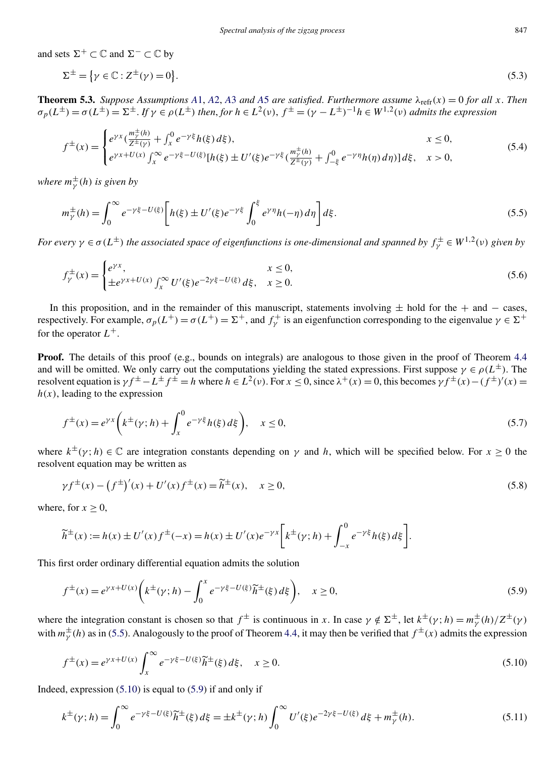<span id="page-20-0"></span>and sets  $\Sigma^+ \subset \mathbb{C}$  and  $\Sigma^- \subset \mathbb{C}$  by

$$
\Sigma^{\pm} = \{ \gamma \in \mathbb{C} : Z^{\pm}(\gamma) = 0 \}. \tag{5.3}
$$

**Theorem 5.3.** *Suppose [A](#page-3-0)ssumptions A*1, *A*[2,](#page-2-0) *A*3 *and A5 are satisfied. Furthermore assume*  $\lambda_{refr}(x) = 0$  *for all x*. *Then*  $\sigma_p(L^{\pm}) = \sigma(L^{\pm}) = \Sigma^{\pm}$ . If  $\gamma \in \rho(L^{\pm})$  then, for  $h \in L^2(\nu)$ ,  $f^{\pm} = (\gamma - L^{\pm})^{-1}h \in W^{1,2}(\nu)$  admits the expression

$$
f^{\pm}(x) = \begin{cases} e^{\gamma x} \left(\frac{m_{\gamma}^{\pm}(h)}{Z^{\pm}(\gamma)} + \int_{x}^{0} e^{-\gamma \xi} h(\xi) d\xi\right), & x \le 0, \\ e^{\gamma x + U(x)} \int_{x}^{\infty} e^{-\gamma \xi - U(\xi)} [h(\xi) \pm U'(\xi) e^{-\gamma \xi} \left(\frac{m_{\gamma}^{\pm}(h)}{Z^{\pm}(\gamma)} + \int_{-\xi}^{0} e^{-\gamma \eta} h(\eta) d\eta\right)] d\xi, & x > 0, \end{cases}
$$
(5.4)

*where*  $m_{\gamma}^{\pm}(h)$  *is given by* 

$$
m_{\gamma}^{\pm}(h) = \int_0^{\infty} e^{-\gamma \xi - U(\xi)} \left[ h(\xi) \pm U'(\xi) e^{-\gamma \xi} \int_0^{\xi} e^{\gamma \eta} h(-\eta) d\eta \right] d\xi.
$$
 (5.5)

*For every*  $\gamma \in \sigma(L^{\pm})$  *the associated space of eigenfunctions is one-dimensional and spanned by*  $f^{\pm}_{\gamma} \in W^{1,2}(\nu)$  given by

$$
f_{\gamma}^{\pm}(x) = \begin{cases} e^{\gamma x}, & x \le 0, \\ \pm e^{\gamma x + U(x)} \int_{x}^{\infty} U'(\xi) e^{-2\gamma \xi - U(\xi)} d\xi, & x \ge 0. \end{cases}
$$
(5.6)

In this proposition, and in the remainder of this manuscript, statements involving  $\pm$  hold for the + and – cases, respectively. For example,  $\sigma_p(L^+) = \sigma(L^+) = \Sigma^+$ , and  $f_\gamma^+$  is an eigenfunction corresponding to the eigenvalue  $\gamma \in \Sigma^+$ for the operator  $L^+$ .

**Proof.** The details of this proof (e.g., bounds on integrals) are analogous to those given in the proof of Theorem [4.4](#page-11-0) and will be omitted. We only carry out the computations yielding the stated expressions. First suppose  $\gamma \in \rho(L^{\pm})$ . The resolvent equation is  $\gamma f^{\pm} - L^{\pm} f^{\pm} = h$  where  $h \in L^2(\nu)$ . For  $x \le 0$ , since  $\lambda^+(x) = 0$ , this becomes  $\gamma f^{\pm}(x) - (f^{\pm})'(x) =$  $h(x)$ , leading to the expression

$$
f^{\pm}(x) = e^{\gamma x} \left( k^{\pm}(\gamma; h) + \int_{x}^{0} e^{-\gamma \xi} h(\xi) d\xi \right), \quad x \le 0,
$$
\n(5.7)

where  $k^{\pm}(\gamma; h) \in \mathbb{C}$  are integration constants depending on  $\gamma$  and *h*, which will be specified below. For  $x \ge 0$  the resolvent equation may be written as

$$
\gamma f^{\pm}(x) - \left(f^{\pm}\right)'(x) + U'(x)f^{\pm}(x) = \tilde{h}^{\pm}(x), \quad x \ge 0,
$$
\n(5.8)

where, for  $x \geq 0$ ,

$$
\widetilde{h}^{\pm}(x) := h(x) \pm U'(x) f^{\pm}(-x) = h(x) \pm U'(x) e^{-\gamma x} \bigg[ k^{\pm}(\gamma; h) + \int_{-x}^{0} e^{-\gamma \xi} h(\xi) d\xi \bigg].
$$

This first order ordinary differential equation admits the solution

$$
f^{\pm}(x) = e^{\gamma x + U(x)} \left( k^{\pm}(\gamma; h) - \int_0^x e^{-\gamma \xi - U(\xi)} \tilde{h}^{\pm}(\xi) d\xi \right), \quad x \ge 0,
$$
\n(5.9)

where the integration constant is chosen so that  $f^{\pm}$  is continuous in *x*. In case  $\gamma \notin \Sigma^{\pm}$ , let  $k^{\pm}(\gamma; h) = m^{\pm}_{\gamma}(h)/Z^{\pm}(\gamma)$ with  $m_{\gamma}^{\pm}(h)$  as in (5.5). Analogously to the proof of Theorem [4.4,](#page-11-0) it may then be verified that  $f^{\pm}(x)$  admits the expression

$$
f^{\pm}(x) = e^{\gamma x + U(x)} \int_{x}^{\infty} e^{-\gamma \xi - U(\xi)} \widetilde{h}^{\pm}(\xi) d\xi, \quad x \ge 0.
$$
 (5.10)

Indeed, expression  $(5.10)$  is equal to  $(5.9)$  if and only if

$$
k^{\pm}(\gamma;h) = \int_0^{\infty} e^{-\gamma\xi - U(\xi)} \widetilde{h}^{\pm}(\xi) d\xi = \pm k^{\pm}(\gamma;h) \int_0^{\infty} U'(\xi) e^{-2\gamma\xi - U(\xi)} d\xi + m_{\gamma}^{\pm}(h). \tag{5.11}
$$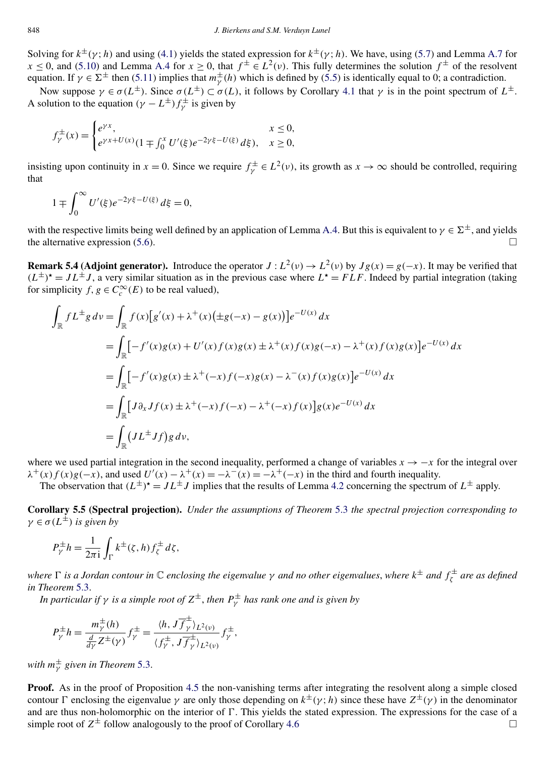Solving for  $k^{\pm}$ ( $\gamma$ ; *h*) and using [\(4.1\)](#page-10-0) yields the stated expression for  $k^{\pm}$ ( $\gamma$ ; *h*). We have, using [\(5.7\)](#page-20-0) and Lemma [A.7](#page-32-0) for  $x \le 0$ , and [\(5.10\)](#page-20-0) and Lemma [A.4](#page-30-0) for  $x \ge 0$ , that  $f^{\pm} \in L^2(\nu)$ . This fully determines the solution  $f^{\pm}$  of the resolvent equation. If  $\gamma \in \Sigma^{\pm}$  then [\(5.11\)](#page-20-0) implies that  $m_{\gamma}^{\pm}(h)$  which is defined by [\(5.5\)](#page-20-0) is identically equal to 0; a contradiction.

Now suppose *γ* ∈ *σ*(*L*<sup>±</sup>). Since *σ*(*L*<sup>±</sup>) ⊂ *σ*(*L*), it follows by Corollary [4.1](#page-9-0) that *γ* is in the point spectrum of *L*<sup>±</sup>. A solution to the equation  $(\gamma - L^{\pm}) f^{\pm}$  is given by

$$
f_{\gamma}^{\pm}(x) = \begin{cases} e^{\gamma x}, & x \le 0, \\ e^{\gamma x + U(x)} (1 \mp \int_0^x U'(\xi) e^{-2\gamma \xi - U(\xi)} d\xi), & x \ge 0, \end{cases}
$$

insisting upon continuity in  $x = 0$ . Since we require  $f^{\pm}_{\gamma} \in L^2(\nu)$ , its growth as  $x \to \infty$  should be controlled, requiring that

$$
1 \mp \int_0^\infty U'(\xi) e^{-2\gamma \xi - U(\xi)} d\xi = 0,
$$

with the respective limits being well defined by an application of Lemma [A.4.](#page-30-0) But this is equivalent to  $\gamma \in \Sigma^{\pm}$ , and yields the alternative expression [\(5.6\)](#page-20-0).  $\Box$ 

**Remark 5.4 (Adjoint generator).** Introduce the operator  $J: L^2(\nu) \to L^2(\nu)$  by  $Jg(x) = g(-x)$ . It may be verified that  $(L^{\pm})^{\star} = JL^{\pm}J$ , a very similar situation as in the previous case where  $L^{\star} = FLF$ . Indeed by partial integration (taking for simplicity  $f, g \in C_c^{\infty}(E)$  to be real valued),

$$
\int_{\mathbb{R}} f L^{\pm} g \, dv = \int_{\mathbb{R}} f(x) [g'(x) + \lambda^{+}(x) (\pm g(-x) - g(x))] e^{-U(x)} \, dx
$$
\n
$$
= \int_{\mathbb{R}} \left[ -f'(x)g(x) + U'(x)f(x)g(x) \pm \lambda^{+}(x)f(x)g(-x) - \lambda^{+}(x)f(x)g(x) \right] e^{-U(x)} \, dx
$$
\n
$$
= \int_{\mathbb{R}} \left[ -f'(x)g(x) \pm \lambda^{+}(-x)f(-x)g(x) - \lambda^{-}(x)f(x)g(x) \right] e^{-U(x)} \, dx
$$
\n
$$
= \int_{\mathbb{R}} \left[ J \partial_{x} J f(x) \pm \lambda^{+}(-x)f(-x) - \lambda^{+}(-x)f(x) \right] g(x) e^{-U(x)} \, dx
$$
\n
$$
= \int_{\mathbb{R}} \left( J L^{\pm} J f \right) g \, dv,
$$

where we used partial integration in the second inequality, performed a change of variables  $x \rightarrow -x$  for the integral over  $\lambda^+(x) f(x) g(-x)$ , and used  $U'(x) - \lambda^+(x) = -\lambda^-(x) = -\lambda^+(-x)$  in the third and fourth inequality.

The observation that  $(L^{\pm})^* = JL^{\pm}J$  implies that the results of Lemma [4.2](#page-9-0) concerning the spectrum of  $L^{\pm}$  apply.

**Corollary 5.5 (Spectral projection).** *Under the assumptions of Theorem* [5.3](#page-20-0) *the spectral projection corresponding to*  $\gamma \in \sigma(L^{\pm})$  *is given by* 

$$
P_{\gamma}^{\pm}h = \frac{1}{2\pi i} \int_{\Gamma} k^{\pm}(\zeta, h) f_{\zeta}^{\pm} d\zeta,
$$

*where is a Jordan contour in* C *enclosing the eigenvalue γ and no other eigenvalues*, *where k*<sup>±</sup> *and f* <sup>±</sup> *<sup>ζ</sup> are as defined in Theorem* [5.3.](#page-20-0)

*In particular if*  $\gamma$  *is a simple root of*  $Z^{\pm}$ *, then*  $P^{\pm}_{\gamma}$  *has rank one and is given by* 

$$
P_{\gamma}^{\pm}h = \frac{m_{\gamma}^{\pm}(h)}{\frac{d}{d\gamma}Z^{\pm}(\gamma)}f_{\gamma}^{\pm} = \frac{\langle h, J\overline{f}_{\gamma}^{\pm}\rangle_{L^{2}(v)}}{\langle f_{\gamma}^{\pm}, J\overline{f}_{\gamma}^{\pm}\rangle_{L^{2}(v)}}f_{\gamma}^{\pm},
$$

*with m*<sup>±</sup> *<sup>γ</sup> given in Theorem* [5.3.](#page-20-0)

**Proof.** As in the proof of Proposition [4.5](#page-13-0) the non-vanishing terms after integrating the resolvent along a simple closed contour Γ enclosing the eigenvalue *γ* are only those depending on  $k^{\pm}$ (*γ*; *h*) since these have  $Z^{\pm}$ (*γ*) in the denominator and are thus non-holomorphic on the interior of  $\Gamma$ . This yields the stated expression. The expressions for the case of a simple root of  $Z^{\pm}$  follow analogously to the proof of Corollary [4.6](#page-13-0)  $\Box$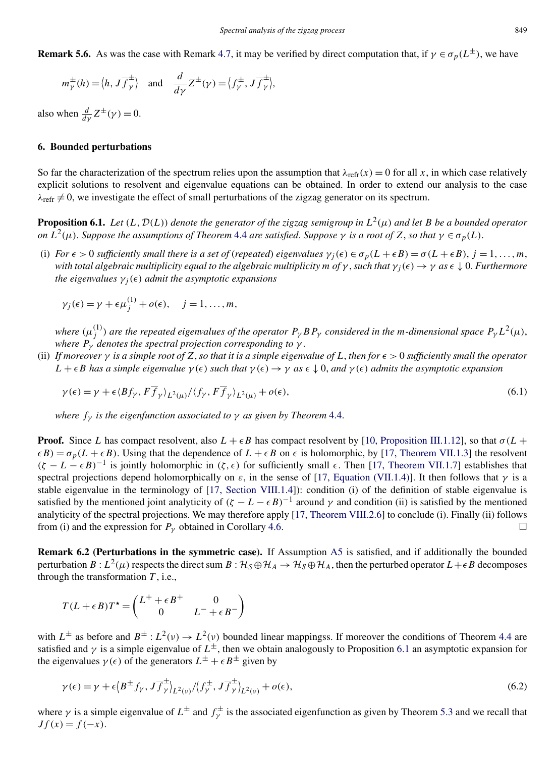<span id="page-22-0"></span>**Remark 5.6.** As was the case with Remark [4.7,](#page-14-0) it may be verified by direct computation that, if  $\gamma \in \sigma_p(L^{\pm})$ , we have

$$
m_{\gamma}^{\pm}(h) = \langle h, J \overline{f}_{\gamma}^{\pm} \rangle
$$
 and  $\frac{d}{d\gamma} Z^{\pm}(\gamma) = \langle f_{\gamma}^{\pm}, J \overline{f}_{\gamma}^{\pm} \rangle$ ,

also when  $\frac{d}{d\gamma}Z^{\pm}(\gamma) = 0$ .

## **6. Bounded perturbations**

So far the characterization of the spectrum relies upon the assumption that  $\lambda_{refr}(x) = 0$  for all x, in which case relatively explicit solutions to resolvent and eigenvalue equations can be obtained. In order to extend our analysis to the case  $\lambda_{\text{refr}} \neq 0$ , we investigate the effect of small perturbations of the zigzag generator on its spectrum.

**Proposition 6.1.** *Let*  $(L, \mathcal{D}(L))$  *denote the generator of the zigzag semigroup in*  $L^2(\mu)$  *and let B be a bounded operator on*  $L^2(\mu)$ . *Suppose the assumptions of Theorem* [4.4](#page-11-0) *are satisfied. Suppose*  $\gamma$  *is a root of*  $Z$ *, so that*  $\gamma \in \sigma_p(L)$ .

(i) *For*  $\epsilon > 0$  *sufficiently small there is a set of (repeated) eigenvalues*  $\gamma_i(\epsilon) \in \sigma_p(L + \epsilon B) = \sigma(L + \epsilon B)$ ,  $j = 1, \ldots, m$ , *with total algebraic multiplicity equal to the algebraic multiplicity*  $m$  *<i>of*  $\gamma$ , *such that*  $\gamma_i(\epsilon) \to \gamma$  *as*  $\epsilon \downarrow 0$ . Furthermore *the eigenvalues*  $\gamma_i(\epsilon)$  *admit the asymptotic expansions* 

$$
\gamma_j(\epsilon) = \gamma + \epsilon \mu_j^{(1)} + o(\epsilon), \quad j = 1, ..., m,
$$

*where*  $(\mu_j^{(1)})$  are the repeated eigenvalues of the operator  $P_\gamma$  *BP<sub>γ</sub>* considered in the *m*-dimensional space  $P_\gamma L^2(\mu)$ , *where*  $P_\gamma$  *denotes the spectral projection corresponding to*  $\gamma$ .

(ii) If moreover  $\gamma$  is a simple root of Z, so that it is a simple eigenvalue of L, then for  $\epsilon > 0$  sufficiently small the operator  $L + \epsilon B$  *has a simple eigenvalue*  $\gamma(\epsilon)$  *such that*  $\gamma(\epsilon) \to \gamma$  *as*  $\epsilon \downarrow 0$ *, and*  $\gamma(\epsilon)$  *admits the asymptotic expansion* 

$$
\gamma(\epsilon) = \gamma + \epsilon \langle Bf_{\gamma}, F\overline{f}_{\gamma} \rangle_{L^2(\mu)} / \langle f_{\gamma}, F\overline{f}_{\gamma} \rangle_{L^2(\mu)} + o(\epsilon), \tag{6.1}
$$

*where*  $f<sub>y</sub>$  *is the eigenfunction associated to*  $\gamma$  *as given by Theorem* [4.4.](#page-11-0)

**Proof.** Since *L* has compact resolvent, also  $L + \epsilon B$  has compact resolvent by [\[10, Proposition III.1.12\]](#page-33-0), so that  $\sigma(L +$  $\epsilon B$ ) =  $\sigma_p(L + \epsilon B)$ . Using that the dependence of  $L + \epsilon B$  on  $\epsilon$  is holomorphic, by [\[17, Theorem VII.1.3\]](#page-33-0) the resolvent  $(\zeta - L - \epsilon B)^{-1}$  is jointly holomorphic in  $(\zeta, \epsilon)$  for sufficiently small  $\epsilon$ . Then [\[17, Theorem VII.1.7\]](#page-33-0) establishes that spectral projections depend holomorphically on  $\varepsilon$ , in the sense of [\[17, Equation \(VII.1.4\)\]](#page-33-0). It then follows that  $\gamma$  is a stable eigenvalue in the terminology of [\[17, Section VIII.1.4\]](#page-33-0)): condition (i) of the definition of stable eigenvalue is satisfied by the mentioned joint analyticity of  $(\zeta - L - \epsilon B)^{-1}$  around  $\gamma$  and condition (ii) is satisfied by the mentioned analyticity of the spectral projections. We may therefore apply [\[17, Theorem VIII.2.6\]](#page-33-0) to conclude (i). Finally (ii) follows from (i) and the expression for  $P_\gamma$  obtained in Corollary [4.6.](#page-13-0)

**Remark 6.2 (Perturbations in the symmetric case).** If Assumption [A5](#page-3-0) is satisfied, and if additionally the bounded perturbation  $B: L^2(\mu)$  respects the direct sum  $B: H_S \oplus H_A \to H_S \oplus H_A$ , then the perturbed operator  $L + \epsilon B$  decomposes through the transformation *T* , i.e.,

$$
T(L+\epsilon B)T^* = \begin{pmatrix} L^+ + \epsilon B^+ & 0 \\ 0 & L^- + \epsilon B^- \end{pmatrix}
$$

with  $L^{\pm}$  as before and  $B^{\pm}$ :  $L^2(\nu) \rightarrow L^2(\nu)$  bounded linear mappingss. If moreover the conditions of Theorem [4.4](#page-11-0) are satisfied and *γ* is a simple eigenvalue of  $L^{\pm}$ , then we obtain analogously to Proposition 6.1 an asymptotic expansion for the eigenvalues  $\gamma(\epsilon)$  of the generators  $L^{\pm} + \epsilon B^{\pm}$  given by

$$
\gamma(\epsilon) = \gamma + \epsilon \left\langle B^{\pm} f_{\gamma}, J \overline{f}_{\gamma}^{\pm} \right\rangle_{L^{2}(v)} / \left\langle f_{\gamma}^{\pm}, J \overline{f}_{\gamma}^{\pm} \right\rangle_{L^{2}(v)} + o(\epsilon), \tag{6.2}
$$

where  $\gamma$  is a simple eigenvalue of  $L^{\pm}$  and  $f^{\pm}_{\gamma}$  is the associated eigenfunction as given by Theorem [5.3](#page-20-0) and we recall that  $Jf(x) = f(-x)$ .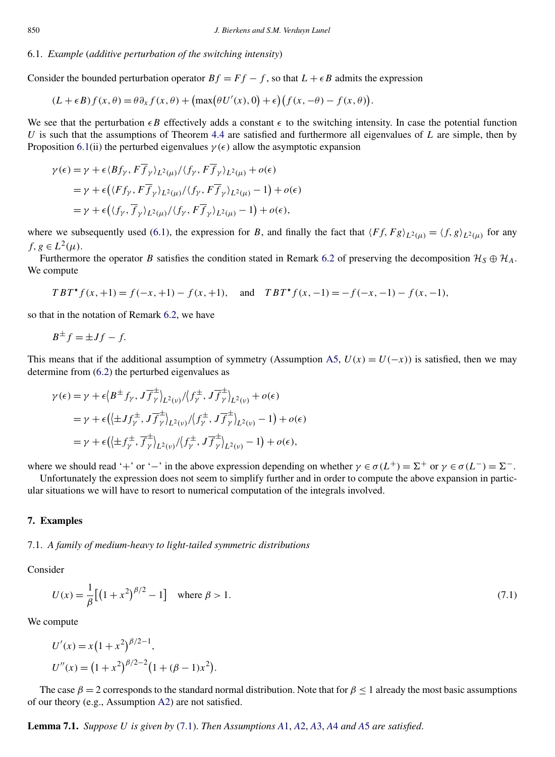## <span id="page-23-0"></span>6.1. *Example* (*additive perturbation of the switching intensity*)

Consider the bounded perturbation operator  $Bf = Ff - f$ , so that  $L + \epsilon B$  admits the expression

$$
(L+\epsilon B)f(x,\theta) = \theta \partial_x f(x,\theta) + \left(\max(\theta U'(x),0) + \epsilon\right) \left(f(x,-\theta) - f(x,\theta)\right).
$$

We see that the perturbation  $\epsilon B$  effectively adds a constant  $\epsilon$  to the switching intensity. In case the potential function *U* is such that the assumptions of Theorem [4.4](#page-11-0) are satisfied and furthermore all eigenvalues of *L* are simple, then by Proposition [6.1\(](#page-22-0)ii) the perturbed eigenvalues  $\gamma(\epsilon)$  allow the asymptotic expansion

$$
\gamma(\epsilon) = \gamma + \epsilon \langle Bf_{\gamma}, F\overline{f}_{\gamma} \rangle_{L^2(\mu)} / \langle f_{\gamma}, F\overline{f}_{\gamma} \rangle_{L^2(\mu)} + o(\epsilon)
$$
  
=  $\gamma + \epsilon \Big( \langle Ff_{\gamma}, F\overline{f}_{\gamma} \rangle_{L^2(\mu)} / \langle f_{\gamma}, F\overline{f}_{\gamma} \rangle_{L^2(\mu)} - 1 \Big) + o(\epsilon)$   
=  $\gamma + \epsilon \Big( \langle f_{\gamma}, \overline{f}_{\gamma} \rangle_{L^2(\mu)} / \langle f_{\gamma}, F\overline{f}_{\gamma} \rangle_{L^2(\mu)} - 1 \Big) + o(\epsilon),$ 

where we subsequently used [\(6.1\)](#page-22-0), the expression for *B*, and finally the fact that  $\langle Ff, Fg \rangle_{L^2(\mu)} = \langle f, g \rangle_{L^2(\mu)}$  for any *f, g*  $\in L^2(\mu)$ .

Furthermore the operator *B* satisfies the condition stated in Remark [6.2](#page-22-0) of preserving the decomposition  $\mathcal{H}_S \oplus \mathcal{H}_A$ . We compute

$$
TBT^{\star}f(x,+1) = f(-x,+1) - f(x,+1), \text{ and } TBT^{\star}f(x,-1) = -f(-x,-1) - f(x,-1),
$$

so that in the notation of Remark [6.2,](#page-22-0) we have

$$
B^{\pm}f = \pm Jf - f.
$$

This means that if the additional assumption of symmetry (Assumption [A5,](#page-3-0)  $U(x) = U(-x)$ ) is satisfied, then we may determine from [\(6.2\)](#page-22-0) the perturbed eigenvalues as

$$
\gamma(\epsilon) = \gamma + \epsilon \langle B^{\pm} f_{\gamma}, J \overline{f}_{\gamma}^{\pm} \rangle_{L^{2}(v)} / \langle f_{\gamma}^{\pm}, J \overline{f}_{\gamma}^{\pm} \rangle_{L^{2}(v)} + o(\epsilon)
$$
  
\n
$$
= \gamma + \epsilon \langle (\pm J f_{\gamma}^{\pm}, J \overline{f}_{\gamma}^{\pm})_{L^{2}(v)} / \langle f_{\gamma}^{\pm}, J \overline{f}_{\gamma}^{\pm} \rangle_{L^{2}(v)} - 1 \rangle + o(\epsilon)
$$
  
\n
$$
= \gamma + \epsilon \langle (\pm f_{\gamma}^{\pm}, \overline{f}_{\gamma}^{\pm})_{L^{2}(v)} / \langle f_{\gamma}^{\pm}, J \overline{f}_{\gamma}^{\pm} \rangle_{L^{2}(v)} - 1 \rangle + o(\epsilon),
$$

where we should read '+' or '−' in the above expression depending on whether  $\gamma \in \sigma(L^+) = \Sigma^+$  or  $\gamma \in \sigma(L^-) = \Sigma^-$ .

Unfortunately the expression does not seem to simplify further and in order to compute the above expansion in particular situations we will have to resort to numerical computation of the integrals involved.

## **7. Examples**

#### 7.1. *A family of medium-heavy to light-tailed symmetric distributions*

Consider

$$
U(x) = \frac{1}{\beta} \left[ \left( 1 + x^2 \right)^{\beta/2} - 1 \right] \quad \text{where } \beta > 1.
$$

We compute

$$
U'(x) = x(1+x^2)^{\beta/2-1},
$$
  
\n
$$
U''(x) = (1+x^2)^{\beta/2-2}(1+(\beta-1)x^2).
$$

The case  $\beta = 2$  corresponds to the standard normal distribution. Note that for  $\beta \le 1$  already the most basic assumptions of our theory (e.g., Assumption [A2\)](#page-2-0) are not satisfied.

**Lemma 7.1.** *Suppose U is given by* (7.1). *Then Assumptions A*[1,](#page-2-0) *[A](#page-2-0)*2, *[A](#page-2-0)*3, *[A](#page-2-0)*4 *and [A](#page-3-0)*5 *are satisfied*.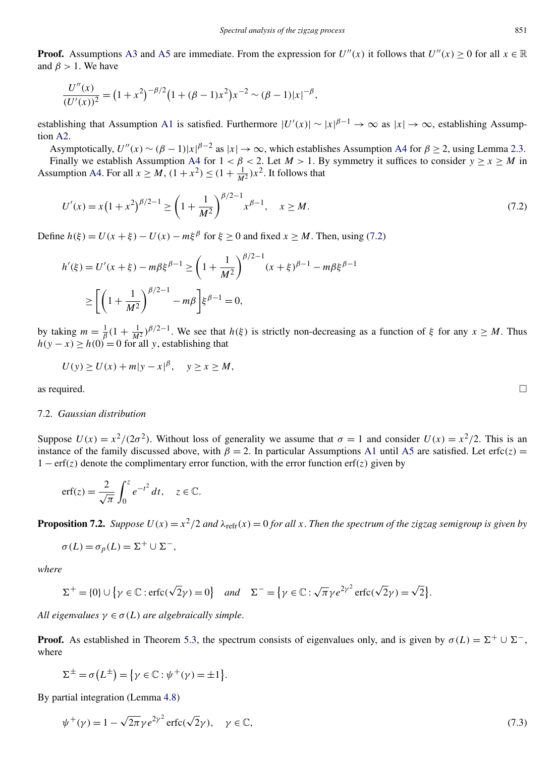<span id="page-24-0"></span>**Proof.** Assumptions [A3](#page-2-0) and [A5](#page-3-0) are immediate. From the expression for  $U''(x)$  it follows that  $U''(x) > 0$  for all  $x \in \mathbb{R}$ and  $\beta > 1$ . We have

$$
\frac{U''(x)}{(U'(x))^2} = (1+x^2)^{-\beta/2} (1+(\beta-1)x^2) x^{-2} \sim (\beta-1)|x|^{-\beta},
$$

establishing that Assumption [A1](#page-2-0) is satisfied. Furthermore  $|U'(x)| \sim |x|^{\beta-1} \to \infty$  as  $|x| \to \infty$ , establishing Assumption [A2.](#page-2-0)

Asymptotically,  $U''(x) \sim (\beta - 1)|x|^{\beta - 2}$  as  $|x| \to \infty$ , which establishes Assumption [A4](#page-2-0) for  $\beta \ge 2$ , using Lemma [2.3.](#page-3-0) Finally we establish Assumption [A4](#page-2-0) for  $1 < \beta < 2$ . Let  $M > 1$ . By symmetry it suffices to consider  $y \ge x \ge M$  in Assumption [A4.](#page-2-0) For all  $x \ge M$ ,  $(1 + x^2) \le (1 + \frac{1}{M^2})x^2$ . It follows that

$$
U'(x) = x\left(1 + x^2\right)^{\beta/2 - 1} \ge \left(1 + \frac{1}{M^2}\right)^{\beta/2 - 1} x^{\beta - 1}, \quad x \ge M. \tag{7.2}
$$

Define  $h(\xi) = U(x + \xi) - U(x) - m\xi^{\beta}$  for  $\xi \ge 0$  and fixed  $x \ge M$ . Then, using (7.2)

$$
h'(\xi) = U'(x + \xi) - m\beta \xi^{\beta - 1} \ge \left(1 + \frac{1}{M^2}\right)^{\beta/2 - 1} (x + \xi)^{\beta - 1} - m\beta \xi^{\beta - 1}
$$

$$
\ge \left[ \left(1 + \frac{1}{M^2}\right)^{\beta/2 - 1} - m\beta \right] \xi^{\beta - 1} = 0,
$$

by taking  $m = \frac{1}{\beta} (1 + \frac{1}{M^2})^{\beta/2 - 1}$ . We see that  $h(\xi)$  is strictly non-decreasing as a function of  $\xi$  for any  $x \ge M$ . Thus  $h(y - x) \ge h(0) = 0$  for all *y*, establishing that

$$
U(y) \ge U(x) + m|y - x|^{\beta}, \quad y \ge x \ge M,
$$

as required.  $\Box$ 

#### 7.2. *Gaussian distribution*

Suppose  $U(x) = x^2/(2\sigma^2)$ . Without loss of generality we assume that  $\sigma = 1$  and consider  $U(x) = x^2/2$ . This is an instance of the family discussed above, with  $\beta = 2$ . In particular Assumptions [A1](#page-2-0) until [A5](#page-3-0) are satisfied. Let erfc $(z)$  = 1 − erf*(z)* denote the complimentary error function, with the error function erf*(z)* given by

$$
\operatorname{erf}(z) = \frac{2}{\sqrt{\pi}} \int_0^z e^{-t^2} dt, \quad z \in \mathbb{C}.
$$

**Proposition 7.2.** *Suppose*  $U(x) = x^2/2$  *and*  $\lambda_{refr}(x) = 0$  *for all x*. *Then the spectrum of the zigzag semigroup is given by* 

$$
\sigma(L) = \sigma_p(L) = \Sigma^+ \cup \Sigma^-,
$$

*where*

$$
\Sigma^+ = \{0\} \cup \{ \gamma \in \mathbb{C} : \text{erfc}(\sqrt{2}\gamma) = 0 \} \quad \text{and} \quad \Sigma^- = \{ \gamma \in \mathbb{C} : \sqrt{\pi} \gamma e^{2\gamma^2} \text{erfc}(\sqrt{2}\gamma) = \sqrt{2} \}.
$$

*All eigenvalues*  $\gamma \in \sigma(L)$  *are algebraically simple.* 

**Proof.** As established in Theorem [5.3,](#page-20-0) the spectrum consists of eigenvalues only, and is given by  $\sigma(L) = \Sigma^+ \cup \Sigma^-$ , where

$$
\Sigma^{\pm} = \sigma(L^{\pm}) = {\gamma \in \mathbb{C} : \psi^{+}(\gamma) = \pm 1}.
$$

By partial integration (Lemma [4.8\)](#page-14-0)

$$
\psi^+(\gamma) = 1 - \sqrt{2\pi} \gamma e^{2\gamma^2} \operatorname{erfc}(\sqrt{2}\gamma), \quad \gamma \in \mathbb{C}, \tag{7.3}
$$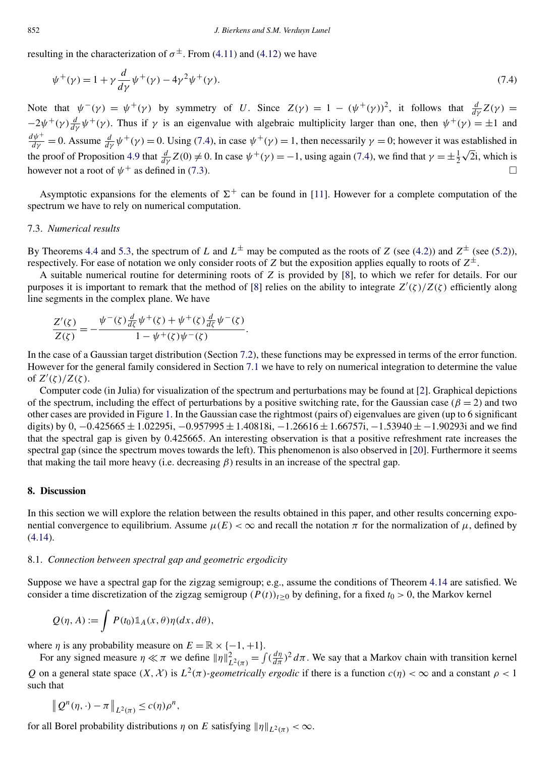resulting in the characterization of  $\sigma^{\pm}$ . From [\(4.11\)](#page-14-0) and [\(4.12\)](#page-14-0) we have

$$
\psi^+(\gamma) = 1 + \gamma \frac{d}{d\gamma} \psi^+(\gamma) - 4\gamma^2 \psi^+(\gamma). \tag{7.4}
$$

Note that  $\psi^{-}(\gamma) = \psi^{+}(\gamma)$  by symmetry of *U*. Since  $Z(\gamma) = 1 - (\psi^{+}(\gamma))^{2}$ , it follows that  $\frac{d}{d\gamma}Z(\gamma) =$  $-2\psi^+(\gamma)\frac{d}{d\gamma}\psi^+(\gamma)$ . Thus if  $\gamma$  is an eigenvalue with algebraic multiplicity larger than one, then  $\psi^+(\gamma) = \pm 1$  and  $\frac{d\psi^+}{d\gamma} = 0$ . Assume  $\frac{d}{d\gamma}\psi^+(\gamma) = 0$ . Using (7.4), in case  $\psi^+(\gamma) = 1$ , then necessarily  $\gamma = 0$ ; however it was established in the proof of Proposition [4.9](#page-14-0) that  $\frac{d}{dy}Z(0) \neq 0$ . In case  $\psi^+(\gamma) = -1$ , using again (7.4), we find that  $\gamma = \pm \frac{1}{2}\sqrt{2}i$ , which is however not a root of  $\psi^+$  as defined in [\(7.3\)](#page-24-0).

Asymptotic expansions for the elements of  $\Sigma^+$  can be found in [\[11\]](#page-33-0). However for a complete computation of the spectrum we have to rely on numerical computation.

#### 7.3. *Numerical results*

By Theorems [4.4](#page-11-0) and [5.3,](#page-20-0) the spectrum of *L* and  $L^{\pm}$  may be computed as the roots of *Z* (see [\(4.2\)](#page-10-0)) and  $Z^{\pm}$  (see [\(5.2\)](#page-19-0)), respectively. For ease of notation we only consider roots of *Z* but the exposition applies equally to roots of  $Z^{\pm}$ .

A suitable numerical routine for determining roots of *Z* is provided by [\[8\]](#page-33-0), to which we refer for details. For our purposes it is important to remark that the method of [\[8\]](#page-33-0) relies on the ability to integrate *Z (ζ)/Z(ζ)* efficiently along line segments in the complex plane. We have

$$
\frac{Z'(\zeta)}{Z(\zeta)} = -\frac{\psi^-(\zeta)\frac{d}{d\zeta}\psi^+(\zeta) + \psi^+(\zeta)\frac{d}{d\zeta}\psi^-(\zeta)}{1 - \psi^+(\zeta)\psi^-(\zeta)}.
$$

In the case of a Gaussian target distribution (Section [7.2\)](#page-24-0), these functions may be expressed in terms of the error function. However for the general family considered in Section [7.1](#page-23-0) we have to rely on numerical integration to determine the value of  $Z'(\zeta)/Z(\zeta)$ .

Computer code (in Julia) for visualization of the spectrum and perturbations may be found at [\[2\]](#page-33-0). Graphical depictions of the spectrum, including the effect of perturbations by a positive switching rate, for the Gaussian case ( $\beta = 2$ ) and two other cases are provided in Figure [1.](#page-26-0) In the Gaussian case the rightmost (pairs of) eigenvalues are given (up to 6 significant digits) by 0, −0*.*425665 ± 1*.*02295i, −0*.*957995 ± 1*.*40818i, −1*.*26616 ± 1*.*66757i*,*−1*.*53940 ± −1*.*90293i and we find that the spectral gap is given by 0*.*425665. An interesting observation is that a positive refreshment rate increases the spectral gap (since the spectrum moves towards the left). This phenomenon is also observed in [\[20\]](#page-33-0). Furthermore it seems that making the tail more heavy (i.e. decreasing  $\beta$ ) results in an increase of the spectral gap.

## **8. Discussion**

In this section we will explore the relation between the results obtained in this paper, and other results concerning exponential convergence to equilibrium. Assume  $\mu(E) < \infty$  and recall the notation  $\pi$  for the normalization of  $\mu$ , defined by [\(4.14\)](#page-17-0).

## 8.1. *Connection between spectral gap and geometric ergodicity*

Suppose we have a spectral gap for the zigzag semigroup; e.g., assume the conditions of Theorem [4.14](#page-17-0) are satisfied. We consider a time discretization of the zigzag semigroup  $(P(t))_{t>0}$  by defining, for a fixed  $t_0 > 0$ , the Markov kernel

$$
Q(\eta, A) := \int P(t_0) \mathbb{1}_A(x, \theta) \eta(dx, d\theta),
$$

where  $\eta$  is any probability measure on  $E = \mathbb{R} \times \{-1, +1\}.$ 

For any signed measure  $\eta \ll \pi$  we define  $\|\eta\|_{L^2(\pi)}^2 = \int (\frac{d\eta}{d\pi})^2 d\pi$ . We say that a Markov chain with transition kernel *Q* on a general state space  $(X, X)$  is  $L^2(\pi)$ *-geometrically ergodic* if there is a function  $c(\eta) < \infty$  and a constant  $\rho < 1$ such that

$$
\left\|Q^n(\eta,\cdot)-\pi\right\|_{L^2(\pi)} \le c(\eta)\rho^n,
$$

for all Borel probability distributions  $\eta$  on *E* satisfying  $\|\eta\|_{L^2(\pi)} < \infty$ .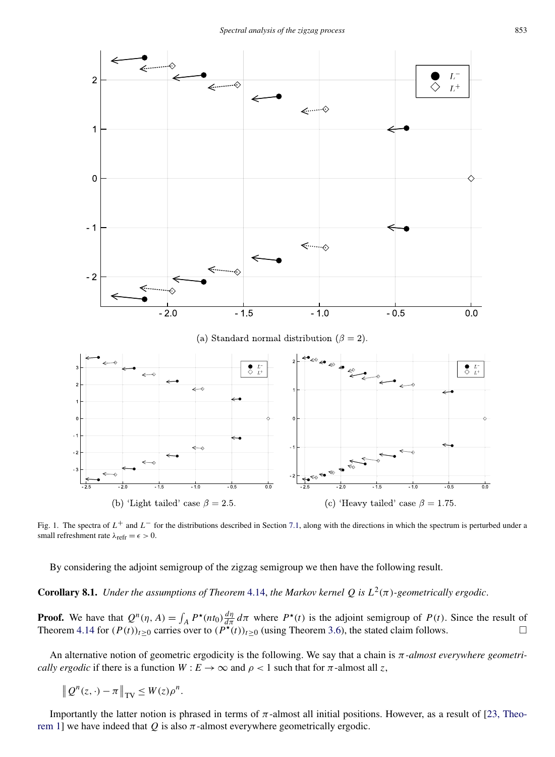<span id="page-26-0"></span>

Fig. 1. The spectra of *L*<sup>+</sup> and *L*<sup>−</sup> for the distributions described in Section [7.1,](#page-23-0) along with the directions in which the spectrum is perturbed under a small refreshment rate  $\lambda_{\text{refr}} = \epsilon > 0$ .

By considering the adjoint semigroup of the zigzag semigroup we then have the following result.

**Corollary 8.1.** *Under the assumptions of Theorem* [4.14,](#page-17-0) *the Markov kernel Q is*  $L^2(\pi)$ *-geometrically ergodic.* 

**Proof.** We have that  $Q^n(\eta, A) = \int_A P^*(nt_0) \frac{d\eta}{d\pi} d\pi$  where  $P^*(t)$  is the adjoint semigroup of  $P(t)$ . Since the result of Theorem [4.14](#page-17-0) for  $(P(t))_{t\geq0}$  carries over to  $(P^{\star}(t))_{t\geq0}$  (using Theorem [3.6\)](#page-6-0), the stated claim follows.

An alternative notion of geometric ergodicity is the following. We say that a chain is *π-almost everywhere geometrically ergodic* if there is a function  $W : E \to \infty$  and  $\rho < 1$  such that for  $\pi$ -almost all *z*,

$$
\left\|Q^n(z,\cdot)-\pi\right\|_{\text{TV}} \leq W(z)\rho^n.
$$

Importantly the latter notion is phrased in terms of  $\pi$ -almost all initial positions. However, as a result of [\[23, Theo](#page-33-0)[rem 1\]](#page-33-0) we have indeed that  $Q$  is also  $\pi$ -almost everywhere geometrically ergodic.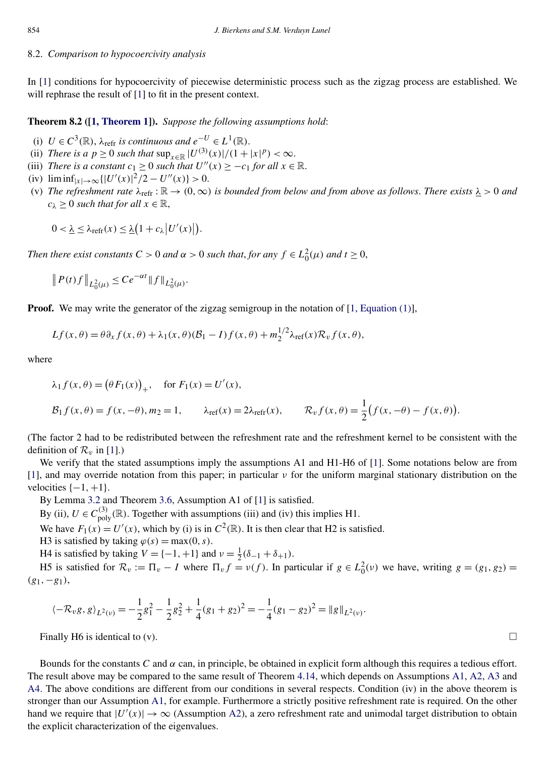#### 8.2. *Comparison to hypocoercivity analysis*

In [\[1\]](#page-33-0) conditions for hypocoercivity of piecewise deterministic process such as the zigzag process are established. We will rephrase the result of [\[1\]](#page-33-0) to fit in the present context.

**Theorem 8.2 ([\[1, Theorem 1\]](#page-33-0)).** *Suppose the following assumptions hold*:

- (i)  $U \in C^3(\mathbb{R})$ ,  $\lambda_{refr}$  *is continuous and*  $e^{-U} \in L^1(\mathbb{R})$ .
- (ii) *There is a*  $p \ge 0$  *such that*  $\sup_{x \in \mathbb{R}} |U^{(3)}(x)|/(1+|x|^p) < \infty$ .
- (iii) *There is a constant*  $c_1 \geq 0$  *such that*  $U''(x) \geq -c_1$  *for all*  $x \in \mathbb{R}$ *.*
- (iv)  $\liminf_{|x| \to \infty} \{|U'(x)|^2/2 U''(x)\} > 0.$
- (v) *The refreshment rate*  $\lambda_{refr}$ :  $\mathbb{R} \to (0,\infty)$  *is bounded from below and from above as follows. There exists*  $\lambda > 0$  *and*  $c_{\lambda} \geq 0$  *such that for all*  $x \in \mathbb{R}$ ,

$$
0 < \underline{\lambda} \leq \lambda_{\text{refr}}(x) \leq \underline{\lambda} \big( 1 + c_{\lambda} \big| U'(x) \big| \big).
$$

*Then there exist constants*  $C > 0$  *and*  $\alpha > 0$  *such that, for any*  $f \in L_0^2(\mu)$  *and*  $t \ge 0$ ,

$$
||P(t)f||_{L_0^2(\mu)} \le Ce^{-\alpha t}||f||_{L_0^2(\mu)}.
$$

**Proof.** We may write the generator of the zigzag semigroup in the notation of  $[1, Equation (1)],$  $[1, Equation (1)],$ 

$$
Lf(x,\theta) = \theta \partial_x f(x,\theta) + \lambda_1(x,\theta)(\mathcal{B}_1 - I) f(x,\theta) + m_2^{1/2} \lambda_{\text{ref}}(x) \mathcal{R}_v f(x,\theta),
$$

where

$$
\lambda_1 f(x, \theta) = (\theta F_1(x))_+, \text{ for } F_1(x) = U'(x),
$$
  

$$
\mathcal{B}_1 f(x, \theta) = f(x, -\theta), m_2 = 1, \qquad \lambda_{\text{ref}}(x) = 2\lambda_{\text{refr}}(x), \qquad \mathcal{R}_v f(x, \theta) = \frac{1}{2} (f(x, -\theta) - f(x, \theta)).
$$

(The factor 2 had to be redistributed between the refreshment rate and the refreshment kernel to be consistent with the definition of  $\mathcal{R}_v$  in [\[1\]](#page-33-0).)

We verify that the stated assumptions imply the assumptions A1 and H1-H6 of [\[1\]](#page-33-0). Some notations below are from [\[1\]](#page-33-0), and may override notation from this paper; in particular *ν* for the uniform marginal stationary distribution on the velocities  $\{-1, +1\}$ .

By Lemma [3.2](#page-4-0) and Theorem [3.6,](#page-6-0) Assumption A1 of [\[1\]](#page-33-0) is satisfied.

By (ii),  $U \in C_{poly}^{(3)}(\mathbb{R})$ . Together with assumptions (iii) and (iv) this implies H1.

We have  $F_1(x) = U'(x)$ , which by (i) is in  $C^2(\mathbb{R})$ . It is then clear that H2 is satisfied.

H3 is satisfied by taking  $\varphi(s) = \max(0, s)$ .

H4 is satisfied by taking  $V = \{-1, +1\}$  and  $v = \frac{1}{2}(\delta_{-1} + \delta_{+1})$ .

H5 is satisfied for  $\mathcal{R}_v := \Pi_v - I$  where  $\Pi_v f = v(f)$ . In particular if  $g \in L_0^2(v)$  we have, writing  $g = (g_1, g_2)$ *(g*1*,*−*g*1*)*,

$$
\langle -\mathcal{R}_v g, g \rangle_{L^2(v)} = -\frac{1}{2}g_1^2 - \frac{1}{2}g_2^2 + \frac{1}{4}(g_1 + g_2)^2 = -\frac{1}{4}(g_1 - g_2)^2 = ||g||_{L^2(v)}.
$$

Finally H6 is identical to (v).  $\Box$ 

Bounds for the constants *C* and  $\alpha$  can, in principle, be obtained in explicit form although this requires a tedious effort. The result above may be compared to the same result of Theorem [4.14,](#page-17-0) which depends on Assumptions [A1,](#page-2-0) [A2,](#page-2-0) [A3](#page-2-0) and [A4.](#page-2-0) The above conditions are different from our conditions in several respects. Condition (iv) in the above theorem is stronger than our Assumption [A1,](#page-2-0) for example. Furthermore a strictly positive refreshment rate is required. On the other hand we require that  $|U'(x)| \to \infty$  (Assumption [A2\)](#page-2-0), a zero refreshment rate and unimodal target distribution to obtain the explicit characterization of the eigenvalues.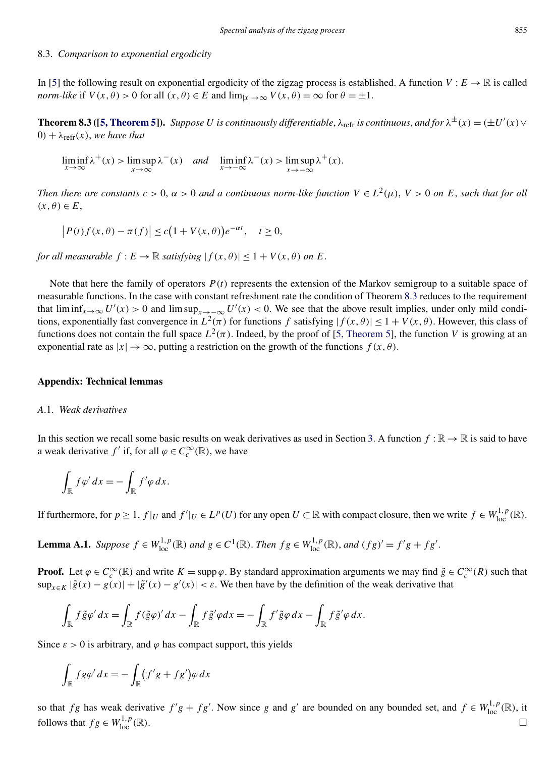#### <span id="page-28-0"></span>8.3. *Comparison to exponential ergodicity*

In [\[5\]](#page-33-0) the following result on exponential ergodicity of the zigzag process is established. A function  $V : E \to \mathbb{R}$  is called *norm-like* if  $V(x, \theta) > 0$  for all  $(x, \theta) \in E$  and  $\lim_{|x| \to \infty} V(x, \theta) = \infty$  for  $\theta = \pm 1$ .

**Theorem 8.3 ([\[5, Theorem 5\]](#page-33-0)).** Suppose U is continuously differentiable,  $\lambda_{refr}$  is continuous, and for  $\lambda^{\pm}(x) = (\pm U'(x) \vee$  $0) + \lambda_{refr}(x)$ , we have that

 $\liminf_{x \to \infty} \lambda^+(x) > \limsup_{x \to \infty} \lambda^-(x)$  *and*  $\liminf_{x \to -\infty} \lambda^-(x) > \limsup_{x \to -\infty} \lambda^+(x)$ .

*Then there are constants*  $c > 0$ ,  $\alpha > 0$  *and a continuous norm-like function*  $V \in L^2(\mu)$ ,  $V > 0$  *on*  $E$ , *such that for all*  $(x, \theta) \in E$ ,

$$
\left|P(t)f(x,\theta)-\pi(f)\right|\leq c\big(1+V(x,\theta)\big)e^{-\alpha t},\quad t\geq 0,
$$

*for all measurable*  $f: E \to \mathbb{R}$  *satisfying*  $|f(x, \theta)| < 1 + V(x, \theta)$  *on E*.

Note that here the family of operators  $P(t)$  represents the extension of the Markov semigroup to a suitable space of measurable functions. In the case with constant refreshment rate the condition of Theorem 8.3 reduces to the requirement that  $\liminf_{x\to\infty}$  *U'*(*x*) > 0 and  $\limsup_{x\to\infty}$  *U'*(*x*) < 0. We see that the above result implies, under only mild conditions, exponentially fast convergence in  $L^2(\pi)$  for functions *f* satisfying  $|f(x, \theta)| \leq 1 + V(x, \theta)$ . However, this class of functions does not contain the full space  $L^2(\pi)$ . Indeed, by the proof of [\[5, Theorem 5\]](#page-33-0), the function *V* is growing at an exponential rate as  $|x| \to \infty$ , putting a restriction on the growth of the functions  $f(x, \theta)$ .

## **Appendix: Technical lemmas**

#### *A*.1. *Weak derivatives*

In this section we recall some basic results on weak derivatives as used in Section [3.](#page-3-0) A function  $f : \mathbb{R} \to \mathbb{R}$  is said to have a weak derivative  $f'$  if, for all  $\varphi \in C_c^{\infty}(\mathbb{R})$ , we have

$$
\int_{\mathbb{R}} f \varphi' dx = - \int_{\mathbb{R}} f' \varphi dx.
$$

If furthermore, for  $p \ge 1$ ,  $f|_U$  and  $f'|_U \in L^p(U)$  for any open  $U \subset \mathbb{R}$  with compact closure, then we write  $f \in W^{1,p}_{loc}(\mathbb{R})$ .

**Lemma A.1.** Suppose  $f \in W^{1,p}_{loc}(\mathbb{R})$  and  $g \in C^1(\mathbb{R})$ . Then  $fg \in W^{1,p}_{loc}(\mathbb{R})$ , and  $(fg)' = f'g + fg'$ .

**Proof.** Let  $\varphi \in C_c^{\infty}(\mathbb{R})$  and write  $K = \text{supp }\varphi$ . By standard approximation arguments we may find  $\tilde{g} \in C_c^{\infty}(R)$  such that  $\sup_{x \in K} |\tilde{g}(x) - g(x)| + |\tilde{g}'(x) - g'(x)| < \varepsilon$ . We then have by the definition of the weak derivative that

$$
\int_{\mathbb{R}} f \tilde{g} \varphi' dx = \int_{\mathbb{R}} f(\tilde{g} \varphi)' dx - \int_{\mathbb{R}} f \tilde{g}' \varphi dx = - \int_{\mathbb{R}} f' \tilde{g} \varphi dx - \int_{\mathbb{R}} f \tilde{g}' \varphi dx.
$$

Since  $\varepsilon > 0$  is arbitrary, and  $\varphi$  has compact support, this yields

$$
\int_{\mathbb{R}} f g \varphi' dx = - \int_{\mathbb{R}} (f' g + f g') \varphi dx
$$

so that *fg* has weak derivative  $f'g + fg'$ . Now since *g* and  $g'$  are bounded on any bounded set, and  $f \in W^{1,p}_{loc}(\mathbb{R})$ , it follows that  $fg \in W^{1,p}_{loc}(\mathbb{R})$ .  $\frac{1}{\log n}(\mathbb{R})$ .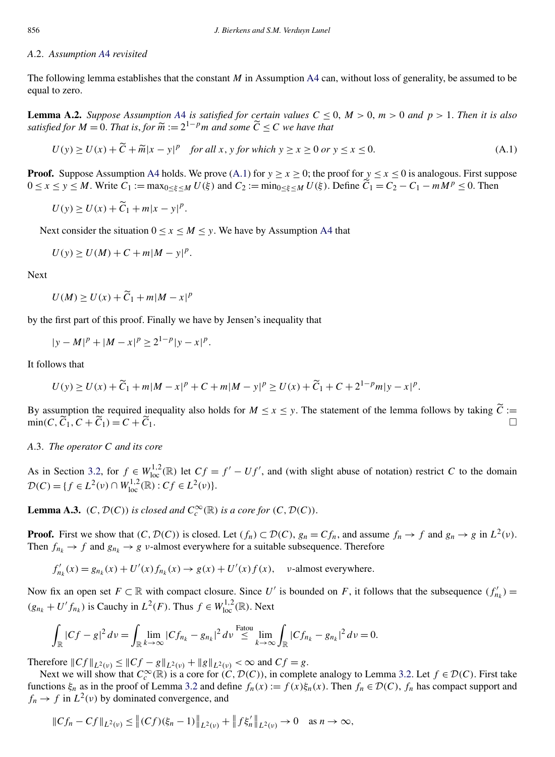#### <span id="page-29-0"></span>*A*.2. *Assumption [A](#page-2-0)*4 *revisited*

The following lemma establishes that the constant *M* in Assumption [A4](#page-2-0) can, without loss of generality, be assumed to be equal to zero.

**Lemma [A](#page-2-0).2.** Suppose Assumption A4 is satisfied for certain values  $C \le 0$ ,  $M > 0$ ,  $m > 0$  and  $p > 1$ . Then it is also *satisfied for*  $M = 0$ . *That is, for*  $\widetilde{m} := 2^{1-p}m$  *and some*  $\widetilde{C} \leq C$  *we have that* 

$$
U(y) \ge U(x) + \widetilde{C} + \widetilde{m}|x - y|^p \quad \text{for all } x, \, y \text{ for which } y \ge x \ge 0 \text{ or } y \le x \le 0. \tag{A.1}
$$

**Proof.** Suppose Assumption [A4](#page-2-0) holds. We prove (A.1) for  $y \ge x \ge 0$ ; the proof for  $y \le x \le 0$  is analogous. First suppose  $0 \le x \le y \le M$ . Write  $C_1 := \max_{0 \le \xi \le M} U(\xi)$  and  $C_2 := \min_{0 \le \xi \le M} U(\xi)$ . Define  $\widetilde{C}_1 = C_2 - C_1 - mM^p \le 0$ . Then

$$
U(y) \ge U(x) + \widetilde{C}_1 + m|x - y|^p.
$$

Next consider the situation  $0 \le x \le M \le y$ . We have by Assumption [A4](#page-2-0) that

$$
U(y) \ge U(M) + C + m|M - y|^p.
$$

Next

$$
U(M) \ge U(x) + \widetilde{C}_1 + m|M - x|^p
$$

by the first part of this proof. Finally we have by Jensen's inequality that

$$
|y - M|^p + |M - x|^p \ge 2^{1-p}|y - x|^p.
$$

It follows that

$$
U(y) \ge U(x) + \widetilde{C}_1 + m|M - x|^p + C + m|M - y|^p \ge U(x) + \widetilde{C}_1 + C + 2^{1-p}m|y - x|^p.
$$

By assumption the required inequality also holds for  $M \le x \le y$ . The statement of the lemma follows by taking  $\tilde{C} :=$  $\min(C, \overline{C}_1, C + \overline{C}_1) = C + \overline{C}$  $C_1$ .

*A*.3. *The operator C and its core*

As in Section [3.2,](#page-6-0) for  $f \in W_{loc}^{1,2}(\mathbb{R})$  let  $Cf = f' - Uf'$ , and (with slight abuse of notation) restrict *C* to the domain  $\mathcal{D}(C) = \{f \in L^2(\nu) \cap W_{\text{loc}}^{1,2}(\mathbb{R}) : Cf \in L^2(\nu)\}.$ 

**Lemma A.3.** *(C, D(C)) is closed and*  $C_c^{\infty}(\mathbb{R})$  *is a core for (C, D(C))*.

**Proof.** First we show that  $(C, \mathcal{D}(C))$  is closed. Let  $(f_n) \subset \mathcal{D}(C)$ ,  $g_n = C f_n$ , and assume  $f_n \to f$  and  $g_n \to g$  in  $L^2(\nu)$ . Then  $f_{n_k} \to f$  and  $g_{n_k} \to g$  *v*-almost everywhere for a suitable subsequence. Therefore

 $f'_{n_k}(x) = g_{n_k}(x) + U'(x) f_{n_k}(x) \rightarrow g(x) + U'(x) f(x), \quad \nu$ -almost everywhere.

Now fix an open set  $F \subset \mathbb{R}$  with compact closure. Since *U'* is bounded on *F*, it follows that the subsequence  $(f'_{n_k}) =$  $(g_{n_k} + U' f_{n_k})$  is Cauchy in  $L^2(F)$ . Thus  $f \in W^{1,2}_{loc}(\mathbb{R})$ . Next

$$
\int_{\mathbb{R}} |Cf - g|^2 \, dv = \int_{\mathbb{R}} \lim_{k \to \infty} |Cf_{n_k} - g_{n_k}|^2 \, dv \stackrel{\text{Fatou}}{\leq} \lim_{k \to \infty} \int_{\mathbb{R}} |Cf_{n_k} - g_{n_k}|^2 \, dv = 0.
$$

Therefore  $||Cf||_{L^2(v)} \leq ||Cf - g||_{L^2(v)} + ||g||_{L^2(v)} < \infty$  and  $Cf = g$ .

Next we will show that  $C_c^{\infty}(\mathbb{R})$  is a core for  $(C, \mathcal{D}(C))$ , in complete analogy to Lemma [3.2.](#page-4-0) Let  $f \in \mathcal{D}(C)$ . First take functions  $\xi_n$  as in the proof of Lemma [3.2](#page-4-0) and define  $f_n(x) := f(x)\xi_n(x)$ . Then  $f_n \in \mathcal{D}(C)$ ,  $f_n$  has compact support and  $f_n \to f$  in  $L^2(\nu)$  by dominated convergence, and

$$
||Cf_n - Cf||_{L^2(\nu)} \le ||(Cf)(\xi_n - 1)||_{L^2(\nu)} + ||f\xi'_n||_{L^2(\nu)} \to 0 \quad \text{as } n \to \infty,
$$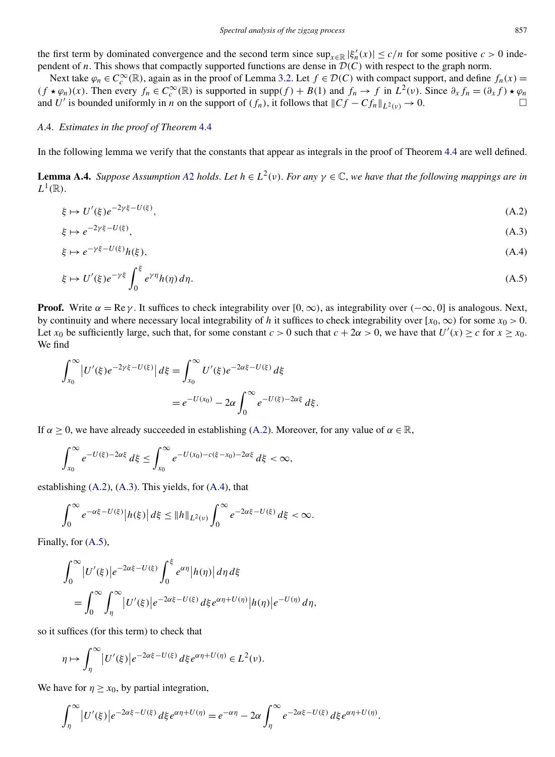<span id="page-30-0"></span>Next take  $\varphi_n \in C_c^{\infty}(\mathbb{R})$ , again as in the proof of Lemma [3.2.](#page-4-0) Let  $f \in \mathcal{D}(C)$  with compact support, and define  $f_n(x) =$  $(f \star \varphi_n)(x)$ . Then every  $f_n \in C_c^{\infty}(\mathbb{R})$  is supported in supp $(f) + B(1)$  and  $f_n \to f$  in  $L^2(\nu)$ . Since  $\partial_x f_n = (\partial_x f) \star \varphi_n$ and *U'* is bounded uniformly in *n* on the support of  $(f_n)$ , it follows that  $||Cf - Cf_n||_{L^2(\nu)} \to 0$ .

## *A*.4. *Estimates in the proof of Theorem* [4.4](#page-11-0)

In the following lemma we verify that the constants that appear as integrals in the proof of Theorem [4.4](#page-11-0) are well defined.

**Lemma [A](#page-2-0).4.** *Suppose Assumption* A2 *holds*. Let  $h \in L^2(\nu)$ . For any  $\gamma \in \mathbb{C}$ , we have that the following mappings are in  $L^1(\mathbb{R})$ .

$$
\xi \mapsto U'(\xi)e^{-2\gamma\xi - U(\xi)},\tag{A.2}
$$

$$
\xi \mapsto e^{-2\gamma \xi - U(\xi)},\tag{A.3}
$$

$$
\xi \mapsto e^{-\gamma \xi - U(\xi)} h(\xi), \tag{A.4}
$$

$$
\xi \mapsto U'(\xi)e^{-\gamma\xi} \int_0^{\xi} e^{\gamma\eta} h(\eta) d\eta. \tag{A.5}
$$

**Proof.** Write  $\alpha = \text{Re }\gamma$ . It suffices to check integrability over  $[0, \infty)$ , as integrability over  $(-\infty, 0]$  is analogous. Next, by continuity and where necessary local integrability of *h* it suffices to check integrability over  $[x_0, \infty)$  for some  $x_0 > 0$ . Let  $x_0$  be sufficiently large, such that, for some constant  $c > 0$  such that  $c + 2\alpha > 0$ , we have that  $U'(x) \ge c$  for  $x \ge x_0$ . We find

$$
\int_{x_0}^{\infty} |U'(\xi)e^{-2\gamma\xi - U(\xi)}| d\xi = \int_{x_0}^{\infty} U'(\xi)e^{-2\alpha\xi - U(\xi)} d\xi
$$
  
=  $e^{-U(x_0)} - 2\alpha \int_0^{\infty} e^{-U(\xi) - 2\alpha\xi} d\xi.$ 

If  $\alpha$  > 0, we have already succeeded in establishing (A.2). Moreover, for any value of  $\alpha \in \mathbb{R}$ ,

$$
\int_{x_0}^{\infty} e^{-U(\xi)-2\alpha\xi} d\xi \leq \int_{x_0}^{\infty} e^{-U(x_0)-c(\xi-x_0)-2\alpha\xi} d\xi < \infty,
$$

establishing (A.2), (A.3). This yields, for (A.4), that

$$
\int_0^\infty e^{-\alpha\xi - U(\xi)} \left| h(\xi) \right| d\xi \leq \|h\|_{L^2(\nu)} \int_0^\infty e^{-2\alpha\xi - U(\xi)} d\xi < \infty.
$$

Finally, for (A.5),

$$
\int_0^\infty |U'(\xi)| e^{-2\alpha\xi - U(\xi)} \int_0^\xi e^{\alpha\eta} |h(\eta)| d\eta d\xi
$$
  
= 
$$
\int_0^\infty \int_\eta^\infty |U'(\xi)| e^{-2\alpha\xi - U(\xi)} d\xi e^{\alpha\eta + U(\eta)} |h(\eta)| e^{-U(\eta)} d\eta,
$$

so it suffices (for this term) to check that

$$
\eta \mapsto \int_{\eta}^{\infty} |U'(\xi)| e^{-2\alpha \xi - U(\xi)} d\xi e^{\alpha \eta + U(\eta)} \in L^2(\nu).
$$

We have for  $\eta \geq x_0$ , by partial integration,

$$
\int_{\eta}^{\infty} |U'(\xi)| e^{-2\alpha\xi - U(\xi)} d\xi e^{\alpha \eta + U(\eta)} = e^{-\alpha \eta} - 2\alpha \int_{\eta}^{\infty} e^{-2\alpha\xi - U(\xi)} d\xi e^{\alpha \eta + U(\eta)}.
$$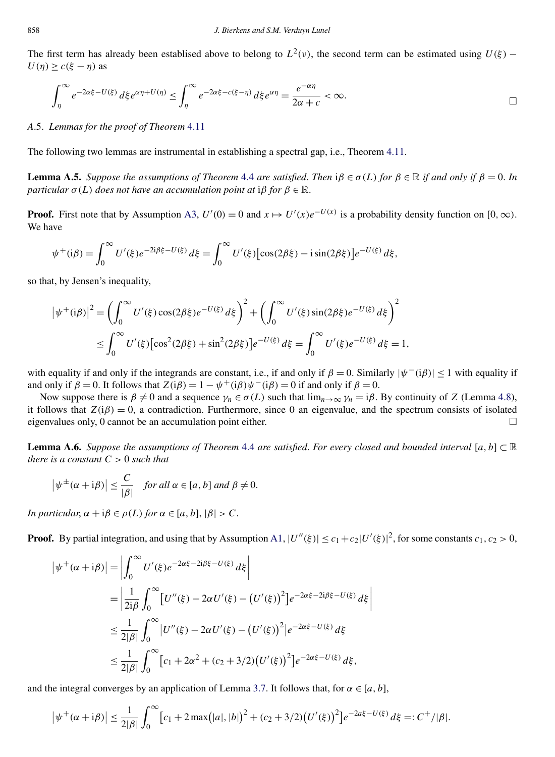<span id="page-31-0"></span>The first term has already been establised above to belong to  $L^2(v)$ , the second term can be estimated using  $U(\xi)$  –  $U(\eta) \geq c(\xi - \eta)$  as

$$
\int_{\eta}^{\infty} e^{-2\alpha \xi - U(\xi)} d\xi e^{\alpha \eta + U(\eta)} \leq \int_{\eta}^{\infty} e^{-2\alpha \xi - c(\xi - \eta)} d\xi e^{\alpha \eta} = \frac{e^{-\alpha \eta}}{2\alpha + c} < \infty.
$$

## *A*.5. *Lemmas for the proof of Theorem* [4.11](#page-15-0)

The following two lemmas are instrumental in establishing a spectral gap, i.e., Theorem [4.11.](#page-15-0)

**Lemma A.5.** *Suppose the assumptions of Theorem* [4.4](#page-11-0) *are satisfied. Then*  $i\beta \in \sigma(L)$  *for*  $\beta \in \mathbb{R}$  *if and only if*  $\beta = 0$ . *In particular*  $\sigma(L)$  *does not have an accumulation point at* i*β for*  $\beta \in \mathbb{R}$ .

**Proof.** First note that by Assumption [A3,](#page-2-0)  $U'(0) = 0$  and  $x \mapsto U'(x)e^{-U(x)}$  is a probability density function on [0, ∞). We have

$$
\psi^+(i\beta) = \int_0^\infty U'(\xi)e^{-2i\beta\xi - U(\xi)}\,d\xi = \int_0^\infty U'(\xi)\big[\cos(2\beta\xi) - i\sin(2\beta\xi)\big]e^{-U(\xi)}\,d\xi,
$$

so that, by Jensen's inequality,

$$
\left|\psi^{+}(i\beta)\right|^{2} = \left(\int_{0}^{\infty} U'(\xi)\cos(2\beta\xi)e^{-U(\xi)}d\xi\right)^{2} + \left(\int_{0}^{\infty} U'(\xi)\sin(2\beta\xi)e^{-U(\xi)}d\xi\right)^{2}
$$
  

$$
\leq \int_{0}^{\infty} U'(\xi)\left[\cos^{2}(2\beta\xi) + \sin^{2}(2\beta\xi)\right]e^{-U(\xi)}d\xi = \int_{0}^{\infty} U'(\xi)e^{-U(\xi)}d\xi = 1,
$$

with equality if and only if the integrands are constant, i.e., if and only if  $\beta = 0$ . Similarly  $|\psi^-(i\beta)| < 1$  with equality if and only if  $\beta = 0$ . It follows that  $Z(i\beta) = 1 - \psi^+(i\beta)\psi^-(i\beta) = 0$  if and only if  $\beta = 0$ .

Now suppose there is  $\beta \neq 0$  and a sequence  $\gamma_n \in \sigma(L)$  such that  $\lim_{n \to \infty} \gamma_n = i\beta$ . By continuity of *Z* (Lemma [4.8\)](#page-14-0), it follows that  $Z(i\beta) = 0$ , a contradiction. Furthermore, since 0 an eigenvalue, and the spectrum consists of isolated eigenvalues only, 0 cannot be an accumulation point either.  $\Box$ 

**Lemma A.6.** *Suppose the assumptions of Theorem* [4.4](#page-11-0) *are satisfied*. *For every closed and bounded interval* [*a,b*] ⊂ R *there is a constant C >* 0 *such that*

$$
\left|\psi^{\pm}(\alpha+i\beta)\right| \leq \frac{C}{|\beta|} \quad \text{for all } \alpha \in [a, b] \text{ and } \beta \neq 0.
$$

*In particular,*  $\alpha + i\beta \in \rho(L)$  *for*  $\alpha \in [a, b], |\beta| > C$ .

**Proof.** By partial integration, and using that by Assumption [A1,](#page-2-0)  $|U''(\xi)| \le c_1 + c_2 |U'(\xi)|^2$ , for some constants  $c_1, c_2 > 0$ ,

$$
\begin{split} \left| \psi^{+}(\alpha + i\beta) \right| &= \left| \int_{0}^{\infty} U'(\xi) e^{-2\alpha\xi - 2i\beta\xi - U(\xi)} \, d\xi \right| \\ &= \left| \frac{1}{2i\beta} \int_{0}^{\infty} \left[ U''(\xi) - 2\alpha U'(\xi) - \left( U'(\xi) \right)^{2} \right] e^{-2\alpha\xi - 2i\beta\xi - U(\xi)} \, d\xi \right| \\ &\le \frac{1}{2|\beta|} \int_{0}^{\infty} \left| U''(\xi) - 2\alpha U'(\xi) - \left( U'(\xi) \right)^{2} \right| e^{-2\alpha\xi - U(\xi)} \, d\xi \\ &\le \frac{1}{2|\beta|} \int_{0}^{\infty} \left[ c_{1} + 2\alpha^{2} + (c_{2} + 3/2) \left( U'(\xi) \right)^{2} \right] e^{-2\alpha\xi - U(\xi)} \, d\xi, \end{split}
$$

and the integral converges by an application of Lemma [3.7.](#page-7-0) It follows that, for  $\alpha \in [a, b]$ ,

$$
\left|\psi^{+}(\alpha+i\beta)\right| \leq \frac{1}{2|\beta|} \int_0^{\infty} \left[c_1 + 2\max(|a|,|b|)^2 + (c_2+3/2)\left(U'(\xi)\right)^2\right] e^{-2a\xi - U(\xi)} d\xi =: C^+ / |\beta|.
$$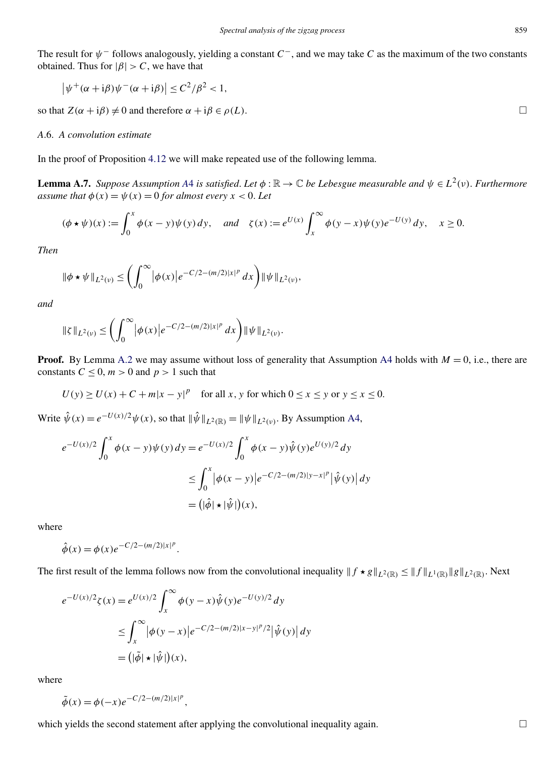<span id="page-32-0"></span>The result for *ψ*<sup>−</sup> follows analogously, yielding a constant *C*−, and we may take *C* as the maximum of the two constants obtained. Thus for  $|\beta| > C$ , we have that

$$
\left|\psi^{+}(\alpha+i\beta)\psi^{-}(\alpha+i\beta)\right| \leq C^2/\beta^2 < 1,
$$

so that  $Z(\alpha + i\beta) \neq 0$  and therefore  $\alpha + i\beta \in \rho(L)$ .

## *A*.6. *A convolution estimate*

In the proof of Proposition [4.12](#page-15-0) we will make repeated use of the following lemma.

**Lemma [A](#page-2-0).7.** Suppose Assumption A4 is satisfied. Let  $\phi : \mathbb{R} \to \mathbb{C}$  be Lebesgue measurable and  $\psi \in L^2(\nu)$ . Furthermore *assume that*  $\phi(x) = \psi(x) = 0$  *for almost every*  $x < 0$ . Let

$$
(\phi \star \psi)(x) := \int_0^x \phi(x - y)\psi(y) dy, \quad \text{and} \quad \zeta(x) := e^{U(x)} \int_x^\infty \phi(y - x)\psi(y)e^{-U(y)} dy, \quad x \ge 0.
$$

*Then*

$$
\|\phi \star \psi\|_{L^2(\nu)} \le \left(\int_0^\infty |\phi(x)| e^{-C/2 - (m/2)|x|^p} dx\right) \|\psi\|_{L^2(\nu)},
$$

*and*

$$
\|\zeta\|_{L^2(\nu)} \le \left(\int_0^\infty |\phi(x)| e^{-C/2 - (m/2)|x|^p} dx\right) \|\psi\|_{L^2(\nu)}.
$$

**Proof.** By Lemma [A.2](#page-29-0) we may assume without loss of generality that Assumption [A4](#page-2-0) holds with  $M = 0$ , i.e., there are constants  $C \leq 0$ ,  $m > 0$  and  $p > 1$  such that

$$
U(y) \ge U(x) + C + m|x - y|^p \quad \text{for all } x, y \text{ for which } 0 \le x \le y \text{ or } y \le x \le 0.
$$

Write  $\hat{\psi}(x) = e^{-U(x)/2} \psi(x)$ , so that  $\|\hat{\psi}\|_{L^2(\mathbb{R})} = \|\psi\|_{L^2(\nu)}$ . By Assumption [A4,](#page-2-0)

$$
e^{-U(x)/2} \int_0^x \phi(x - y) \psi(y) \, dy = e^{-U(x)/2} \int_0^x \phi(x - y) \hat{\psi}(y) e^{U(y)/2} \, dy
$$
  

$$
\leq \int_0^x |\phi(x - y)| e^{-C/2 - (m/2)|y - x|^p} |\hat{\psi}(y)| \, dy
$$
  

$$
= (|\hat{\phi}| \star |\hat{\psi}|)(x),
$$

where

$$
\hat{\phi}(x) = \phi(x)e^{-C/2 - (m/2)|x|^p}
$$

The first result of the lemma follows now from the convolutional inequality  $|| f \star g ||_{L^2(\mathbb{R})} \le || f ||_{L^1(\mathbb{R})} || g ||_{L^2(\mathbb{R})}$ . Next

$$
e^{-U(x)/2}\zeta(x) = e^{U(x)/2} \int_x^{\infty} \phi(y-x)\hat{\psi}(y)e^{-U(y)/2} dy
$$
  
\n
$$
\leq \int_x^{\infty} |\phi(y-x)|e^{-C/2-(m/2)|x-y|^p/2} |\hat{\psi}(y)| dy
$$
  
\n
$$
= (|\tilde{\phi}| \star |\hat{\psi}|)(x),
$$

*.*

where

$$
\tilde{\phi}(x) = \phi(-x)e^{-C/2 - (m/2)|x|^p},
$$

which yields the second statement after applying the convolutional inequality again.  $\Box$ 

 $\Box$